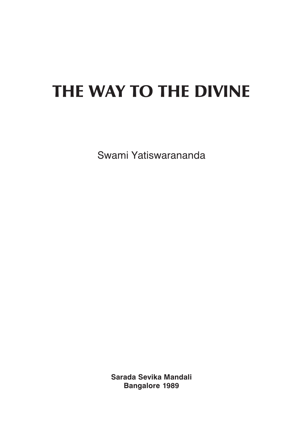# **THE WAY TO THE DIVINE**

Swami Yatiswarananda

**Sarada Sevika Mandali Bangalore 1989**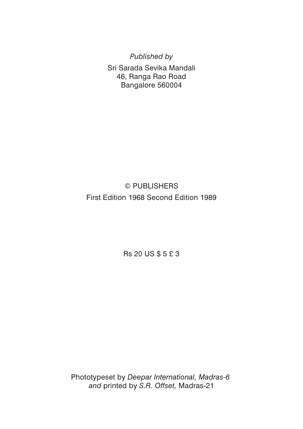*Published by*

Sri Sarada Sevika Mandali 46, Ranga Rao Road Bangalore 560004

# © PUBLISHERS First Edition 1968 Second Edition 1989

Rs 20 US \$ 5 £ 3

Phototypeset by *Deepar International, Madras-6 and* printed by *S.R. Offset,* Madras-21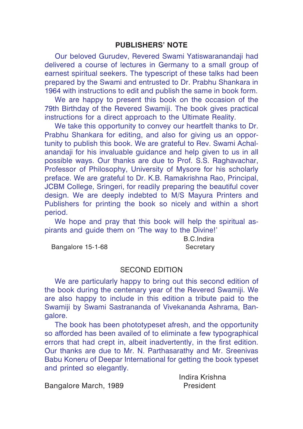#### **PUBLISHERS' NOTE**

Our beloved Gurudev, Revered Swami Yatiswaranandaji had delivered a course of lectures in Germany to a small group of earnest spiritual seekers. The typescript of these talks had been prepared by the Swami and entrusted to Dr. Prabhu Shankara in 1964 with instructions to edit and publish the same in book form.

We are happy to present this book on the occasion of the 79th Birthday of the Revered Swamiji. The book gives practical instructions for a direct approach to the Ultimate Reality.

We take this opportunity to convey our heartfelt thanks to Dr. Prabhu Shankara for editing, and also for giving us an opportunity to publish this book. We are grateful to Rev. Swami Achalanandaji for his invaluable guidance and help given to us in all possible ways. Our thanks are due to Prof. S.S. Raghavachar, Professor of Philosophy, University of Mysore for his scholarly preface. We are grateful to Dr. K.B. Ramakrishna Rao, Principal, JCBM College, Sringeri, for readily preparing the beautiful cover design. We are deeply indebted to M/S Mayura Printers and Publishers for printing the book so nicely and within a short period.

We hope and pray that this book will help the spiritual aspirants and guide them on 'The way to the Divine!'

Bangalore 15-1-68 Secretary

B.C.Indira

#### SECOND EDITION

We are particularly happy to bring out this second edition of the book during the centenary year of the Revered Swamiji. We are also happy to include in this edition a tribute paid to the Swamiji by Swami Sastrananda of Vivekananda Ashrama, Bangalore.

The book has been phototypeset afresh, and the opportunity so afforded has been availed of to eliminate a few typographical errors that had crept in, albeit inadvertently, in the first edition. Our thanks are due to Mr. N. Parthasarathy and Mr. Sreenivas Babu Koneru of Deepar International for getting the book typeset and printed so elegantly.

Bangalore March, 1989 President

Indira Krishna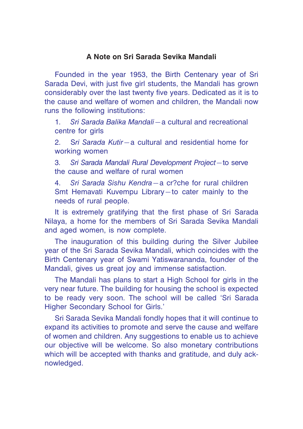# **A Note on Sri Sarada Sevika Mandali**

Founded in the year 1953, the Birth Centenary year of Sri Sarada Devi, with just five girl students, the Mandali has grown considerably over the last twenty five years. Dedicated as it is to the cause and welfare of women and children, the Mandali now runs the following institutions:

1. *Sri Sarada Balika Mandali*—a cultural and recreational centre for girls

2. S*ri Sarada Kutir*—a cultural and residential home for working women

3. *Sri Sarada Mandali Rural Development Project*—to serve the cause and welfare of rural women

4. *Sri Sarada Sishu Kendra*—a cr?che for rural children Smt Hemavati Kuvempu Library—to cater mainly to the needs of rural people.

It is extremely gratifying that the first phase of Sri Sarada Nilaya, a home for the members of Sri Sarada Sevika Mandali and aged women, is now complete.

The inauguration of this building during the Silver Jubilee year of the Sri Sarada Sevika Mandali, which coincides with the Birth Centenary year of Swami Yatiswarananda, founder of the Mandali, gives us great joy and immense satisfaction.

The Mandali has plans to start a High School for girls in the very near future. The building for housing the school is expected to be ready very soon. The school will be called 'Sri Sarada Higher Secondary School for Girls.'

Sri Sarada Sevika Mandali fondly hopes that it will continue to expand its activities to promote and serve the cause and welfare of women and children. Any suggestions to enable us to achieve our objective will be welcome. So also monetary contributions which will be accepted with thanks and gratitude, and duly acknowledged.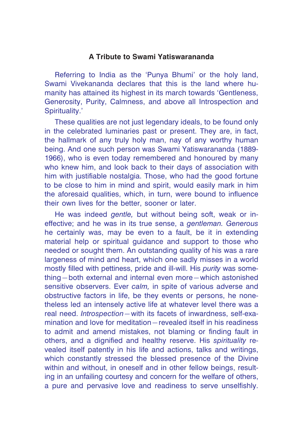# **A Tribute to Swami Yatiswarananda**

Referring to India as the 'Punya Bhumi' or the holy land, Swami Vivekananda declares that this is the land where humanity has attained its highest in its march towards 'Gentleness, Generosity, Purity, Calmness, and above all Introspection and Spirituality.'

These qualities are not just legendary ideals, to be found only in the celebrated luminaries past or present. They are, in fact, the hallmark of any truly holy man, nay of any worthy human being. And one such person was Swami Yatiswarananda (1889- 1966), who is even today remembered and honoured by many who knew him, and look back to their days of association with him with justifiable nostalgia. Those, who had the good fortune to be close to him in mind and spirit, would easily mark in him the aforesaid qualities, which, in turn, were bound to influence their own lives for the better, sooner or later.

He was indeed *gentle,* but without being soft, weak or ineffective; and he was in its true sense, a *gentleman. Generous* he certainly was, may be even to a fault, be it in extending material help or spiritual guidance and support to those who needed or sought them. An outstanding quality of his was a rare largeness of mind and heart, which one sadly misses in a world mostly filled with pettiness, pride and ill-will. His *purity* was something—both external and internal even more—which astonished sensitive observers. Ever *calm,* in spite of various adverse and obstructive factors in life, be they events or persons, he nonetheless led an intensely active life at whatever level there was a real need. *Introspection—*with its facets of inwardness, self-examination and love for meditation—revealed itself in his readiness to admit and amend mistakes, not blaming or finding fault in others, and a dignified and healthy reserve. His *spirituality* revealed itself patently in his life and actions, talks and writings, which constantly stressed the blessed presence of the Divine within and without, in oneself and in other fellow beings, resulting in an unfailing courtesy and concern for the welfare of others, a pure and pervasive love and readiness to serve unselfishly.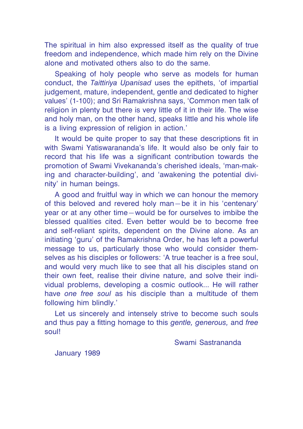The spiritual in him also expressed itself as the quality of true freedom and independence, which made him rely on the Divine alone and motivated others also to do the same.

Speaking of holy people who serve as models for human conduct, the *Taittiriya Upanisad* uses the epithets, 'of impartial judgement, mature, independent, gentle and dedicated to higher values' (1-100); and Sri Ramakrishna says, 'Common men talk of religion in plenty but there is very little of it in their life. The wise and holy man, on the other hand, speaks little and his whole life is a living expression of religion in action.'

It would be quite proper to say that these descriptions fit in with Swami Yatiswarananda's life. It would also be only fair to record that his life was a significant contribution towards the promotion of Swami Vivekananda's cherished ideals, 'man-making and character-building', and 'awakening the potential divinity' in human beings.

A good and fruitful way in which we can honour the memory of this beloved and revered holy man—be it in his 'centenary' year or at any other time—would be for ourselves to imbibe the blessed qualities cited. Even better would be to become free and self-reliant spirits, dependent on the Divine alone. As an initiating 'guru' of the Ramakrishna Order, he has left a powerful message to us, particularly those who would consider themselves as his disciples or followers: 'A true teacher is a free soul, and would very much like to see that all his disciples stand on their own feet, realise their divine nature, and solve their individual problems, developing a cosmic outlook... He will rather have *one free soul* as his disciple than a multitude of them following him blindly.'

Let us sincerely and intensely strive to become such souls and thus pay a fitting homage to this *gentle, generous,* and *free* soul!

Swami Sastrananda

January 1989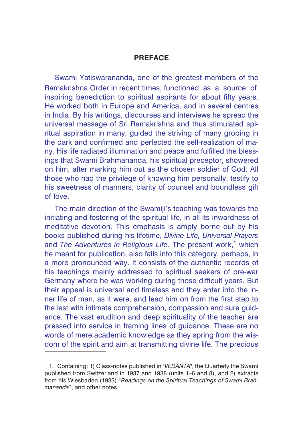# **PREFACE**

Swami Yatiswarananda, one of the greatest members of the Ramakrishna Order in recent times, functioned as a source of inspiring benediction to spiritual aspirants for about fifty years. He worked both in Europe and America, and in several centres in India. By his writings, discourses and interviews he spread the universal message of Sri Ramakrishna and thus stimulated spiritual aspiration in many, guided the striving of many groping in the dark and confirmed and perfected the self-realization of many. His life radiated illumination and peace and fulfilled the blessings that Swami Brahmananda, his spiritual preceptor, showered on him, after marking him out as the chosen soldier of God. All those who had the privilege of knowing him personally, testify to his sweetness of manners, clarity of counsel and boundless gift of love.

The main direction of the Swamiji's teaching was towards the initiating and fostering of the spiritual life, in all its inwardness of meditative devotion. This emphasis is amply borne out by his books published during his lifetime, *Divine Life, Universal Prayers* and *The Adventures in Religious Life*. The present work,<sup>1</sup> which he meant for publication, also falls into this category, perhaps, in a more pronounced way. It consists of the authentic records of his teachings mainly addressed to spiritual seekers of pre-war Germany where he was working during those difficult years. But their appeal is universal and timeless and they enter into the inner life of man, as it were, and lead him on from the first step to the last with intimate comprehension, compassion and sure guidance. The vast erudition and deep spirituality of the teacher are pressed into service in framing lines of guidance. These are no words of mere academic knowledge as they spring from the wisdom of the spirit and aim at transmitting divine life. The precious

<sup>1.</sup> Containing: 1) Class-notes published in "*VEDANTA*", the Quarterly the Swami published from Switzerland in 1937 and 1938 (units 1–6 and 8), and 2) extracts from his Wiesbaden (1933) "*Readings on the Spiritual Teachings of Swami Brahmananda*", and other notes.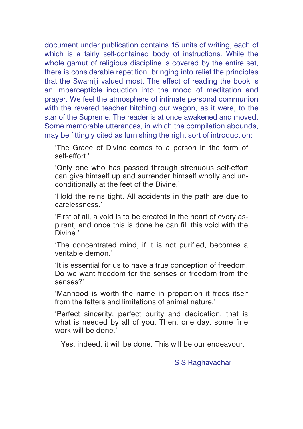document under publication contains 15 units of writing, each of which is a fairly self-contained body of instructions. While the whole gamut of religious discipline is covered by the entire set, there is considerable repetition, bringing into relief the principles that the Swamiji valued most. The effect of reading the book is an imperceptible induction into the mood of meditation and prayer. We feel the atmosphere of intimate personal communion with the revered teacher hitching our wagon, as it were, to the star of the Supreme. The reader is at once awakened and moved. Some memorable utterances, in which the compilation abounds, may be fittingly cited as furnishing the right sort of introduction:

'The Grace of Divine comes to a person in the form of self-effort.'

'Only one who has passed through strenuous self-effort can give himself up and surrender himself wholly and unconditionally at the feet of the Divine.'

'Hold the reins tight. All accidents in the path are due to carelessness.'

'First of all, a void is to be created in the heart of every aspirant, and once this is done he can fill this void with the Divine.'

'The concentrated mind, if it is not purified, becomes a veritable demon.'

'It is essential for us to have a true conception of freedom. Do we want freedom for the senses or freedom from the senses?'

'Manhood is worth the name in proportion it frees itself from the fetters and limitations of animal nature.'

'Perfect sincerity, perfect purity and dedication, that is what is needed by all of you. Then, one day, some fine work will be done.'

Yes, indeed, it will be done. This will be our endeavour.

S S Raghavachar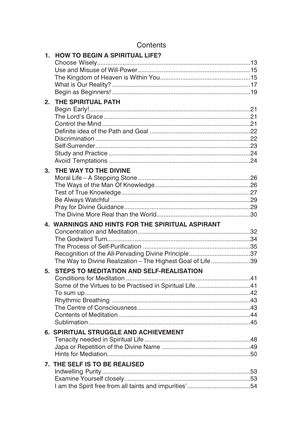| 1. | <b>HOW TO BEGIN A SPIRITUAL LIFE?</b>                       |
|----|-------------------------------------------------------------|
|    |                                                             |
|    |                                                             |
|    |                                                             |
|    |                                                             |
| 2. | THE SPIRITUAL PATH                                          |
|    |                                                             |
|    |                                                             |
|    |                                                             |
|    |                                                             |
|    |                                                             |
|    |                                                             |
|    |                                                             |
|    |                                                             |
| 3. | THE WAY TO THE DIVINE                                       |
|    |                                                             |
|    |                                                             |
|    |                                                             |
|    |                                                             |
|    |                                                             |
|    |                                                             |
|    |                                                             |
|    | 4. WARNINGS AND HINTS FOR THE SPIRITUAL ASPIRANT            |
|    |                                                             |
|    |                                                             |
|    |                                                             |
|    | Recognition of the All-Pervading Divine Principle37         |
|    | The Way to Divine Realization - The Highest Goal of Life 39 |
| 5. | <b>STEPS TO MEDITATION AND SELF-REALISATION</b>             |
|    |                                                             |
|    | Some of the Virtues to be Practised in Spiritual Life41     |
|    |                                                             |
|    |                                                             |
|    |                                                             |
|    |                                                             |
|    |                                                             |
|    | 6. SPIRITUAL STRUGGLE AND ACHIEVEMENT                       |
|    |                                                             |
|    |                                                             |
|    |                                                             |
|    | 7. THE SELF IS TO BE REALISED                               |
|    |                                                             |
|    |                                                             |

# Contents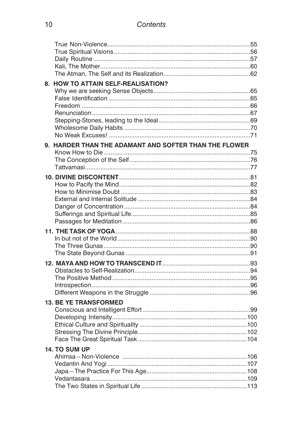| 8. HOW TO ATTAIN SELF-REALISATION?                    |  |
|-------------------------------------------------------|--|
|                                                       |  |
|                                                       |  |
|                                                       |  |
|                                                       |  |
|                                                       |  |
|                                                       |  |
| 9. HARDER THAN THE ADAMANT AND SOFTER THAN THE FLOWER |  |
|                                                       |  |
|                                                       |  |
|                                                       |  |
|                                                       |  |
|                                                       |  |
|                                                       |  |
|                                                       |  |
|                                                       |  |
|                                                       |  |
|                                                       |  |
|                                                       |  |
|                                                       |  |
|                                                       |  |
|                                                       |  |
|                                                       |  |
|                                                       |  |
|                                                       |  |
|                                                       |  |
|                                                       |  |
| <b>13. BE YE TRANSFORMED</b>                          |  |
|                                                       |  |
|                                                       |  |
|                                                       |  |
|                                                       |  |
| 14. TO SUM UP                                         |  |
|                                                       |  |
|                                                       |  |
|                                                       |  |
|                                                       |  |
|                                                       |  |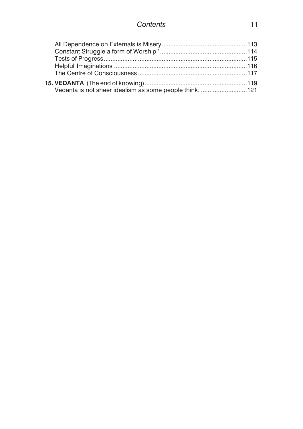| Vedanta is not sheer idealism as some people think. 121 |  |
|---------------------------------------------------------|--|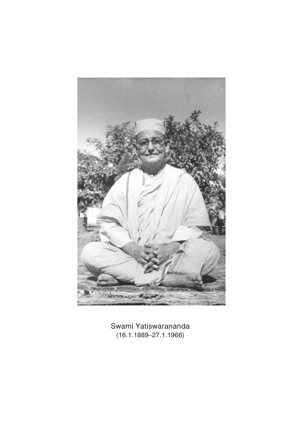

Swami Yatiswarananda (16.1.1889–27.1.1966)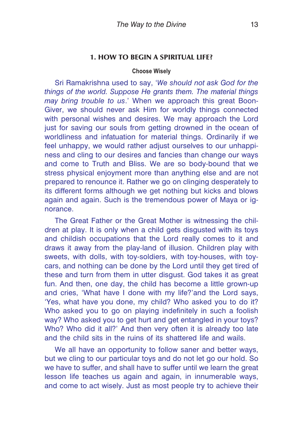# <span id="page-12-0"></span>**1. HOW TO BEGIN A SPIRITUAL LIFE?**

#### **Choose Wisely**

Sri Ramakrishna used to say, '*We should not ask God for the things of the world. Suppose He grants them. The material things may bring trouble to us*.' When we approach this great Boon-Giver, we should never ask Him for worldly things connected with personal wishes and desires. We may approach the Lord just for saving our souls from getting drowned in the ocean of worldliness and infatuation for material things. Ordinarily if we feel unhappy, we would rather adjust ourselves to our unhappiness and cling to our desires and fancies than change our ways and come to Truth and Bliss. We are so body-bound that we stress physical enjoyment more than anything else and are not prepared to renounce it. Rather we go on clinging desperately to its different forms although we get nothing but kicks and blows again and again. Such is the tremendous power of Maya or ignorance.

The Great Father or the Great Mother is witnessing the children at play. It is only when a child gets disgusted with its toys and childish occupations that the Lord really comes to it and draws it away from the play-land of illusion. Children play with sweets, with dolls, with toy-soldiers, with toy-houses, with toycars, and nothing can be done by the Lord until they get tired of these and turn from them in utter disgust. God takes it as great fun. And then, one day, the child has become a little grown-up and cries, 'What have I done with my life?'and the Lord says, 'Yes, what have you done, my child? Who asked you to do it? Who asked you to go on playing indefinitely in such a foolish way? Who asked you to get hurt and get entangled in your toys? Who? Who did it all?' And then very often it is already too late and the child sits in the ruins of its shattered life and wails.

We all have an opportunity to follow saner and better ways, but we cling to our particular toys and do not let go our hold. So we have to suffer, and shall have to suffer until we learn the great lesson life teaches us again and again, in innumerable ways, and come to act wisely. Just as most people try to achieve their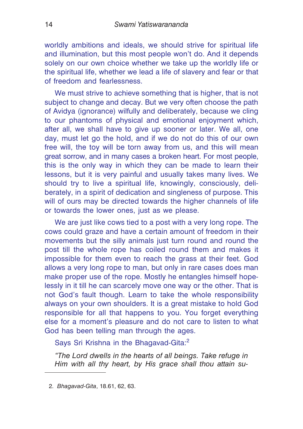worldly ambitions and ideals, we should strive for spiritual life and illumination, but this most people won't do. And it depends solely on our own choice whether we take up the worldly life or the spiritual life, whether we lead a life of slavery and fear or that of freedom and fearlessness.

We must strive to achieve something that is higher, that is not subject to change and decay. But we very often choose the path of Avidya (ignorance) wilfully and deliberately, because we cling to our phantoms of physical and emotional enjoyment which, after all, we shall have to give up sooner or later. We all, one day, must let go the hold, and if we do not do this of our own free will, the toy will be torn away from us, and this will mean great sorrow, and in many cases a broken heart. For most people, this is the only way in which they can be made to learn their lessons, but it is very painful and usually takes many lives. We should try to live a spiritual life, knowingly, consciously, deliberately, in a spirit of dedication and singleness of purpose. This will of ours may be directed towards the higher channels of life or towards the lower ones, just as we please.

We are just like cows tied to a post with a very long rope. The cows could graze and have a certain amount of freedom in their movements but the silly animals just turn round and round the post till the whole rope has coiled round them and makes it impossible for them even to reach the grass at their feet. God allows a very long rope to man, but only in rare cases does man make proper use of the rope. Mostly he entangles himself hopelessly in it till he can scarcely move one way or the other. That is not God's fault though. Learn to take the whole responsibility always on your own shoulders. It is a great mistake to hold God responsible for all that happens to you. You forget everything else for a moment's pleasure and do not care to listen to what God has been telling man through the ages.

Says Sri Krishna in the Bhagavad-Gita:<sup>2</sup>

*"The Lord dwells in the hearts of all beings. Take refuge in Him with all thy heart, by His grace shall thou attain su-*

<sup>2.</sup> *Bhagavad-Gita*, 18.61, 62, 63.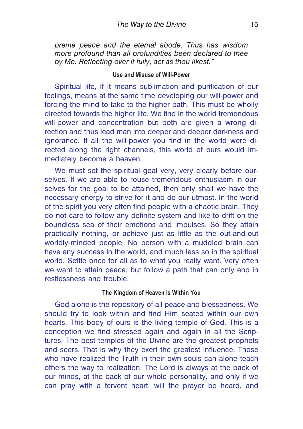<span id="page-14-0"></span>*preme peace and the eternal abode. Thus has wisdom more profound than all profundities been declared to thee by Me. Reflecting over it fully, act as thou likest."*

#### **Use and Misuse of Will-Power**

Spiritual life, if it means sublimation and purification of our feelings, means at the same time developing our will-power and forcing the mind to take to the higher path. This must be wholly directed towards the higher life. We find in the world tremendous will-power and concentration but both are given a wrong direction and thus lead man into deeper and deeper darkness and ignorance. If all the will-power you find in the world were directed along the right channels, this world of ours would immediately become a heaven.

We must set the spiritual goal very, very clearly before ourselves. If we are able to rouse tremendous enthusiasm in ourselves for the goal to be attained, then only shall we have the necessary energy to strive for it and do our utmost. In the world of the spirit you very often find people with a chaotic brain. They do not care to follow any definite system and like to drift on the boundless sea of their emotions and impulses. So they attain practically nothing, or achieve just as little as the out-and-out worldly-minded people. No person with a muddled brain can have any success in the world, and much less so in the spiritual world. Settle once for all as to what you really want. Very often we want to attain peace, but follow a path that can only end in restlessness and trouble.

#### **The Kingdom of Heaven is Within You**

God alone is the repository of all peace and blessedness. We should try to look within and find Him seated within our own hearts. This body of ours is the living temple of God. This is a conception we find stressed again and again in all the Scriptures. The best temples of the Divine are the greatest prophets and seers. That is why they exert the greatest influence. Those who have realized the Truth in their own souls can alone teach others the way to realization. The Lord is always at the back of our minds, at the back of our whole personality, and only if we can pray with a fervent heart, will the prayer be heard, and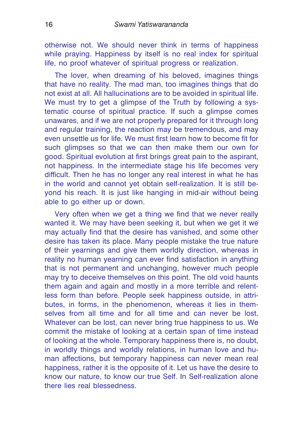otherwise not. We should never think in terms of happiness while praying. Happiness by itself is no real index for spiritual life, no proof whatever of spiritual progress or realization.

The lover, when dreaming of his beloved, imagines things that have no reality. The mad man, too imagines things that do not exist at all. All hallucinations are to be avoided in spiritual life. We must try to get a glimpse of the Truth by following a systematic course of spiritual practice. If such a glimpse comes unawares, and if we are not properly prepared for it through long and regular training, the reaction may be tremendous, and may even unsettle us for life. We must first learn how to become fit for such glimpses so that we can then make them our own for good. Spiritual evolution at first brings great pain to the aspirant, not happiness. In the intermediate stage his life becomes very difficult. Then he has no longer any real interest in what he has in the world and cannot yet obtain self-realization. It is still beyond his reach. It is just like hanging in mid-air without being able to go either up or down.

Very often when we get a thing we find that we never really wanted it. We may have been seeking it, but when we get it we may actually find that the desire has vanished, and some other desire has taken its place. Many people mistake the true nature of their yearnings and give them worldly direction, whereas in reality no human yearning can ever find satisfaction in anything that is not permanent and unchanging, however much people may try to deceive themselves on this point. The old void haunts them again and again and mostly in a more terrible and relentless form than before. People seek happiness outside, in attributes, in forms, in the phenomenon, whereas it lies in themselves from all time and for all time and can never be lost. Whatever can be lost, can never bring true happiness to us. We commit the mistake of looking at a certain span of time instead of looking at the whole. Temporary happiness there is, no doubt, in worldly things and worldly relations, in human love and human affections, but temporary happiness can never mean real happiness, rather it is the opposite of it. Let us have the desire to know our nature, to know our true Self. In Self-realization alone there lies real blessedness.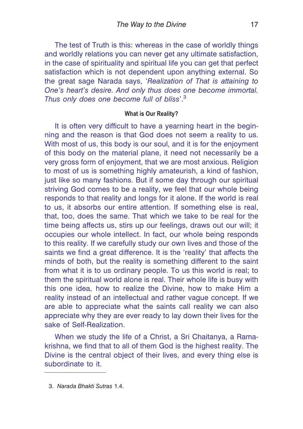<span id="page-16-0"></span>The test of Truth is this: whereas in the case of worldly things and worldly relations you can never get any ultimate satisfaction, in the case of spirituality and spiritual life you can get that perfect satisfaction which is not dependent upon anything external. So the great sage Narada says, '*Realization of That is attaining to One's heart's desire. And only thus does one become immortal. Thus only does one become full of bliss*'.<sup>3</sup>

#### **What is Our Reality?**

It is often very difficult to have a yearning heart in the beginning and the reason is that God does not seem a reality to us. With most of us, this body is our soul, and it is for the enjoyment of this body on the material plane, it need not necessarily be a very gross form of enjoyment, that we are most anxious. Religion to most of us is something highly amateurish, a kind of fashion, just like so many fashions. But if some day through our spiritual striving God comes to be a reality, we feel that our whole being responds to that reality and longs for it alone. If the world is real to us, it absorbs our entire attention. If something else is real, that, too, does the same. That which we take to be real for the time being affects us, stirs up our feelings, draws out our will; it occupies our whole intellect. In fact, our whole being responds to this reality. If we carefully study our own lives and those of the saints we find a great difference. It is the 'reality' that affects the minds of both, but the reality is something different to the saint from what it is to us ordinary people. To us this world is real; to them the spiritual world alone is real. Their whole life is busy with this one idea, how to realize the Divine, how to make Him a reality instead of an intellectual and rather vague concept. If we are able to appreciate what the saints call reality we can also appreciate why they are ever ready to lay down their lives for the sake of Self-Realization.

When we study the life of a Christ, a Sri Chaitanya, a Ramakrishna, we find that to all of them God is the highest reality. The Divine is the central object of their lives, and every thing else is subordinate to it.

<sup>3.</sup> *Narada Bhakti Sutras* 1.4.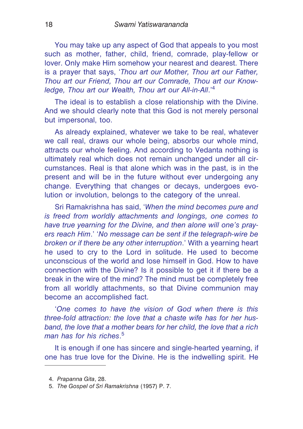You may take up any aspect of God that appeals to you most such as mother, father, child, friend, comrade, play-fellow or lover. Only make Him somehow your nearest and dearest. There is a prayer that says, '*Thou art our Mother, Thou art our Father, Thou art our Friend, Thou art our Comrade, Thou art our Knowledge, Thou art our Wealth, Thou art our All-in-All*.'<sup>4</sup>

The ideal is to establish a close relationship with the Divine. And we should clearly note that this God is not merely personal but impersonal, too.

As already explained, whatever we take to be real, whatever we call real, draws our whole being, absorbs our whole mind, attracts our whole feeling. And according to Vedanta nothing is ultimately real which does not remain unchanged under all circumstances. Real is that alone which was in the past, is in the present and will be in the future without ever undergoing any change. Everything that changes or decays, undergoes evolution or involution, belongs to the category of the unreal.

Sri Ramakrishna has said, '*When the mind becomes pure and is freed from worldly attachments and longings, one comes to have true yearning for the Divine, and then alone will one's prayers reach Him*.' '*No message can be sent if the telegraph-wire be broken or if there be any other interruption*.' With a yearning heart he used to cry to the Lord in solitude. He used to become unconscious of the world and lose himself in God. How to have connection with the Divine? Is it possible to get it if there be a break in the wire of the mind? The mind must be completely free from all worldly attachments, so that Divine communion may become an accomplished fact.

'*One comes to have the vision of God when there is this three-fold attraction: the love that a chaste wife has for her husband, the love that a mother bears for her child, the love that a rich man has for his riches*. 5

It is enough if one has sincere and single-hearted yearning, if one has true love for the Divine. He is the indwelling spirit. He

<sup>4.</sup> *Prapanna Gita*, 28.

<sup>5.</sup> *The Gospel of Sri Ramakrishna* (1957) P. 7.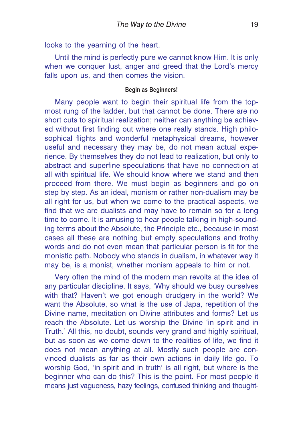<span id="page-18-0"></span>looks to the yearning of the heart.

Until the mind is perfectly pure we cannot know Him. It is only when we conquer lust, anger and greed that the Lord's mercy falls upon us, and then comes the vision.

## **Begin as Beginners!**

Many people want to begin their spiritual life from the topmost rung of the ladder, but that cannot be done. There are no short cuts to spiritual realization; neither can anything be achieved without first finding out where one really stands. High philosophical flights and wonderful metaphysical dreams, however useful and necessary they may be, do not mean actual experience. By themselves they do not lead to realization, but only to abstract and superfine speculations that have no connection at all with spiritual life. We should know where we stand and then proceed from there. We must begin as beginners and go on step by step. As an ideal, monism or rather non-dualism may be all right for us, but when we come to the practical aspects, we find that we are dualists and may have to remain so for a long time to come. It is amusing to hear people talking in high-sounding terms about the Absolute, the Principle etc., because in most cases all these are nothing but empty speculations and frothy words and do not even mean that particular person is fit for the monistic path. Nobody who stands in dualism, in whatever way it may be, is a monist, whether monism appeals to him or not.

Very often the mind of the modern man revolts at the idea of any particular discipline. It says, 'Why should we busy ourselves with that? Haven't we got enough drudgery in the world? We want the Absolute, so what is the use of Japa, repetition of the Divine name, meditation on Divine attributes and forms? Let us reach the Absolute. Let us worship the Divine 'in spirit and in Truth.' All this, no doubt, sounds very grand and highly spiritual, but as soon as we come down to the realities of life, we find it does not mean anything at all. Mostly such people are convinced dualists as far as their own actions in daily life go. To worship God, 'in spirit and in truth' is all right, but where is the beginner who can do this? This is the point. For most people it means just vagueness, hazy feelings, confused thinking and thought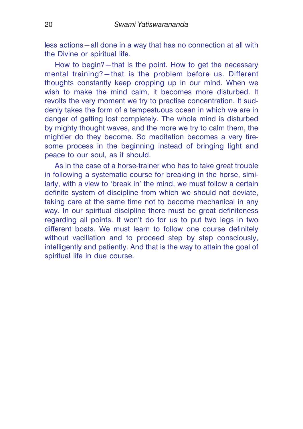less actions—all done in a way that has no connection at all with the Divine or spiritual life.

How to begin?—that is the point. How to get the necessary mental training?—that is the problem before us. Different thoughts constantly keep cropping up in our mind. When we wish to make the mind calm, it becomes more disturbed. It revolts the very moment we try to practise concentration. It suddenly takes the form of a tempestuous ocean in which we are in danger of getting lost completely. The whole mind is disturbed by mighty thought waves, and the more we try to calm them, the mightier do they become. So meditation becomes a very tiresome process in the beginning instead of bringing light and peace to our soul, as it should.

As in the case of a horse-trainer who has to take great trouble in following a systematic course for breaking in the horse, similarly, with a view to 'break in' the mind, we must follow a certain definite system of discipline from which we should not deviate, taking care at the same time not to become mechanical in any way. In our spiritual discipline there must be great definiteness regarding all points. It won't do for us to put two legs in two different boats. We must learn to follow one course definitely without vacillation and to proceed step by step consciously, intelligently and patiently. And that is the way to attain the goal of spiritual life in due course.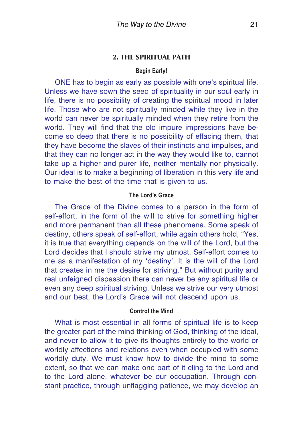#### <span id="page-20-0"></span>**2. THE SPIRITUAL PATH**

#### **Begin Early!**

ONE has to begin as early as possible with one's spiritual life. Unless we have sown the seed of spirituality in our soul early in life, there is no possibility of creating the spiritual mood in later life. Those who are not spiritually minded while they live in the world can never be spiritually minded when they retire from the world. They will find that the old impure impressions have become so deep that there is no possibility of effacing them, that they have become the slaves of their instincts and impulses, and that they can no longer act in the way they would like to, cannot take up a higher and purer life, neither mentally nor physically. Our ideal is to make a beginning of liberation in this very life and to make the best of the time that is given to us.

# **The Lord's Grace**

The Grace of the Divine comes to a person in the form of self-effort, in the form of the will to strive for something higher and more permanent than all these phenomena. Some speak of destiny, others speak of self-effort, while again others hold, "Yes, it is true that everything depends on the will of the Lord, but the Lord decides that I should strive my utmost. Self-effort comes to me as a manifestation of my 'destiny'. It is the will of the Lord that creates in me the desire for striving." But without purity and real unfeigned dispassion there can never be any spiritual life or even any deep spiritual striving. Unless we strive our very utmost and our best, the Lord's Grace will not descend upon us.

#### **Control the Mind**

What is most essential in all forms of spiritual life is to keep the greater part of the mind thinking of God, thinking of the ideal, and never to allow it to give its thoughts entirely to the world or worldly affections and relations even when occupied with some worldly duty. We must know how to divide the mind to some extent, so that we can make one part of it cling to the Lord and to the Lord alone, whatever be our occupation. Through constant practice, through unflagging patience, we may develop an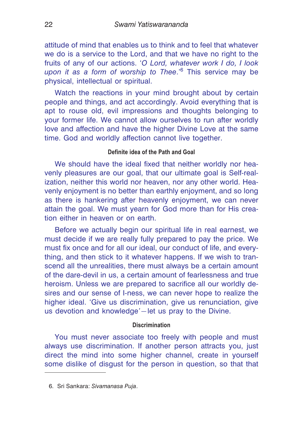<span id="page-21-0"></span>attitude of mind that enables us to think and to feel that whatever we do is a service to the Lord, and that we have no right to the fruits of any of our actions. '*O Lord, whatever work I do, I look upon it as a form of worship to Thee*.'<sup>6</sup> This service may be physical, intellectual or spiritual.

Watch the reactions in your mind brought about by certain people and things, and act accordingly. Avoid everything that is apt to rouse old, evil impressions and thoughts belonging to your former life. We cannot allow ourselves to run after worldly love and affection and have the higher Divine Love at the same time. God and worldly affection cannot live together.

#### **Definite idea of the Path and Goal**

We should have the ideal fixed that neither worldly nor heavenly pleasures are our goal, that our ultimate goal is Self-realization, neither this world nor heaven, nor any other world. Heavenly enjoyment is no better than earthly enjoyment, and so long as there is hankering after heavenly enjoyment, we can never attain the goal. We must yearn for God more than for His creation either in heaven or on earth.

Before we actually begin our spiritual life in real earnest, we must decide if we are really fully prepared to pay the price. We must fix once and for all our ideal, our conduct of life, and everything, and then stick to it whatever happens. If we wish to transcend all the unrealities, there must always be a certain amount of the dare-devil in us, a certain amount of fearlessness and true heroism. Unless we are prepared to sacrifice all our worldly desires and our sense of I-ness, we can never hope to realize the higher ideal. 'Give us discrimination, give us renunciation, give us devotion and knowledge*'*—let us pray to the Divine.

#### **Discrimination**

You must never associate too freely with people and must always use discrimination. If another person attracts you, just direct the mind into some higher channel, create in yourself some dislike of disgust for the person in question, so that that

<sup>6.</sup> Sri Sankara: *Sivamanasa Puja*.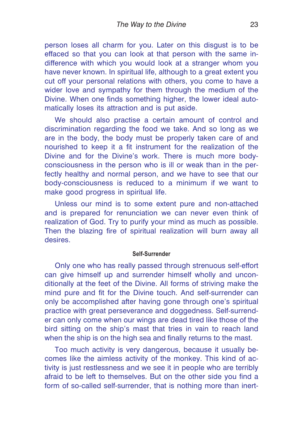<span id="page-22-0"></span>person loses all charm for you. Later on this disgust is to be effaced so that you can look at that person with the same indifference with which you would look at a stranger whom you have never known. In spiritual life, although to a great extent you cut off your personal relations with others, you come to have a wider love and sympathy for them through the medium of the Divine. When one finds something higher, the lower ideal automatically loses its attraction and is put aside.

We should also practise a certain amount of control and discrimination regarding the food we take. And so long as we are in the body, the body must be properly taken care of and nourished to keep it a fit instrument for the realization of the Divine and for the Divine's work. There is much more bodyconsciousness in the person who is ill or weak than in the perfectly healthy and normal person, and we have to see that our body-consciousness is reduced to a minimum if we want to make good progress in spiritual life.

Unless our mind is to some extent pure and non-attached and is prepared for renunciation we can never even think of realization of God. Try to purify your mind as much as possible. Then the blazing fire of spiritual realization will burn away all desires.

#### **Self-Surrender**

Only one who has really passed through strenuous self-effort can give himself up and surrender himself wholly and unconditionally at the feet of the Divine. All forms of striving make the mind pure and fit for the Divine touch. And self-surrender can only be accomplished after having gone through one's spiritual practice with great perseverance and doggedness. Self-surrender can only come when our wings are dead tired like those of the bird sitting on the ship's mast that tries in vain to reach land when the ship is on the high sea and finally returns to the mast.

Too much activity is very dangerous, because it usually becomes like the aimless activity of the monkey. This kind of activity is just restlessness and we see it in people who are terribly afraid to be left to themselves. But on the other side you find a form of so-called self-surrender, that is nothing more than inert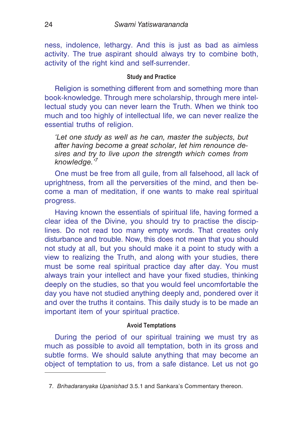<span id="page-23-0"></span>ness, indolence, lethargy. And this is just as bad as aimless activity. The true aspirant should always try to combine both, activity of the right kind and self-surrender.

#### **Study and Practice**

Religion is something different from and something more than book-knowledge. Through mere scholarship, through mere intellectual study you can never learn the Truth. When we think too much and too highly of intellectual life, we can never realize the essential truths of religion.

*'Let one study as well as he can, master the subjects, but after having become a great scholar, let him renounce desires and try to live upon the strength which comes from knowledge.'<sup>7</sup>*

One must be free from all guile, from all falsehood, all lack of uprightness, from all the perversities of the mind, and then become a man of meditation, if one wants to make real spiritual progress.

Having known the essentials of spiritual life, having formed a clear idea of the Divine, you should try to practise the disciplines. Do not read too many empty words. That creates only disturbance and trouble. Now, this does not mean that you should not study at all, but you should make it a point to study with a view to realizing the Truth, and along with your studies, there must be some real spiritual practice day after day. You must always train your intellect and have your fixed studies, thinking deeply on the studies, so that you would feel uncomfortable the day you have not studied anything deeply and, pondered over it and over the truths it contains. This daily study is to be made an important item of your spiritual practice.

#### **Avoid Temptations**

During the period of our spiritual training we must try as much as possible to avoid all temptation, both in its gross and subtle forms. We should salute anything that may become an object of temptation to us, from a safe distance. Let us not go

<sup>7.</sup> *Brihadaranyaka Upanishad* 3.5.1 and Sankara's Commentary thereon.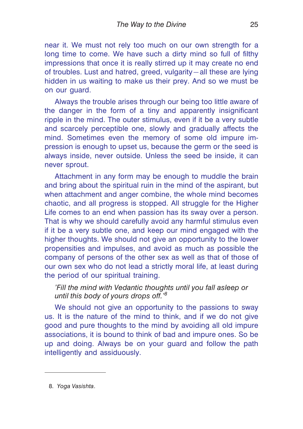near it. We must not rely too much on our own strength for a long time to come. We have such a dirty mind so full of filthy impressions that once it is really stirred up it may create no end of troubles. Lust and hatred, greed, vulgarity—all these are lying hidden in us waiting to make us their prey. And so we must be on our guard.

Always the trouble arises through our being too little aware of the danger in the form of a tiny and apparently insignificant ripple in the mind. The outer stimulus, even if it be a very subtle and scarcely perceptible one, slowly and gradually affects the mind. Sometimes even the memory of some old impure impression is enough to upset us, because the germ or the seed is always inside, never outside. Unless the seed be inside, it can never sprout.

Attachment in any form may be enough to muddle the brain and bring about the spiritual ruin in the mind of the aspirant, but when attachment and anger combine, the whole mind becomes chaotic, and all progress is stopped. All struggle for the Higher Life comes to an end when passion has its sway over a person. That is why we should carefully avoid any harmful stimulus even if it be a very subtle one, and keep our mind engaged with the higher thoughts. We should not give an opportunity to the lower propensities and impulses, and avoid as much as possible the company of persons of the other sex as well as that of those of our own sex who do not lead a strictly moral life, at least during the period of our spiritual training.

*'Fill the mind with Vedantic thoughts until you fall asleep or until this body of yours drops off.'<sup>8</sup>*

We should not give an opportunity to the passions to sway us. It is the nature of the mind to think, and if we do not give good and pure thoughts to the mind by avoiding all old impure associations, it is bound to think of bad and impure ones. So be up and doing. Always be on your guard and follow the path intelligently and assiduously.

8. *Yoga Vasishta*.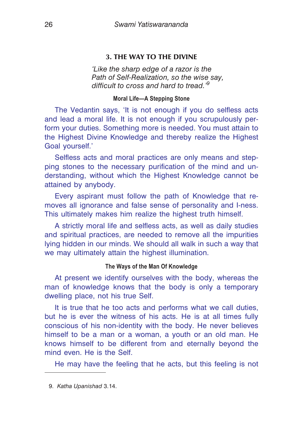# <span id="page-25-0"></span>**3. THE WAY TO THE DIVINE**

*'Like the sharp edge of a razor is the Path of Self-Realization, so the wise say, difficult to cross and hard to tread.'<sup>9</sup>*

#### **Moral Life—A Stepping Stone**

The Vedantin says, 'It is not enough if you do selfless acts and lead a moral life. It is not enough if you scrupulously perform your duties. Something more is needed. You must attain to the Highest Divine Knowledge and thereby realize the Highest Goal yourself.'

Selfless acts and moral practices are only means and stepping stones to the necessary purification of the mind and understanding, without which the Highest Knowledge cannot be attained by anybody.

Every aspirant must follow the path of Knowledge that removes all ignorance and false sense of personality and I-ness. This ultimately makes him realize the highest truth himself.

A strictly moral life and selfless acts, as well as daily studies and spiritual practices, are needed to remove all the impurities lying hidden in our minds. We should all walk in such a way that we may ultimately attain the highest illumination.

#### **The Ways of the Man Of Knowledge**

At present we identify ourselves with the body, whereas the man of knowledge knows that the body is only a temporary dwelling place, not his true Self.

It is true that he too acts and performs what we call duties, but he is ever the witness of his acts. He is at all times fully conscious of his non-identity with the body. He never believes himself to be a man or a woman, a youth or an old man. He knows himself to be different from and eternally beyond the mind even. He is the Self.

He may have the feeling that he acts, but this feeling is not

<sup>9.</sup> *Katha Upanishad* 3.14.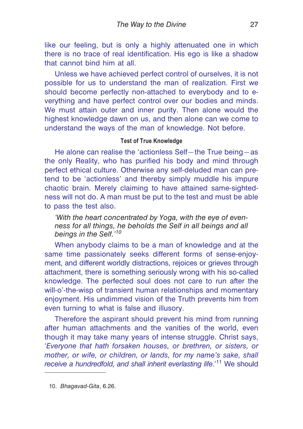<span id="page-26-0"></span>like our feeling, but is only a highly attenuated one in which there is no trace of real identification. His ego is like a shadow that cannot bind him at all.

Unless we have achieved perfect control of ourselves, it is not possible for us to understand the man of realization. First we should become perfectly non-attached to everybody and to everything and have perfect control over our bodies and minds. We must attain outer and inner purity. Then alone would the highest knowledge dawn on us, and then alone can we come to understand the ways of the man of knowledge. Not before.

#### **Test of True Knowledge**

He alone can realise the 'actionless Self—the True being—as the only Reality, who has purified his body and mind through perfect ethical culture. Otherwise any self-deluded man can pretend to be 'actionless' and thereby simply muddle his impure chaotic brain. Merely claiming to have attained same-sightedness will not do. A man must be put to the test and must be able to pass the test also.

*'With the heart concentrated by Yoga, with the eye of evenness for all things, he beholds the Self in all beings and all beings in the Self.'<sup>10</sup>*

When anybody claims to be a man of knowledge and at the same time passionately seeks different forms of sense-enjoyment, and different worldly distractions, rejoices or grieves through attachment, there is something seriously wrong with his so-called knowledge. The perfected soul does not care to run after the will-o'-the-wisp of transient human relationships and momentary enjoyment. His undimmed vision of the Truth prevents him from even turning to what is false and illusory.

Therefore the aspirant should prevent his mind from running after human attachments and the vanities of the world, even though it may take many years of intense struggle. Christ says, '*Everyone that hath forsaken houses, or brethren, or sisters, or mother, or wife, or children, or lands, for my name's sake, shall* receive a hundredfold, and shall inherit everlasting life.<sup>'11</sup> We should

<sup>10.</sup> *Bhagavad-Gita*, 6.26.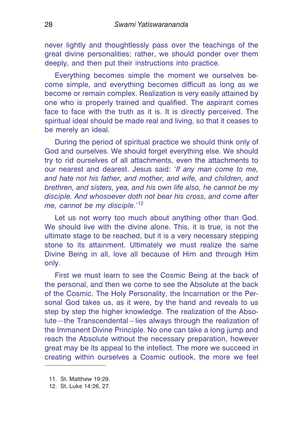never lightly and thoughtlessly pass over the teachings of the great divine personalities; rather, we should ponder over them deeply, and then put their instructions into practice.

Everything becomes simple the moment we ourselves become simple, and everything becomes difficult as long as we become or remain complex. Realization is very easily attained by one who is properly trained and qualified. The aspirant comes face to face with the truth as it is. It is directly perceived. The spiritual ideal should be made real and living, so that it ceases to be merely an ideal.

During the period of spiritual practice we should think only of God and ourselves. We should forget everything else. We should try to rid ourselves of all attachments, even the attachments to our nearest and dearest. Jesus said: '*If any man come to me, and hate not his father, and mother, and wife, and children, and brethren, and sisters, yea, and his own life also, he cannot be my disciple. And whosoever doth not bear his cross, and come after me, cannot be my disciple*.'<sup>12</sup>

Let us not worry too much about anything other than God. We should live with the divine alone. This, it is true, is not the ultimate stage to be reached, but it is a very necessary stepping stone to its attainment. Ultimately we must realize the same Divine Being in all, love all because of Him and through Him only.

First we must learn to see the Cosmic Being at the back of the personal, and then we come to see the Absolute at the back of the Cosmic. The Holy Personality, the Incarnation or the Personal God takes us, as it were, by the hand and reveals to us step by step the higher knowledge. The realization of the Absolute—the Transcendental—lies always through the realization of the Immanent Divine Principle. No one can take a long jump and reach the Absolute without the necessary preparation, however great may be its appeal to the intellect. The more we succeed in creating within ourselves a Cosmic outlook, the more we feel

<sup>11.</sup> St. Matthew 19:29.

<sup>12.</sup> St. Luke 14:26, 27.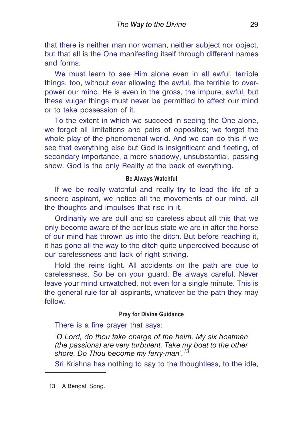<span id="page-28-0"></span>that there is neither man nor woman, neither subject nor object, but that all is the One manifesting itself through different names and forms.

We must learn to see Him alone even in all awful, terrible things, too, without ever allowing the awful, the terrible to overpower our mind. He is even in the gross, the impure, awful, but these vulgar things must never be permitted to affect our mind or to take possession of it.

To the extent in which we succeed in seeing the One alone, we forget all limitations and pairs of opposites; we forget the whole play of the phenomenal world. And we can do this if we see that everything else but God is insignificant and fleeting, of secondary importance, a mere shadowy, unsubstantial, passing show. God is the only Reality at the back of everything.

# **Be Always Watchful**

If we be really watchful and really try to lead the life of a sincere aspirant, we notice all the movements of our mind, all the thoughts and impulses that rise in it.

Ordinarily we are dull and so careless about all this that we only become aware of the perilous state we are in after the horse of our mind has thrown us into the ditch. But before reaching it, it has gone all the way to the ditch quite unperceived because of our carelessness and lack of right striving.

Hold the reins tight. All accidents on the path are due to carelessness. So be on your guard. Be always careful. Never leave your mind unwatched, not even for a single minute. This is the general rule for all aspirants, whatever be the path they may follow.

## **Pray for Divine Guidance**

#### There is a fine prayer that says:

*'O Lord, do thou take charge of the helm. My six boatmen (the passions) are very turbulent. Take my boat to the other shore. Do Thou become my ferry-man'.<sup>13</sup>*

Sri Krishna has nothing to say to the thoughtless, to the idle,

13. A Bengali Song.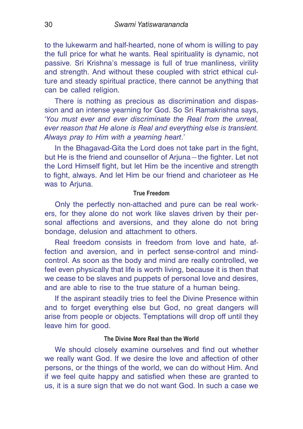<span id="page-29-0"></span>to the lukewarm and half-hearted, none of whom is willing to pay the full price for what he wants. Real spirituality is dynamic, not passive. Sri Krishna's message is full of true manliness, virility and strength. And without these coupled with strict ethical culture and steady spiritual practice, there cannot be anything that can be called religion.

There is nothing as precious as discrimination and dispassion and an intense yearning for God. So Sri Ramakrishna says, '*You must ever and ever discriminate the Real from the unreal, ever reason that He alone is Real and everything else is transient. Always pray to Him with a yearning heart*.'

In the Bhagavad-Gita the Lord does not take part in the fight, but He is the friend and counsellor of Arjuna—the fighter. Let not the Lord Himself fight, but let Him be the incentive and strength to fight, always. And let Him be our friend and charioteer as He was to Ariuna.

#### **True Freedom**

Only the perfectly non-attached and pure can be real workers, for they alone do not work like slaves driven by their personal affections and aversions, and they alone do not bring bondage, delusion and attachment to others.

Real freedom consists in freedom from love and hate, affection and aversion, and in perfect sense-control and mindcontrol. As soon as the body and mind are really controlled, we feel even physically that life is worth living, because it is then that we cease to be slaves and puppets of personal love and desires, and are able to rise to the true stature of a human being.

If the aspirant steadily tries to feel the Divine Presence within and to forget everything else but God, no great dangers will arise from people or objects. Temptations will drop off until they leave him for good.

#### **The Divine More Real than the World**

We should closely examine ourselves and find out whether we really want God. If we desire the love and affection of other persons, or the things of the world, we can do without Him. And if we feel quite happy and satisfied when these are granted to us, it is a sure sign that we do not want God. In such a case we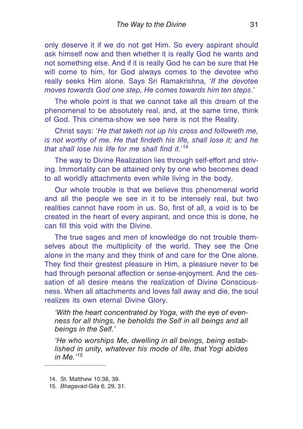only deserve it if we do not get Him. So every aspirant should ask himself now and then whether it is really God he wants and not something else. And if it is really God he can be sure that He will come to him, for God always comes to the devotee who really seeks Him alone. Says Sri Ramakrishna, '*If the devotee moves towards God one step, He comes towards him ten steps*.'

The whole point is that we cannot take all this dream of the phenomenal to be absolutely real, and, at the same time, think of God. This cinema-show we see here is not the Reality.

Christ says: '*He that taketh not up his cross and followeth me, is not worthy of me. He that findeth his life, shall lose it; and he that shall lose his life for me shall find it*.'<sup>14</sup>

The way to Divine Realization lies through self-effort and striving. Immortality can be attained only by one who becomes dead to all worldly attachments even while living in the body.

Our whole trouble is that we believe this phenomenal world and all the people we see in it to be intensely real, but two realities cannot have room in us. So, first of all, a void is to be created in the heart of every aspirant, and once this is done, he can fill this void with the Divine.

The true sages and men of knowledge do not trouble themselves about the multiplicity of the world. They see the One alone in the many and they think of and care for the One alone. They find their greatest pleasure in Him, a pleasure never to be had through personal affection or sense-enjoyment. And the cessation of all desire means the realization of Divine Consciousness. When all attachments and loves fall away and die, the soul realizes its own eternal Divine Glory.

*'With the heart concentrated by Yoga, with the eye of evenness for all things, he beholds the Self in all beings and all beings in the Self.'*

*'He who worships Me, dwelling in all beings, being established in unity, whatever his mode of life, that Yogi abides in Me.'<sup>15</sup>*

<sup>14.</sup> St. Matthew 10:38, 39.

<sup>15.</sup> *Bhagavad-Gita* 6. 29, 31.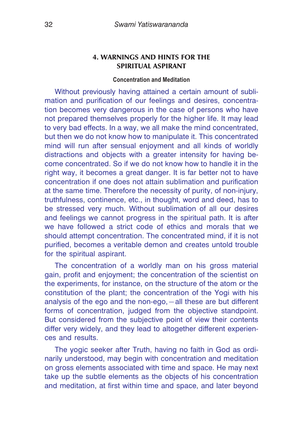## <span id="page-31-0"></span>**4. WARNINGS AND HINTS FOR THE SPIRITUAL ASPIRANT**

#### **Concentration and Meditation**

Without previously having attained a certain amount of sublimation and purification of our feelings and desires, concentration becomes very dangerous in the case of persons who have not prepared themselves properly for the higher life. It may lead to very bad effects. In a way, we all make the mind concentrated, but then we do not know how to manipulate it. This concentrated mind will run after sensual enjoyment and all kinds of worldly distractions and objects with a greater intensity for having become concentrated. So if we do not know how to handle it in the right way, it becomes a great danger. It is far better not to have concentration if one does not attain sublimation and purification at the same time. Therefore the necessity of purity, of non-injury, truthfulness, continence, etc., in thought, word and deed, has to be stressed very much. Without sublimation of all our desires and feelings we cannot progress in the spiritual path. It is after we have followed a strict code of ethics and morals that we should attempt concentration. The concentrated mind, if it is not purified, becomes a veritable demon and creates untold trouble for the spiritual aspirant.

The concentration of a worldly man on his gross material gain, profit and enjoyment; the concentration of the scientist on the experiments, for instance, on the structure of the atom or the constitution of the plant; the concentration of the Yogi with his analysis of the ego and the non-ego,—all these are but different forms of concentration, judged from the objective standpoint. But considered from the subjective point of view their contents differ very widely, and they lead to altogether different experiences and results.

The yogic seeker after Truth, having no faith in God as ordinarily understood, may begin with concentration and meditation on gross elements associated with time and space. He may next take up the subtle elements as the objects of his concentration and meditation, at first within time and space, and later beyond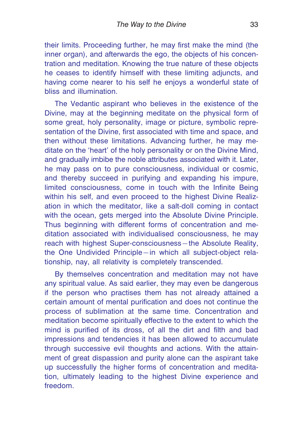their limits. Proceeding further, he may first make the mind (the inner organ), and afterwards the ego, the objects of his concentration and meditation. Knowing the true nature of these objects he ceases to identify himself with these limiting adjuncts, and having come nearer to his self he enjoys a wonderful state of bliss and illumination.

The Vedantic aspirant who believes in the existence of the Divine, may at the beginning meditate on the physical form of some great, holy personality, image or picture, symbolic representation of the Divine, first associated with time and space, and then without these limitations. Advancing further, he may meditate on the 'heart' of the holy personality or on the Divine Mind, and gradually imbibe the noble attributes associated with it. Later, he may pass on to pure consciousness, individual or cosmic, and thereby succeed in purifying and expanding his impure, limited consciousness, come in touch with the Infinite Being within his self, and even proceed to the highest Divine Realization in which the meditator, like a salt-doll coming in contact with the ocean, gets merged into the Absolute Divine Principle. Thus beginning with different forms of concentration and meditation associated with individualised consciousness, he may reach with highest Super-consciousness—the Absolute Reality, the One Undivided Principle—in which all subject-object relationship, nay, all relativity is completely transcended.

By themselves concentration and meditation may not have any spiritual value. As said earlier, they may even be dangerous if the person who practises them has not already attained a certain amount of mental purification and does not continue the process of sublimation at the same time. Concentration and meditation become spiritually effective to the extent to which the mind is purified of its dross, of all the dirt and filth and bad impressions and tendencies it has been allowed to accumulate through successive evil thoughts and actions. With the attainment of great dispassion and purity alone can the aspirant take up successfully the higher forms of concentration and meditation, ultimately leading to the highest Divine experience and freedom.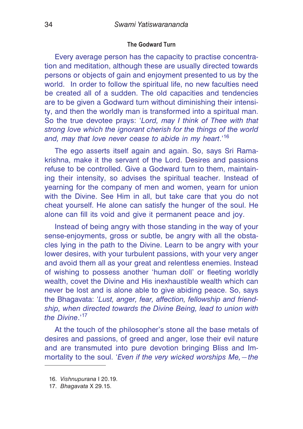#### <span id="page-33-0"></span>**The Godward Turn**

Every average person has the capacity to practise concentration and meditation, although these are usually directed towards persons or objects of gain and enjoyment presented to us by the world. In order to follow the spiritual life, no new faculties need be created all of a sudden. The old capacities and tendencies are to be given a Godward turn without diminishing their intensity, and then the worldly man is transformed into a spiritual man. So the true devotee prays: '*Lord, may I think of Thee with that strong love which the ignorant cherish for the things of the world and, may that love never cease to abide in my heart*.'<sup>16</sup>

The ego asserts itself again and again. So, says Sri Ramakrishna, make it the servant of the Lord. Desires and passions refuse to be controlled. Give a Godward turn to them, maintaining their intensity, so advises the spiritual teacher. Instead of yearning for the company of men and women, yearn for union with the Divine. See Him in all, but take care that you do not cheat yourself. He alone can satisfy the hunger of the soul. He alone can fill its void and give it permanent peace and joy.

Instead of being angry with those standing in the way of your sense-enjoyments, gross or subtle, be angry with all the obstacles lying in the path to the Divine. Learn to be angry with your lower desires, with your turbulent passions, with your very anger and avoid them all as your great and relentless enemies. Instead of wishing to possess another 'human doll' or fleeting worldly wealth, covet the Divine and His inexhaustible wealth which can never be lost and is alone able to give abiding peace. So, says the Bhagavata: '*Lust, anger, fear, affection, fellowship and friendship, when directed towards the Divine Being, lead to union with the Divine*.'<sup>17</sup>

At the touch of the philosopher's stone all the base metals of desires and passions, of greed and anger, lose their evil nature and are transmuted into pure devotion bringing Bliss and Immortality to the soul. '*Even if the very wicked worships Me,—the*

<sup>16.</sup> *Vishnupurana* I 20.19.

<sup>17.</sup> *Bhagavata* X 29.15.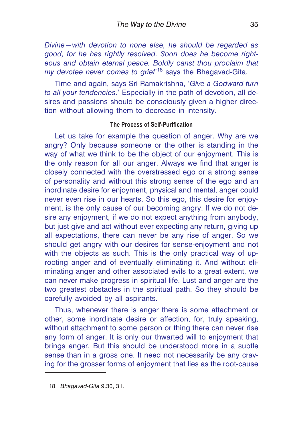<span id="page-34-0"></span>*Divine—with devotion to none else, he should be regarded as good, for he has rightly resolved. Soon does he become righteous and obtain eternal peace. Boldly canst thou proclaim that my devotee never comes to grief*' <sup>18</sup> says the Bhagavad-Gita.

Time and again, says Sri Ramakrishna, '*Give a Godward turn to all your tendencies*.' Especially in the path of devotion, all desires and passions should be consciously given a higher direction without allowing them to decrease in intensity.

# **The Process of Self-Purification**

Let us take for example the question of anger. Why are we angry? Only because someone or the other is standing in the way of what we think to be the object of our enjoyment. This is the only reason for all our anger. Always we find that anger is closely connected with the overstressed ego or a strong sense of personality and without this strong sense of the ego and an inordinate desire for enjoyment, physical and mental, anger could never even rise in our hearts. So this ego, this desire for enjoyment, is the only cause of our becoming angry. If we do not desire any enjoyment, if we do not expect anything from anybody, but just give and act without ever expecting any return, giving up all expectations, there can never be any rise of anger. So we should get angry with our desires for sense-enjoyment and not with the objects as such. This is the only practical way of uprooting anger and of eventually eliminating it. And without eliminating anger and other associated evils to a great extent, we can never make progress in spiritual life. Lust and anger are the two greatest obstacles in the spiritual path. So they should be carefully avoided by all aspirants.

Thus, whenever there is anger there is some attachment or other, some inordinate desire or affection, for, truly speaking, without attachment to some person or thing there can never rise any form of anger. It is only our thwarted will to enjoyment that brings anger. But this should be understood more in a subtle sense than in a gross one. It need not necessarily be any craving for the grosser forms of enjoyment that lies as the root-cause

<sup>18.</sup> *Bhagavad-Gita* 9.30, 31.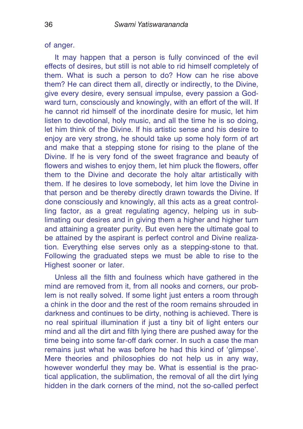of anger.

It may happen that a person is fully convinced of the evil effects of desires, but still is not able to rid himself completely of them. What is such a person to do? How can he rise above them? He can direct them all, directly or indirectly, to the Divine, give every desire, every sensual impulse, every passion a Godward turn, consciously and knowingly, with an effort of the will. If he cannot rid himself of the inordinate desire for music, let him listen to devotional, holy music, and all the time he is so doing, let him think of the Divine. If his artistic sense and his desire to enjoy are very strong, he should take up some holy form of art and make that a stepping stone for rising to the plane of the Divine. If he is very fond of the sweet fragrance and beauty of flowers and wishes to enjoy them, let him pluck the flowers, offer them to the Divine and decorate the holy altar artistically with them. If he desires to love somebody, let him love the Divine in that person and be thereby directly drawn towards the Divine. If done consciously and knowingly, all this acts as a great controlling factor, as a great regulating agency, helping us in sublimating our desires and in giving them a higher and higher turn and attaining a greater purity. But even here the ultimate goal to be attained by the aspirant is perfect control and Divine realization. Everything else serves only as a stepping-stone to that. Following the graduated steps we must be able to rise to the Highest sooner or later.

Unless all the filth and foulness which have gathered in the mind are removed from it, from all nooks and corners, our problem is not really solved. If some light just enters a room through a chink in the door and the rest of the room remains shrouded in darkness and continues to be dirty, nothing is achieved. There is no real spiritual illumination if just a tiny bit of light enters our mind and all the dirt and filth lying there are pushed away for the time being into some far-off dark corner. In such a case the man remains just what he was before he had this kind of 'glimpse'. Mere theories and philosophies do not help us in any way, however wonderful they may be. What is essential is the practical application, the sublimation, the removal of all the dirt lying hidden in the dark corners of the mind, not the so-called perfect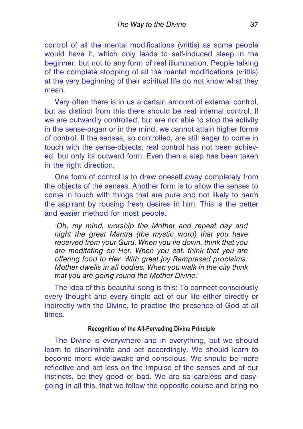control of all the mental modifications (vrittis) as some people would have it, which only leads to self-induced sleep in the beginner, but not to any form of real illumination. People talking of the complete stopping of all the mental modifications (vrittis) at the very beginning of their spiritual life do not know what they mean.

Very often there is in us a certain amount of external control, but as distinct from this there should be real internal control. If we are outwardly controlled, but are not able to stop the activity in the sense-organ or in the mind, we cannot attain higher forms of control. If the senses, so controlled, are still eager to come in touch with the sense-objects, real control has not been achieved, but only its outward form. Even then a step has been taken in the right direction.

One form of control is to draw oneself away completely from the objects of the senses. Another form is to allow the senses to come in touch with things that are pure and not likely to harm the aspirant by rousing fresh desires in him. This is the better and easier method for most people.

*'Oh, my mind, worship the Mother and repeat day and night the great Mantra (the mystic word) that you have received from your Guru. When you lie down, think that you are meditating on Her. When you eat, think that you are offering food to Her. With great joy Ramprasad proclaims: Mother dwells in all bodies. When you walk in the city think that you are going round the Mother Divine.'*

The idea of this beautiful song is this: To connect consciously every thought and every single act of our life either directly or indirectly with the Divine, to practise the presence of God at all times.

# **Recognition of the All-Pervading Divine Principle**

The Divine is everywhere and in everything, but we should learn to discriminate and act accordingly. We should learn to become more wide-awake and conscious. We should be more reflective and act less on the impulse of the senses and of our instincts, be they good or bad. We are so careless and easygoing in all this, that we follow the opposite course and bring no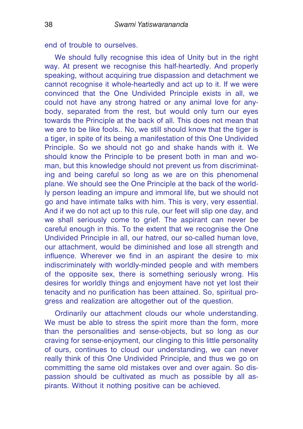end of trouble to ourselves.

We should fully recognise this idea of Unity but in the right way. At present we recognise this half-heartedly. And properly speaking, without acquiring true dispassion and detachment we cannot recognise it whole-heartedly and act up to it. If we were convinced that the One Undivided Principle exists in all, we could not have any strong hatred or any animal love for anybody, separated from the rest, but would only turn our eyes towards the Principle at the back of all. This does not mean that we are to be like fools.. No, we still should know that the tiger is a tiger, in spite of its being a manifestation of this One Undivided Principle. So we should not go and shake hands with it. We should know the Principle to be present both in man and woman, but this knowledge should not prevent us from discriminating and being careful so long as we are on this phenomenal plane. We should see the One Principle at the back of the worldly person leading an impure and immoral life, but we should not go and have intimate talks with him. This is very, very essential. And if we do not act up to this rule, our feet will slip one day, and we shall seriously come to grief. The aspirant can never be careful enough in this. To the extent that we recognise the One Undivided Principle in all, our hatred, our so-called human love, our attachment, would be diminished and lose all strength and influence. Wherever we find in an aspirant the desire to mix indiscriminately with worldly-minded people and with members of the opposite sex, there is something seriously wrong. His desires for worldly things and enjoyment have not yet lost their tenacity and no purification has been attained. So, spiritual progress and realization are altogether out of the question.

Ordinarily our attachment clouds our whole understanding. We must be able to stress the spirit more than the form, more than the personalities and sense-objects, but so long as our craving for sense-enjoyment, our clinging to this little personality of ours, continues to cloud our understanding, we can never really think of this One Undivided Principle, and thus we go on committing the same old mistakes over and over again. So dispassion should be cultivated as much as possible by all aspirants. Without it nothing positive can be achieved.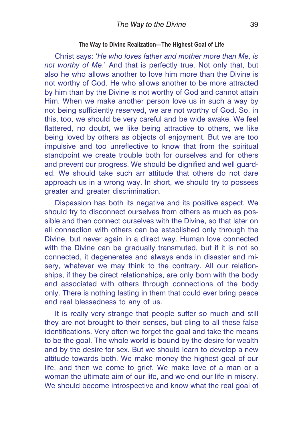#### **The Way to Divine Realization—The Highest Goal of Life**

Christ says: '*He who loves father and mother more than Me, is not worthy of Me*.' And that is perfectly true. Not only that, but also he who allows another to love him more than the Divine is not worthy of God. He who allows another to be more attracted by him than by the Divine is not worthy of God and cannot attain Him. When we make another person love us in such a way by not being sufficiently reserved, we are not worthy of God. So, in this, too, we should be very careful and be wide awake. We feel flattered, no doubt, we like being attractive to others, we like being loved by others as objects of enjoyment. But we are too impulsive and too unreflective to know that from the spiritual standpoint we create trouble both for ourselves and for others and prevent our progress. We should be dignified and well guarded. We should take such arr attitude that others do not dare approach us in a wrong way. In short, we should try to possess greater and greater discrimination.

Dispassion has both its negative and its positive aspect. We should try to disconnect ourselves from others as much as possible and then connect ourselves with the Divine, so that later on all connection with others can be established only through the Divine, but never again in a direct way. Human love connected with the Divine can be gradually transmuted, but if it is not so connected, it degenerates and always ends in disaster and misery, whatever we may think to the contrary. All our relationships, if they be direct relationships, are only born with the body and associated with others through connections of the body only. There is nothing lasting in them that could ever bring peace and real blessedness to any of us.

It is really very strange that people suffer so much and still they are not brought to their senses, but cling to all these false identifications. Very often we forget the goal and take the means to be the goal. The whole world is bound by the desire for wealth and by the desire for sex. But we should learn to develop a new attitude towards both. We make money the highest goal of our life, and then we come to grief. We make love of a man or a woman the ultimate aim of our life, and we end our life in misery. We should become introspective and know what the real goal of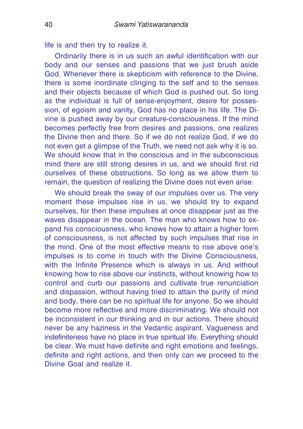life is and then try to realize it.

Ordinarily there is in us such an awful identification with our body and our senses and passions that we just brush aside God. Whenever there is skepticism with reference to the Divine, there is some inordinate clinging to the self and to the senses and their objects because of which God is pushed out. So long as the individual is full of sense-enjoyment, desire for possession, of egoism and vanity, God has no place in his life. The Divine is pushed away by our creature-consciousness. If the mind becomes perfectly free from desires and passions, one realizes the Divine then and there. So if we do not realize God, if we do not even get a glimpse of the Truth, we need not ask why it is so. We should know that in the conscious and in the subconscious mind there are still strong desires in us, and we should first rid ourselves of these obstructions. So long as we allow them to remain, the question of realizing the Divine does not even arise.

We should break the sway of our impulses over us. The very moment these impulses rise in us, we should try to expand ourselves, for then these impulses at once disappear just as the waves disappear in the ocean. The man who knows how to expand his consciousness, who knows how to attain a higher form of consciousness, is not affected by such impulses that rise in the mind. One of the most effective means to rise above one's impulses is to come in touch with the Divine Consciousness, with the Infinite Presence which is always in us. And without knowing how to rise above our instincts, without knowing how to control and curb our passions and cultivate true renunciation and dispassion, without having tried to attain the purity of mind and body, there can be no spiritual life for anyone. So we should become more reflective and more discriminating. We should not be inconsistent in our thinking and in our actions. There should never be any haziness in the Vedantic aspirant. Vagueness and indefiniteness have no place in true spiritual life. Everything should be clear. We must have definite and right emotions and feelings, definite and right actions, and then only can we proceed to the Divine Goal and realize it.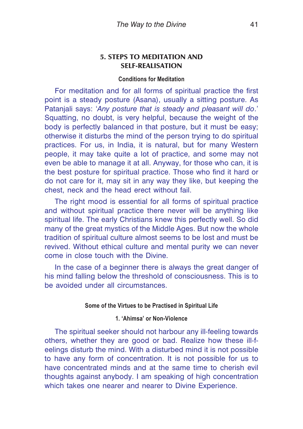# **5. STEPS TO MEDITATION AND SELF-REALISATION**

#### **Conditions for Meditation**

For meditation and for all forms of spiritual practice the first point is a steady posture (Asana), usually a sitting posture. As Patanjali says: '*Any posture that is steady and pleasant will do*.' Squatting, no doubt, is very helpful, because the weight of the body is perfectly balanced in that posture, but it must be easy; otherwise it disturbs the mind of the person trying to do spiritual practices. For us, in India, it is natural, but for many Western people, it may take quite a lot of practice, and some may not even be able to manage it at all. Anyway, for those who can, it is the best posture for spiritual practice. Those who find it hard or do not care for it, may sit in any way they like, but keeping the chest, neck and the head erect without fail.

The right mood is essential for all forms of spiritual practice and without spiritual practice there never will be anything like spiritual life. The early Christians knew this perfectly well. So did many of the great mystics of the Middle Ages. But now the whole tradition of spiritual culture almost seems to be lost and must be revived. Without ethical culture and mental purity we can never come in close touch with the Divine.

In the case of a beginner there is always the great danger of his mind falling below the threshold of consciousness. This is to be avoided under all circumstances.

### **Some of the Virtues to be Practised in Spiritual Life**

### **1. 'Ahimsa' or Non-Violence**

The spiritual seeker should not harbour any ill-feeling towards others, whether they are good or bad. Realize how these ill-feelings disturb the mind. With a disturbed mind it is not possible to have any form of concentration. It is not possible for us to have concentrated minds and at the same time to cherish evil thoughts against anybody. I am speaking of high concentration which takes one nearer and nearer to Divine Experience.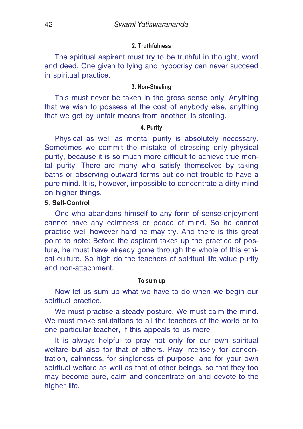#### **2. Truthfulness**

The spiritual aspirant must try to be truthful in thought, word and deed. One given to lying and hypocrisy can never succeed in spiritual practice.

#### **3. Non-Stealing**

This must never be taken in the gross sense only. Anything that we wish to possess at the cost of anybody else, anything that we get by unfair means from another, is stealing.

# **4. Purity**

Physical as well as mental purity is absolutely necessary. Sometimes we commit the mistake of stressing only physical purity, because it is so much more difficult to achieve true mental purity. There are many who satisfy themselves by taking baths or observing outward forms but do not trouble to have a pure mind. It is, however, impossible to concentrate a dirty mind on higher things.

# **5. Self-Control**

One who abandons himself to any form of sense-enjoyment cannot have any calmness or peace of mind. So he cannot practise well however hard he may try. And there is this great point to note: Before the aspirant takes up the practice of posture, he must have already gone through the whole of this ethical culture. So high do the teachers of spiritual life value purity and non-attachment.

#### **To sum up**

Now let us sum up what we have to do when we begin our spiritual practice.

We must practise a steady posture. We must calm the mind. We must make salutations to all the teachers of the world or to one particular teacher, if this appeals to us more.

It is always helpful to pray not only for our own spiritual welfare but also for that of others. Pray intensely for concentration, calmness, for singleness of purpose, and for your own spiritual welfare as well as that of other beings, so that they too may become pure, calm and concentrate on and devote to the higher life.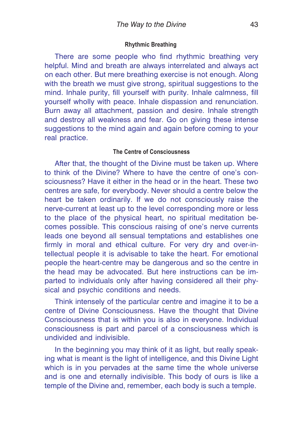#### **Rhythmic Breathing**

There are some people who find rhythmic breathing very helpful. Mind and breath are always interrelated and always act on each other. But mere breathing exercise is not enough. Along with the breath we must give strong, spiritual suggestions to the mind. Inhale purity, fill yourself with purity. Inhale calmness, fill yourself wholly with peace. Inhale dispassion and renunciation. Burn away all attachment, passion and desire. Inhale strength and destroy all weakness and fear. Go on giving these intense suggestions to the mind again and again before coming to your real practice.

### **The Centre of Consciousness**

After that, the thought of the Divine must be taken up. Where to think of the Divine? Where to have the centre of one's consciousness? Have it either in the head or in the heart. These two centres are safe, for everybody. Never should a centre below the heart be taken ordinarily. If we do not consciously raise the nerve-current at least up to the level corresponding more or less to the place of the physical heart, no spiritual meditation becomes possible. This conscious raising of one's nerve currents leads one beyond all sensual temptations and establishes one firmly in moral and ethical culture. For very dry and over-intellectual people it is advisable to take the heart. For emotional people the heart-centre may be dangerous and so the centre in the head may be advocated. But here instructions can be imparted to individuals only after having considered all their physical and psychic conditions and needs.

Think intensely of the particular centre and imagine it to be a centre of Divine Consciousness. Have the thought that Divine Consciousness that is within you is also in everyone. Individual consciousness is part and parcel of a consciousness which is undivided and indivisible.

In the beginning you may think of it as light, but really speaking what is meant is the light of intelligence, and this Divine Light which is in you pervades at the same time the whole universe and is one and eternally indivisible. This body of ours is like a temple of the Divine and, remember, each body is such a temple.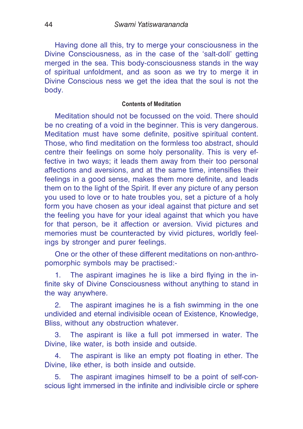Having done all this, try to merge your consciousness in the Divine Consciousness, as in the case of the 'salt-doll' getting merged in the sea. This body-consciousness stands in the way of spiritual unfoldment, and as soon as we try to merge it in Divine Conscious ness we get the idea that the soul is not the body.

#### **Contents of Meditation**

Meditation should not be focussed on the void. There should be no creating of a void in the beginner. This is very dangerous. Meditation must have some definite, positive spiritual content. Those, who find meditation on the formless too abstract, should centre their feelings on some holy personality. This is very effective in two ways; it leads them away from their too personal affections and aversions, and at the same time, intensifies their feelings in a good sense, makes them more definite, and leads them on to the light of the Spirit. If ever any picture of any person you used to love or to hate troubles you, set a picture of a holy form you have chosen as your ideal against that picture and set the feeling you have for your ideal against that which you have for that person, be it affection or aversion. Vivid pictures and memories must be counteracted by vivid pictures, worldly feelings by stronger and purer feelings.

One or the other of these different meditations on non-anthropomorphic symbols may be practised:-

1. The aspirant imagines he is like a bird flying in the infinite sky of Divine Consciousness without anything to stand in the way anywhere.

2. The aspirant imagines he is a fish swimming in the one undivided and eternal indivisible ocean of Existence, Knowledge, Bliss, without any obstruction whatever.

3. The aspirant is like a full pot immersed in water. The Divine, like water, is both inside and outside.

4. The aspirant is like an empty pot floating in ether. The Divine, like ether, is both inside and outside.

5. The aspirant imagines himself to be a point of self-conscious light immersed in the infinite and indivisible circle or sphere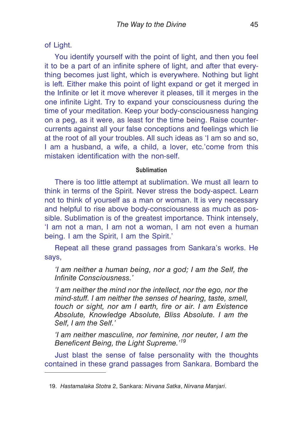of Light.

You identify yourself with the point of light, and then you feel it to be a part of an infinite sphere of light, and after that everything becomes just light, which is everywhere. Nothing but light is left. Either make this point of light expand or get it merged in the Infinite or let it move wherever it pleases, till it merges in the one infinite Light. Try to expand your consciousness during the time of your meditation. Keep your body-consciousness hanging on a peg, as it were, as least for the time being. Raise countercurrents against all your false conceptions and feelings which lie at the root of all your troubles. All such ideas as 'I am so and so, I am a husband, a wife, a child, a lover, etc.'come from this mistaken identification with the non-self.

### **Sublimation**

There is too little attempt at sublimation. We must all learn to think in terms of the Spirit. Never stress the body-aspect. Learn not to think of yourself as a man or woman. It is very necessary and helpful to rise above body-consciousness as much as possible. Sublimation is of the greatest importance. Think intensely, 'I am not a man, I am not a woman, I am not even a human being. I am the Spirit, I am the Spirit.'

Repeat all these grand passages from Sankara's works. He says,

*'I am neither a human being, nor a god; I am the Self, the Infinite Consciousness.'*

*'I am neither the mind nor the intellect, nor the ego, nor the mind-stuff. I am neither the senses of hearing, taste, smell, touch or sight, nor am I earth, fire or air. I am Existence Absolute, Knowledge Absolute, Bliss Absolute. I am the Self, I am the Self.'*

*'I am neither masculine, nor feminine, nor neuter, I am the Beneficent Being, the Light Supreme.'<sup>19</sup>*

Just blast the sense of false personality with the thoughts contained in these grand passages from Sankara. Bombard the

<sup>19.</sup> *Hastamalaka Stotra* 2, Sankara: *Nirvana Satka*, *Nirvana Manjari*.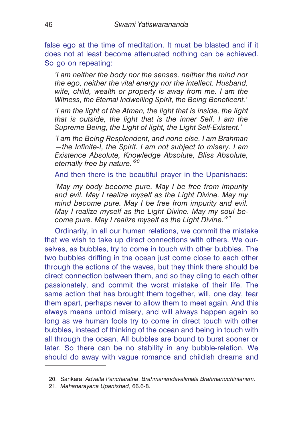false ego at the time of meditation. It must be blasted and if it does not at least become attenuated nothing can be achieved. So go on repeating:

*'I am neither the body nor the senses, neither the mind nor the ego, neither the vital energy nor the intellect. Husband, wife, child, wealth or property is away from me. I am the Witness, the Eternal Indwelling Spirit, the Being Beneficent.'*

*'I am the light of the Atman, the light that is inside, the light that is outside, the light that is the inner Self. I am the Supreme Being, the Light of light, the Light Self-Existent.'*

*'É am the Being Resplendent, and none else. I am Brahman —the Infinite-I, the Spirit. I am not subject to misery. I am Existence Absolute, Knowledge Absolute, Bliss Absolute, eternally free by nature.'<sup>20</sup>*

And then there is the beautiful prayer in the Upanishads:

*'May my body become pure. May I be free from impurity and evil. May I realize myself as the Light Divine. May my mind become pure. May I be free from impurity and evil. May I realize myself as the Light Divine. May my soul become pure. May I realize myself as the Light Divine.'<sup>21</sup>*

Ordinarily, in all our human relations, we commit the mistake that we wish to take up direct connections with others. We ourselves, as bubbles, try to come in touch with other bubbles. The two bubbles drifting in the ocean just come close to each other through the actions of the waves, but they think there should be direct connection between them, and so they cling to each other passionately, and commit the worst mistake of their life. The same action that has brought them together, will, one day, tear them apart, perhaps never to allow them to meet again. And this always means untold misery, and will always happen again so long as we human fools try to come in direct touch with other bubbles, instead of thinking of the ocean and being in touch with all through the ocean. All bubbles are bound to burst sooner or later. So there can be no stability in any bubble-relation. We should do away with vague romance and childish dreams and

<sup>20.</sup> Sankara: *Advaita Pancharatna*, *Brahmanandavalimala Brahmanuchintanam.*

<sup>21.</sup> *Mahanarayana Upanishad*, 66.6-8.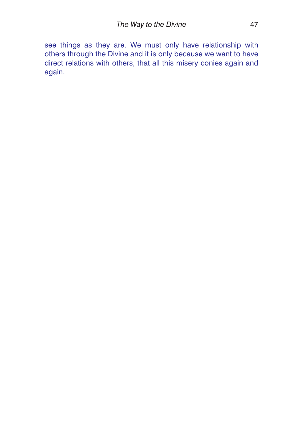see things as they are. We must only have relationship with others through the Divine and it is only because we want to have direct relations with others, that all this misery conies again and again.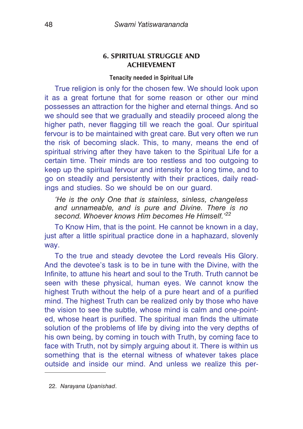# **6. SPIRITUAL STRUGGLE AND ACHIEVEMENT**

### **Tenacity needed in Spiritual Life**

True religion is only for the chosen few. We should look upon it as a great fortune that for some reason or other our mind possesses an attraction for the higher and eternal things. And so we should see that we gradually and steadily proceed along the higher path, never flagging till we reach the goal. Our spiritual fervour is to be maintained with great care. But very often we run the risk of becoming slack. This, to many, means the end of spiritual striving after they have taken to the Spiritual Life for a certain time. Their minds are too restless and too outgoing to keep up the spiritual fervour and intensity for a long time, and to go on steadily and persistently with their practices, daily readings and studies. So we should be on our guard.

*'He is the only One that is stainless, sinless, changeless and unnameable, and is pure and Divine. There is no second. Whoever knows Him becomes He Himself.'<sup>22</sup>*

To Know Him, that is the point. He cannot be known in a day, just after a little spiritual practice done in a haphazard, slovenly way.

To the true and steady devotee the Lord reveals His Glory. And the devotee's task is to be in tune with the Divine, with the Infinite, to attune his heart and soul to the Truth. Truth cannot be seen with these physical, human eyes. We cannot know the highest Truth without the help of a pure heart and of a purified mind. The highest Truth can be realized only by those who have the vision to see the subtle, whose mind is calm and one-pointed, whose heart is purified. The spiritual man finds the ultimate solution of the problems of life by diving into the very depths of his own being, by coming in touch with Truth, by coming face to face with Truth, not by simply arguing about it. There is within us something that is the eternal witness of whatever takes place outside and inside our mind. And unless we realize this per-

22. *Narayana Upanishad*.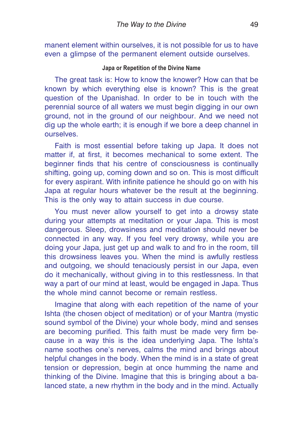manent element within ourselves, it is not possible for us to have even a glimpse of the permanent element outside ourselves.

# **Japa or Repetition of the Divine Name**

The great task is: How to know the knower? How can that be known by which everything else is known? This is the great question of the Upanishad. In order to be in touch with the perennial source of all waters we must begin digging in our own ground, not in the ground of our neighbour. And we need not dig up the whole earth; it is enough if we bore a deep channel in ourselves.

Faith is most essential before taking up Japa. It does not matter if, at first, it becomes mechanical to some extent. The beginner finds that his centre of consciousness is continually shifting, going up, coming down and so on. This is most difficult for every aspirant. With infinite patience he should go on with his Japa at regular hours whatever be the result at the beginning. This is the only way to attain success in due course.

You must never allow yourself to get into a drowsy state during your attempts at meditation or your Japa. This is most dangerous. Sleep, drowsiness and meditation should never be connected in any way. If you feel very drowsy, while you are doing your Japa, just get up and walk to and fro in the room, till this drowsiness leaves you. When the mind is awfully restless and outgoing, we should tenaciously persist in our Japa, even do it mechanically, without giving in to this restlessness. In that way a part of our mind at least, would be engaged in Japa. Thus the whole mind cannot become or remain restless.

Imagine that along with each repetition of the name of your Ishta (the chosen object of meditation) or of your Mantra (mystic sound symbol of the Divine) your whole body, mind and senses are becoming purified. This faith must be made very firm because in a way this is the idea underlying Japa. The Ishta's name soothes one's nerves, calms the mind and brings about helpful changes in the body. When the mind is in a state of great tension or depression, begin at once humming the name and thinking of the Divine. Imagine that this is bringing about a balanced state, a new rhythm in the body and in the mind. Actually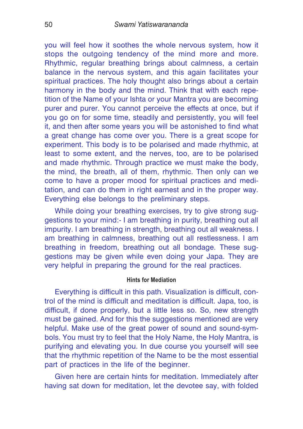you will feel how it soothes the whole nervous system, how it stops the outgoing tendency of the mind more and more. Rhythmic, regular breathing brings about calmness, a certain balance in the nervous system, and this again facilitates your spiritual practices. The holy thought also brings about a certain harmony in the body and the mind. Think that with each repetition of the Name of your Ishta or your Mantra you are becoming purer and purer. You cannot perceive the effects at once, but if you go on for some time, steadily and persistently, you will feel it, and then after some years you will be astonished to find what a great change has come over you. There is a great scope for experiment. This body is to be polarised and made rhythmic, at least to some extent, and the nerves, too, are to be polarised and made rhythmic. Through practice we must make the body, the mind, the breath, all of them, rhythmic. Then only can we come to have a proper mood for spiritual practices and meditation, and can do them in right earnest and in the proper way. Everything else belongs to the preliminary steps.

While doing your breathing exercises, try to give strong suggestions to your mind:- I am breathing in purity, breathing out all impurity. I am breathing in strength, breathing out all weakness. I am breathing in calmness, breathing out all restlessness. I am breathing in freedom, breathing out all bondage. These suggestions may be given while even doing your Japa. They are very helpful in preparing the ground for the real practices.

### **Hints for Mediation**

Everything is difficult in this path. Visualization is difficult, control of the mind is difficult and meditation is difficult. Japa, too, is difficult, if done properly, but a little less so. So, new strength must be gained. And for this the suggestions mentioned are very helpful. Make use of the great power of sound and sound-symbols. You must try to feel that the Holy Name, the Holy Mantra, is purifying and elevating you. In due course you yourself will see that the rhythmic repetition of the Name to be the most essential part of practices in the life of the beginner.

Given here are certain hints for meditation. Immediately after having sat down for meditation, let the devotee say, with folded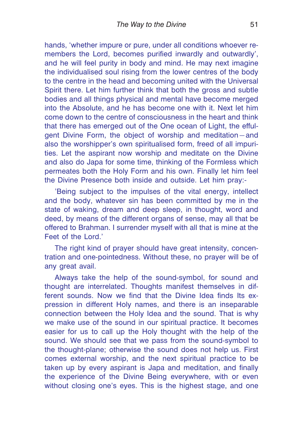hands, 'whether impure or pure, under all conditions whoever remembers the Lord, becomes purified inwardly and outwardly', and he will feel purity in body and mind. He may next imagine the individualised soul rising from the lower centres of the body to the centre in the head and becoming united with the Universal Spirit there. Let him further think that both the gross and subtle bodies and all things physical and mental have become merged into the Absolute, and he has become one with it. Next let him come down to the centre of consciousness in the heart and think that there has emerged out of the One ocean of Light, the effulgent Divine Form, the object of worship and meditation—and also the worshipper's own spiritualised form, freed of all impurities. Let the aspirant now worship and meditate on the Divine and also do Japa for some time, thinking of the Formless which permeates both the Holy Form and his own. Finally let him feel the Divine Presence both inside and outside. Let him pray:-

'Being subject to the impulses of the vital energy, intellect and the body, whatever sin has been committed by me in the state of waking, dream and deep sleep, in thought, word and deed, by means of the different organs of sense, may all that be offered to Brahman. I surrender myself with all that is mine at the Feet of the Lord.'

The right kind of prayer should have great intensity, concentration and one-pointedness. Without these, no prayer will be of any great avail.

Always take the help of the sound-symbol, for sound and thought are interrelated. Thoughts manifest themselves in different sounds. Now we find that the Divine Idea finds Its expression in different Holy names, and there is an inseparable connection between the Holy Idea and the sound. That is why we make use of the sound in our spiritual practice. It becomes easier for us to call up the Holy thought with the help of the sound. We should see that we pass from the sound-symbol to the thought-plane; otherwise the sound does not help us. First comes external worship, and the next spiritual practice to be taken up by every aspirant is Japa and meditation, and finally the experience of the Divine Being everywhere, with or even without closing one's eyes. This is the highest stage, and one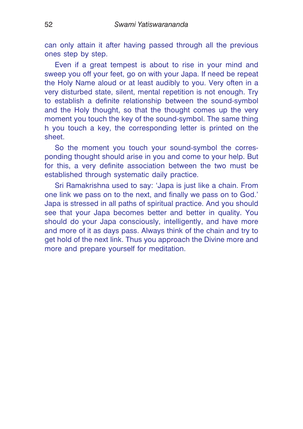can only attain it after having passed through all the previous ones step by step.

Even if a great tempest is about to rise in your mind and sweep you off your feet, go on with your Japa. If need be repeat the Holy Name aloud or at least audibly to you. Very often in a very disturbed state, silent, mental repetition is not enough. Try to establish a definite relationship between the sound-symbol and the Holy thought, so that the thought comes up the very moment you touch the key of the sound-symbol. The same thing h you touch a key, the corresponding letter is printed on the sheet.

So the moment you touch your sound-symbol the corresponding thought should arise in you and come to your help. But for this, a very definite association between the two must be established through systematic daily practice.

Sri Ramakrishna used to say: 'Japa is just like a chain. From one link we pass on to the next, and finally we pass on to God.' Japa is stressed in all paths of spiritual practice. And you should see that your Japa becomes better and better in quality. You should do your Japa consciously, intelligently, and have more and more of it as days pass. Always think of the chain and try to get hold of the next link. Thus you approach the Divine more and more and prepare yourself for meditation.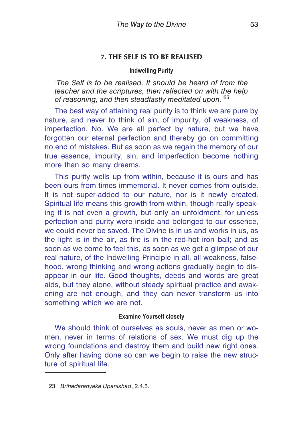# **7. THE SELF IS TO BE REALISED**

### **Indwelling Purity**

*'The Self is to be realised. It should be heard of from the teacher and the scriptures, then reflected on with the help of reasoning, and then steadfastly meditated upon.'<sup>23</sup>*

The best way of attaining real purity is to think we are pure by nature, and never to think of sin, of impurity, of weakness, of imperfection. No. We are all perfect by nature, but we have forgotten our eternal perfection and thereby go on committing no end of mistakes. But as soon as we regain the memory of our true essence, impurity, sin, and imperfection become nothing more than so many dreams.

This purity wells up from within, because it is ours and has been ours from times immemorial. It never comes from outside. It is not super-added to our nature, nor is it newly created. Spiritual life means this growth from within, though really speaking it is not even a growth, but only an unfoldment, for unless perfection and purity were inside and belonged to our essence, we could never be saved. The Divine is in us and works in us, as the light is in the air, as fire is in the red-hot iron ball; and as soon as we come to feel this, as soon as we get a glimpse of our real nature, of the Indwelling Principle in all, all weakness, falsehood, wrong thinking and wrong actions gradually begin to disappear in our life. Good thoughts, deeds and words are great aids, but they alone, without steady spiritual practice and awakening are not enough, and they can never transform us into something which we are not.

### **Examine Yourself closely**

We should think of ourselves as souls, never as men or women, never in terms of relations of sex. We must dig up the wrong foundations and destroy them and build new right ones. Only after having done so can we begin to raise the new structure of spiritual life.

<sup>23.</sup> *Brihadaranyaka Upanishad*, 2.4.5.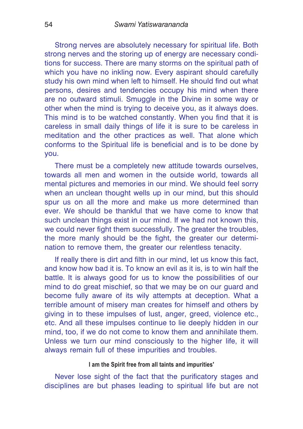Strong nerves are absolutely necessary for spiritual life. Both strong nerves and the storing up of energy are necessary conditions for success. There are many storms on the spiritual path of which you have no inkling now. Every aspirant should carefully study his own mind when left to himself. He should find out what persons, desires and tendencies occupy his mind when there are no outward stimuli. Smuggle in the Divine in some way or other when the mind is trying to deceive you, as it always does. This mind is to be watched constantly. When you find that it is careless in small daily things of life it is sure to be careless in meditation and the other practices as well. That alone which conforms to the Spiritual life is beneficial and is to be done by you.

There must be a completely new attitude towards ourselves, towards all men and women in the outside world, towards all mental pictures and memories in our mind. We should feel sorry when an unclean thought wells up in our mind, but this should spur us on all the more and make us more determined than ever. We should be thankful that we have come to know that such unclean things exist in our mind. If we had not known this, we could never fight them successfully. The greater the troubles, the more manly should be the fight, the greater our determination to remove them, the greater our relentless tenacity.

If really there is dirt and filth in our mind, let us know this fact, and know how bad it is. To know an evil as it is, is to win half the battle. It is always good for us to know the possibilities of our mind to do great mischief, so that we may be on our guard and become fully aware of its wily attempts at deception. What a terrible amount of misery man creates for himself and others by giving in to these impulses of lust, anger, greed, violence etc., etc. And all these impulses continue to lie deeply hidden in our mind, too, if we do not come to know them and annihilate them. Unless we turn our mind consciously to the higher life, it will always remain full of these impurities and troubles.

# **I am the Spirit free from all taints and impurities'**

Never lose sight of the fact that the purificatory stages and disciplines are but phases leading to spiritual life but are not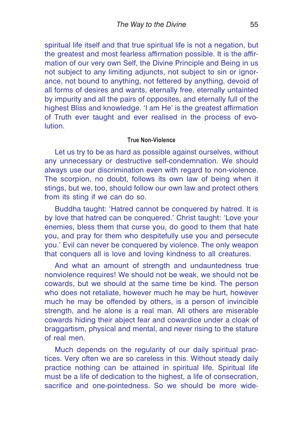spiritual life itself and that true spiritual life is not a negation, but the greatest and most fearless affirmation possible. It is the affirmation of our very own Self, the Divine Principle and Being in us not subject to any limiting adjuncts, not subject to sin or ignorance, not bound to anything, not fettered by anything, devoid of all forms of desires and wants, eternally free, eternally untainted by impurity and all the pairs of opposites, and eternally full of the highest Bliss and knowledge. 'I am He' is the greatest affirmation of Truth ever taught and ever realised in the process of evolution.

### **True Non-Violence**

Let us try to be as hard as possible against ourselves, without any unnecessary or destructive self-condemnation. We should always use our discrimination even with regard to non-violence. The scorpion, no doubt, follows its own law of being when it stings, but we, too, should follow our own law and protect others from its sting if we can do so.

Buddha taught: 'Hatred cannot be conquered by hatred. It is by love that hatred can be conquered.' Christ taught: 'Love your enemies, bless them that curse you, do good to them that hate you, and pray for them who despitefully use you and persecute you.' Evil can never be conquered by violence. The only weapon that conquers all is love and loving kindness to all creatures.

And what an amount of strength and undauntedness true nonviolence requires! We should not be weak, we should not be cowards, but we should at the same time be kind. The person who does not retaliate, however much he may be hurt, however much he may be offended by others, is a person of invincible strength, and he alone is a real man. All others are miserable cowards hiding their abject fear and cowardice under a cloak of braggartism, physical and mental, and never rising to the stature of real men.

Much depends on the regularity of our daily spiritual practices. Very often we are so careless in this. Without steady daily practice nothing can be attained in spiritual life. Spiritual life must be a life of dedication to the highest, a life of consecration, sacrifice and one-pointedness. So we should be more wide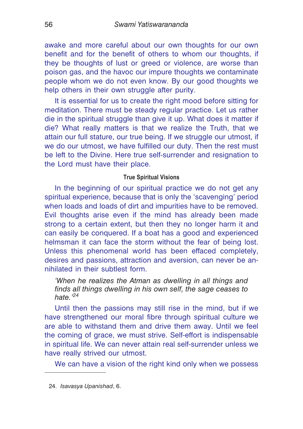awake and more careful about our own thoughts for our own benefit and for the benefit of others to whom our thoughts, if they be thoughts of lust or greed or violence, are worse than poison gas, and the havoc our impure thoughts we contaminate people whom we do not even know. By our good thoughts we help others in their own struggle after purity.

It is essential for us to create the right mood before sitting for meditation. There must be steady regular practice. Let us rather die in the spiritual struggle than give it up. What does it matter if die? What really matters is that we realize the Truth, that we attain our full stature, our true being. If we struggle our utmost, if we do our utmost, we have fulfilled our duty. Then the rest must be left to the Divine. Here true self-surrender and resignation to the Lord must have their place.

# **True Spiritual Visions**

In the beginning of our spiritual practice we do not get any spiritual experience, because that is only the 'scavenging' period when loads and loads of dirt and impurities have to be removed. Evil thoughts arise even if the mind has already been made strong to a certain extent, but then they no longer harm it and can easily be conquered. If a boat has a good and experienced helmsman it can face the storm without the fear of being lost. Unless this phenomenal world has been effaced completely, desires and passions, attraction and aversion, can never be annihilated in their subtlest form.

*'When he realizes the Atman as dwelling in all things and finds all things dwelling in his own self, the sage ceases to hate.'<sup>24</sup>*

Until then the passions may still rise in the mind, but if we have strengthened our moral fibre through spiritual culture we are able to withstand them and drive them away. Until we feel the coming of grace, we must strive. Self-effort is indispensable in spiritual life. We can never attain real self-surrender unless we have really strived our utmost.

We can have a vision of the right kind only when we possess

<sup>24.</sup> *Isavasya Upanishad*, 6.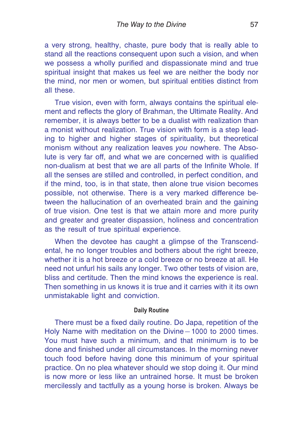a very strong, healthy, chaste, pure body that is really able to stand all the reactions consequent upon such a vision, and when we possess a wholly purified and dispassionate mind and true spiritual insight that makes us feel we are neither the body nor the mind, nor men or women, but spiritual entities distinct from all these.

True vision, even with form, always contains the spiritual element and reflects the glory of Brahman, the Ultimate Reality. And remember, it is always better to be a dualist with realization than a monist without realization. True vision with form is a step leading to higher and higher stages of spirituality, but theoretical monism without any realization leaves *you* nowhere. The Absolute is very far off, and what we are concerned with is qualified non-dualism at best that we are all parts of the Infinite Whole. If all the senses are stilled and controlled, in perfect condition, and if the mind, too, is in that state, then alone true vision becomes possible, not otherwise. There is a very marked difference between the hallucination of an overheated brain and the gaining of true vision. One test is that we attain more and more purity and greater and greater dispassion, holiness and concentration as the result of true spiritual experience.

When the devotee has caught a glimpse of the Transcendental, he no longer troubles and bothers about the right breeze, whether it is a hot breeze or a cold breeze or no breeze at all. He need not unfurl his sails any longer. Two other tests of vision are, bliss and certitude. Then the mind knows the experience is real. Then something in us knows it is true and it carries with it its own unmistakable light and conviction.

#### **Daily Routine**

There must be a fixed daily routine. Do Japa, repetition of the Holy Name with meditation on the Divine—1000 to 2000 times. You must have such a minimum, and that minimum is to be done and finished under all circumstances. In the morning never touch food before having done this minimum of your spiritual practice. On no plea whatever should we stop doing it. Our mind is now more or less like an untrained horse. It must be broken mercilessly and tactfully as a young horse is broken. Always be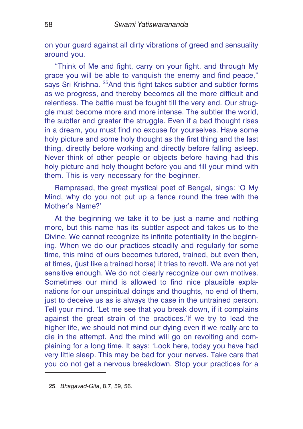on your guard against all dirty vibrations of greed and sensuality around you.

"Think of Me and fight, carry on your fight, and through My grace you will be able to vanquish the enemy and find peace," says Sri Krishna. <sup>25</sup> And this fight takes subtler and subtler forms as we progress, and thereby becomes all the more difficult and relentless. The battle must be fought till the very end. Our struggle must become more and more intense. The subtler the world, the subtler and greater the struggle. Even if a bad thought rises in a dream, you must find no excuse for yourselves. Have some holy picture and some holy thought as the first thing and the last thing, directly before working and directly before falling asleep. Never think of other people or objects before having had this holy picture and holy thought before you and fill your mind with them. This is very necessary for the beginner.

Ramprasad, the great mystical poet of Bengal, sings: 'O My Mind, why do you not put up a fence round the tree with the Mother's Name?'

At the beginning we take it to be just a name and nothing more, but this name has its subtler aspect and takes us to the Divine. We cannot recognize its infinite potentiality in the beginning. When we do our practices steadily and regularly for some time, this mind of ours becomes tutored, trained, but even then, at times, (just like a trained horse) it tries to revolt. We are not yet sensitive enough. We do not clearly recognize our own motives. Sometimes our mind is allowed to find nice plausible explanations for our unspiritual doings and thoughts, no end of them, just to deceive us as is always the case in the untrained person. Tell your mind. 'Let me see that you break down, if it complains against the great strain of the practices.'If we try to lead the higher life, we should not mind our dying even if we really are to die in the attempt. And the mind will go on revolting and complaining for a long time. It says: 'Look here, today you have had very little sleep. This may be bad for your nerves. Take care that you do not get a nervous breakdown. Stop your practices for a

<sup>25.</sup> *Bhagavad-Gita*, 8.7, 59, 56.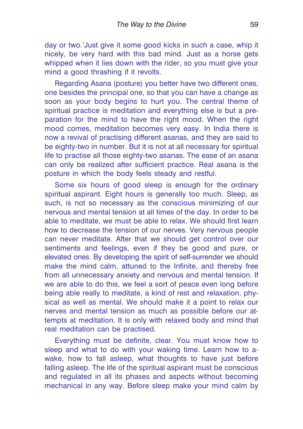day or two.'Just give it some good kicks in such a case, whip it nicely, be very hard with this bad mind. Just as a horse gets whipped when it lies down with the rider, so you must give your mind a good thrashing if it revolts.

Regarding Asana (posture) you better have two different ones, one besides the principal one, so that you can have a change as soon as your body begins to hurt you. The central theme of spiritual practice is meditation and everything else is but a preparation for the mind to have the right mood. When the right mood comes, meditation becomes very easy. In India there is now a revival of practising different asanas, and they are said to be eighty-two in number. But it is not at all necessary for spiritual life to practise all those eighty-two asanas. The ease of an asana can only be realized after sufficient practice. Real asana is the posture in which the body feels steady and restful.

Some six hours of good sleep is enough for the ordinary spiritual aspirant. Eight hours is generally too much. Sleep, as such, is not so necessary as the conscious minimizing of our nervous and mental tension at all times of the day. In order to be able to meditate, we must be able to relax. We should first learn how to decrease the tension of our nerves. Very nervous people can never meditate. After that we should get control over our sentiments and feelings, even if they be good and pure, or elevated ones. By developing the spirit of self-surrender we should make the mind calm, attuned to the Infinite, and thereby free from all unnecessary anxiety and nervous and mental tension. If we are able to do this, we feel a sort of peace even long before being able really to meditate, a kind of rest and relaxation, physical as well as mental. We should make it a point to relax our nerves and mental tension as much as possible before our attempts at meditation. It is only with relaxed body and mind that real meditation can be practised.

Everything must be definite, clear. You must know how to sleep and what to do with your waking time. Learn how to awake, how to fall asleep, what thoughts to have just before falling asleep. The life of the spiritual aspirant must be conscious and regulated in all its phases and aspects without becoming mechanical in any way. Before sleep make your mind calm by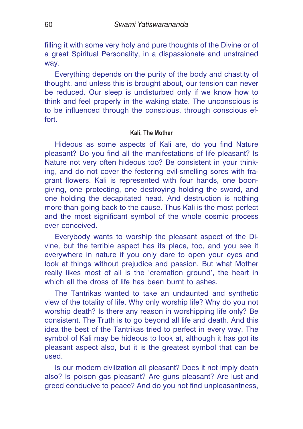filling it with some very holy and pure thoughts of the Divine or of a great Spiritual Personality, in a dispassionate and unstrained way.

Everything depends on the purity of the body and chastity of thought, and unless this is brought about, our tension can never be reduced. Our sleep is undisturbed only if we know how to think and feel properly in the waking state. The unconscious is to be influenced through the conscious, through conscious effort.

#### **Kali, The Mother**

Hideous as some aspects of Kali are, do you find Nature pleasant? Do you find all the manifestations of life pleasant? Is Nature not very often hideous too? Be consistent in your thinking, and do not cover the festering evil-smelling sores with fragrant flowers. Kali is represented with four hands, one boongiving, one protecting, one destroying holding the sword, and one holding the decapitated head. And destruction is nothing more than going back to the cause. Thus Kali is the most perfect and the most significant symbol of the whole cosmic process ever conceived.

Everybody wants to worship the pleasant aspect of the Divine, but the terrible aspect has its place, too, and you see it everywhere in nature if you only dare to open your eyes and look at things without prejudice and passion. But what Mother really likes most of all is the 'cremation ground', the heart in which all the dross of life has been burnt to ashes.

The Tantrikas wanted to take an undaunted and synthetic view of the totality of life. Why only worship life? Why do you not worship death? Is there any reason in worshipping life only? Be consistent. The Truth is to go beyond all life and death. And this idea the best of the Tantrikas tried to perfect in every way. The symbol of Kali may be hideous to look at, although it has got its pleasant aspect also, but it is the greatest symbol that can be used.

Is our modern civilization all pleasant? Does it not imply death also? Is poison gas pleasant? Are guns pleasant? Are lust and greed conducive to peace? And do you not find unpleasantness,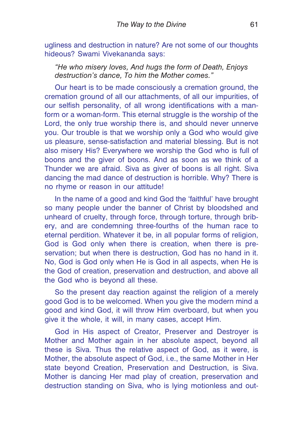ugliness and destruction in nature? Are not some of our thoughts hideous? Swami Vivekananda says:

*"He who misery loves, And hugs the form of Death, Enjoys destruction's dance, To him the Mother comes."*

Our heart is to be made consciously a cremation ground, the cremation ground of all our attachments, of all our impurities, of our selfish personality, of all wrong identifications with a manform or a woman-form. This eternal struggle is the worship of the Lord, the only true worship there is, and should never unnerve you. Our trouble is that we worship only a God who would give us pleasure, sense-satisfaction and material blessing. But is not also misery His? Everywhere we worship the God who is full of boons and the giver of boons. And as soon as we think of a Thunder we are afraid. Siva as giver of boons is all right. Siva dancing the mad dance of destruction is horrible. Why? There is no rhyme or reason in our attitude!

In the name of a good and kind God the 'faithful' have brought so many people under the banner of Christ by bloodshed and unheard of cruelty, through force, through torture, through bribery, and are condemning three-fourths of the human race to eternal perdition. Whatever it be, in all popular forms of religion, God is God only when there is creation, when there is preservation; but when there is destruction, God has no hand in it. No, God is God only when He is God in all aspects, when He is the God of creation, preservation and destruction, and above all the God who is beyond all these.

So the present day reaction against the religion of a merely good God is to be welcomed. When you give the modern mind a good and kind God, it will throw Him overboard, but when you give it the whole, it will, in many cases, accept Him.

God in His aspect of Creator, Preserver and Destroyer is Mother and Mother again in her absolute aspect, beyond all these is Siva. Thus the relative aspect of God, as it were, is Mother, the absolute aspect of God, i.e., the same Mother in Her state beyond Creation, Preservation and Destruction, is Siva. Mother is dancing Her mad play of creation, preservation and destruction standing on Siva, who is lying motionless and out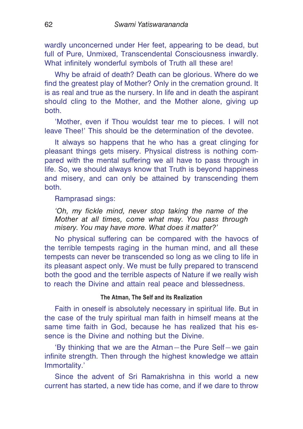wardly unconcerned under Her feet, appearing to be dead, but full of Pure, Unmixed, Transcendental Consciousness inwardly. What infinitely wonderful symbols of Truth all these are!

Why be afraid of death? Death can be glorious. Where do we find the greatest play of Mother? Only in the cremation ground. It is as real and true as the nursery. In life and in death the aspirant should cling to the Mother, and the Mother alone, giving up both.

'Mother, even if Thou wouldst tear me to pieces. I will not leave Thee!' This should be the determination of the devotee.

It always so happens that he who has a great clinging for pleasant things gets misery. Physical distress is nothing compared with the mental suffering we all have to pass through in life. So, we should always know that Truth is beyond happiness and misery, and can only be attained by transcending them both.

# Ramprasad sings:

*'Oh, my fickle mind, never stop taking the name of the Mother at all times, come what may. You pass through misery. You may have more. What does it matter?'*

No physical suffering can be compared with the havocs of the terrible tempests raging in the human mind, and all these tempests can never be transcended so long as we cling to life in its pleasant aspect only. We must be fully prepared to transcend both the good and the terrible aspects of Nature if we really wish to reach the Divine and attain real peace and blessedness.

# **The Atman, The Self and its Realization**

Faith in oneself is absolutely necessary in spiritual life. But in the case of the truly spiritual man faith in himself means at the same time faith in God, because he has realized that his essence is the Divine and nothing but the Divine.

'By thinking that we are the Atman—the Pure Self—we gain infinite strength. Then through the highest knowledge we attain Immortality.'

Since the advent of Sri Ramakrishna in this world a new current has started, a new tide has come, and if we dare to throw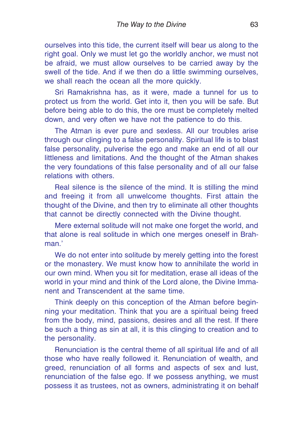ourselves into this tide, the current itself will bear us along to the right goal. Only we must let go the worldly anchor, we must not be afraid, we must allow ourselves to be carried away by the swell of the tide. And if we then do a little swimming ourselves, we shall reach the ocean all the more quickly.

Sri Ramakrishna has, as it were, made a tunnel for us to protect us from the world. Get into it, then you will be safe. But before being able to do this, the ore must be completely melted down, and very often we have not the patience to do this.

The Atman is ever pure and sexless. All our troubles arise through our clinging to a false personality. Spiritual life is to blast false personality, pulverise the ego and make an end of all our littleness and limitations. And the thought of the Atman shakes the very foundations of this false personality and of all our false relations with others.

Real silence is the silence of the mind. It is stilling the mind and freeing it from all unwelcome thoughts. First attain the thought of the Divine, and then try to eliminate all other thoughts that cannot be directly connected with the Divine thought.

Mere external solitude will not make one forget the world, and that alone is real solitude in which one merges oneself in Brahman<sup>1</sup>

We do not enter into solitude by merely getting into the forest or the monastery. We must know how to annihilate the world in our own mind. When you sit for meditation, erase all ideas of the world in your mind and think of the Lord alone, the Divine Immanent and Transcendent at the same time.

Think deeply on this conception of the Atman before beginning your meditation. Think that you are a spiritual being freed from the body, mind, passions, desires and all the rest. If there be such a thing as sin at all, it is this clinging to creation and to the personality.

Renunciation is the central theme of all spiritual life and of all those who have really followed it. Renunciation of wealth, and greed, renunciation of all forms and aspects of sex and lust, renunciation of the false ego. If we possess anything, we must possess it as trustees, not as owners, administrating it on behalf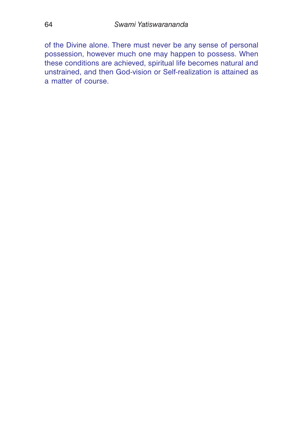of the Divine alone. There must never be any sense of personal possession, however much one may happen to possess. When these conditions are achieved, spiritual life becomes natural and unstrained, and then God-vision or Self-realization is attained as a matter of course.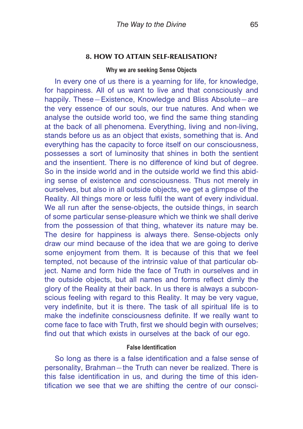### **8. HOW TO ATTAIN SELF-REALISATION?**

#### **Why we are seeking Sense Objects**

In every one of us there is a yearning for life, for knowledge, for happiness. All of us want to live and that consciously and happily. These—Existence, Knowledge and Bliss Absolute—are the very essence of our souls, our true natures. And when we analyse the outside world too, we find the same thing standing at the back of all phenomena. Everything, living and non-living, stands before us as an object that exists, something that is. And everything has the capacity to force itself on our consciousness, possesses a sort of luminosity that shines in both the sentient and the insentient. There is no difference of kind but of degree. So in the inside world and in the outside world we find this abiding sense of existence and consciousness. Thus not merely in ourselves, but also in all outside objects, we get a glimpse of the Reality. All things more or less fulfil the want of every individual. We all run after the sense-objects, the outside things, in search of some particular sense-pleasure which we think we shall derive from the possession of that thing, whatever its nature may be. The desire for happiness is always there. Sense-objects only draw our mind because of the idea that we are going to derive some enjoyment from them. It is because of this that we feel tempted, not because of the intrinsic value of that particular object. Name and form hide the face of Truth in ourselves and in the outside objects, but all names and forms reflect dimly the glory of the Reality at their back. In us there is always a subconscious feeling with regard to this Reality. It may be very vague, very indefinite, but it is there. The task of all spiritual life is to make the indefinite consciousness definite. If we really want to come face to face with Truth, first we should begin with ourselves; find out that which exists in ourselves at the back of our ego.

### **False Identification**

So long as there is a false identification and a false sense of personality, Brahman—the Truth can never be realized. There is this false identification in us, and during the time of this identification we see that we are shifting the centre of our consci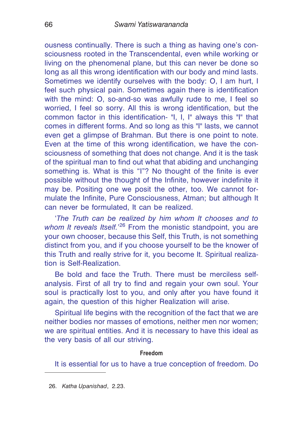ousness continually. There is such a thing as having one's consciousness rooted in the Transcendental, even while working or living on the phenomenal plane, but this can never be done so long as all this wrong identification with our body and mind lasts. Sometimes we identify ourselves with the body: O, I am hurt, I feel such physical pain. Sometimes again there is identification with the mind: O, so-and-so was awfully rude to me, I feel so worried, I feel so sorry. All this is wrong identification, but the common factor in this identification- "I, I, I" always this "I" that comes in different forms. And so long as this "I" lasts, we cannot even get a glimpse of Brahman. But there is one point to note. Even at the time of this wrong identification, we have the consciousness of something that does not change. And it is the task of the spiritual man to find out what that abiding and unchanging something is. What is this "I"? No thought of the finite is ever possible without the thought of the Infinite, however indefinite it may be. Positing one we posit the other, too. We cannot formulate the Infinite, Pure Consciousness, Atman; but although It can never be formulated, It can be realized.

'*The Truth can be realized by him whom It chooses and to* whom It reveals Itself.<sup>'26</sup> From the monistic standpoint, you are your own chooser, because this Self, this Truth, is not something distinct from you, and if you choose yourself to be the knower of this Truth and really strive for it, you become It. Spiritual realization is Self-Realization.

Be bold and face the Truth. There must be merciless selfanalysis. First of all try to find and regain your own soul. Your soul is practically lost to you, and only after you have found it again, the question of this higher Realization will arise.

Spiritual life begins with the recognition of the fact that we are neither bodies nor masses of emotions, neither men nor women; we are spiritual entities. And it is necessary to have this ideal as the very basis of all our striving.

#### **Freedom**

It is essential for us to have a true conception of freedom. Do

26. *Katha Upanishad*, 2.23.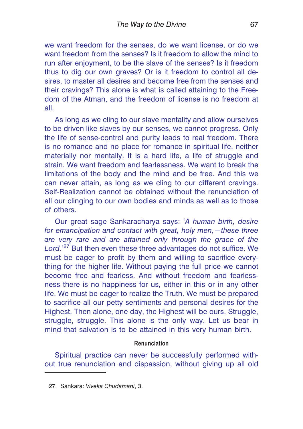we want freedom for the senses, do we want license, or do we want freedom from the senses? Is it freedom to allow the mind to run after enjoyment, to be the slave of the senses? Is it freedom thus to dig our own graves? Or is it freedom to control all desires, to master all desires and become free from the senses and their cravings? This alone is what is called attaining to the Freedom of the Atman, and the freedom of license is no freedom at all.

As long as we cling to our slave mentality and allow ourselves to be driven like slaves by our senses, we cannot progress. Only the life of sense-control and purity leads to real freedom. There is no romance and no place for romance in spiritual life, neither materially nor mentally. It is a hard life, a life of struggle and strain. We want freedom and fearlessness. We want to break the limitations of the body and the mind and be free. And this we can never attain, as long as we cling to our different cravings. Self-Realization cannot be obtained without the renunciation of all our clinging to our own bodies and minds as well as to those of others.

Our great sage Sankaracharya says: '*A human birth, desire for emancipation and contact with great, holy men,—these three are very rare and are attained only through the grace of the* Lord.<sup>'27</sup> But then even these three advantages do not suffice. We must be eager to profit by them and willing to sacrifice everything for the higher life. Without paying the full price we cannot become free and fearless. And without freedom and fearlessness there is no happiness for us, either in this or in any other life. We must be eager to realize the Truth. We must be prepared to sacrifice all our petty sentiments and personal desires for the Highest. Then alone, one day, the Highest will be ours. Struggle, struggle, struggle. This alone is the only way. Let us bear in mind that salvation is to be attained in this very human birth.

# **Renunciation**

Spiritual practice can never be successfully performed without true renunciation and dispassion, without giving up all old

<sup>27.</sup> Sankara: *Viveka Chudamani*, 3.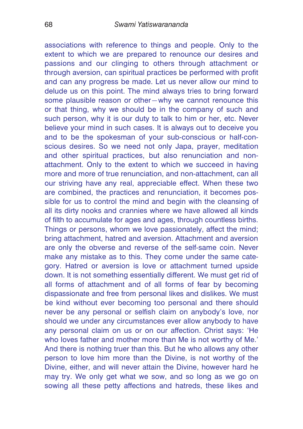associations with reference to things and people. Only to the extent to which we are prepared to renounce our desires and passions and our clinging to others through attachment or through aversion, can spiritual practices be performed with profit and can any progress be made. Let us never allow our mind to delude us on this point. The mind always tries to bring forward some plausible reason or other—why we cannot renounce this or that thing, why we should be in the company of such and such person, why it is our duty to talk to him or her, etc. Never believe your mind in such cases. It is always out to deceive you and to be the spokesman of your sub-conscious or half-conscious desires. So we need not only Japa, prayer, meditation and other spiritual practices, but also renunciation and nonattachment. Only to the extent to which we succeed in having more and more of true renunciation, and non-attachment, can all our striving have any real, appreciable effect. When these two are combined, the practices and renunciation, it becomes possible for us to control the mind and begin with the cleansing of all its dirty nooks and crannies where we have allowed all kinds of filth to accumulate for ages and ages, through countless births. Things or persons, whom we love passionately, affect the mind; bring attachment, hatred and aversion. Attachment and aversion are only the obverse and reverse of the self-same coin. Never make any mistake as to this. They come under the same category. Hatred or aversion is love or attachment turned upside down. It is not something essentially different. We must get rid of all forms of attachment and of all forms of fear by becoming dispassionate and free from personal likes and dislikes. We must be kind without ever becoming too personal and there should never be any personal or selfish claim on anybody's love, nor should we under any circumstances ever allow anybody to have any personal claim on us or on our affection. Christ says: 'He who loves father and mother more than Me is not worthy of Me.' And there is nothing truer than this. But he who allows any other person to love him more than the Divine, is not worthy of the Divine, either, and will never attain the Divine, however hard he may try. We only get what we sow, and so long as we go on sowing all these petty affections and hatreds, these likes and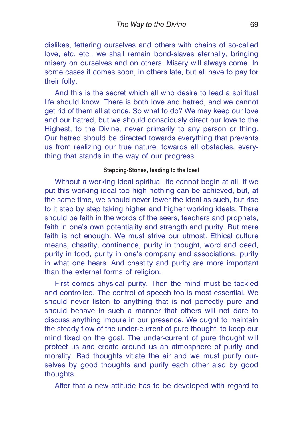dislikes, fettering ourselves and others with chains of so-called love, etc. etc., we shall remain bond-slaves eternally, bringing misery on ourselves and on others. Misery will always come. In some cases it comes soon, in others late, but all have to pay for their folly.

And this is the secret which all who desire to lead a spiritual life should know. There is both love and hatred, and we cannot get rid of them all at once. So what to do? We may keep our love and our hatred, but we should consciously direct our love to the Highest, to the Divine, never primarily to any person or thing. Our hatred should be directed towards everything that prevents us from realizing our true nature, towards all obstacles, everything that stands in the way of our progress.

# **Stepping-Stones, leading to the Ideal**

Without a working ideal spiritual life cannot begin at all. If we put this working ideal too high nothing can be achieved, but, at the same time, we should never lower the ideal as such, but rise to it step by step taking higher and higher working ideals. There should be faith in the words of the seers, teachers and prophets, faith in one's own potentiality and strength and purity. But mere faith is not enough. We must strive our utmost. Ethical culture means, chastity, continence, purity in thought, word and deed, purity in food, purity in one's company and associations, purity in what one hears. And chastity and purity are more important than the external forms of religion.

First comes physical purity. Then the mind must be tackled and controlled. The control of speech too is most essential. We should never listen to anything that is not perfectly pure and should behave in such a manner that others will not dare to discuss anything impure in our presence. We ought to maintain the steady flow of the under-current of pure thought, to keep our mind fixed on the goal. The under-current of pure thought will protect us and create around us an atmosphere of purity and morality. Bad thoughts vitiate the air and we must purify ourselves by good thoughts and purify each other also by good thoughts.

After that a new attitude has to be developed with regard to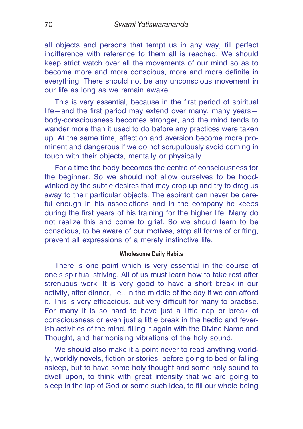all objects and persons that tempt us in any way, till perfect indifference with reference to them all is reached. We should keep strict watch over all the movements of our mind so as to become more and more conscious, more and more definite in everything. There should not be any unconscious movement in our life as long as we remain awake.

This is very essential, because in the first period of spiritual life—and the first period may extend over many, many years body-consciousness becomes stronger, and the mind tends to wander more than it used to do before any practices were taken up. At the same time, affection and aversion become more prominent and dangerous if we do not scrupulously avoid coming in touch with their objects, mentally or physically.

For a time the body becomes the centre of consciousness for the beginner. So we should not allow ourselves to be hoodwinked by the subtle desires that may crop up and try to drag us away to their particular objects. The aspirant can never be careful enough in his associations and in the company he keeps during the first years of his training for the higher life. Many do not realize this and come to grief. So we should learn to be conscious, to be aware of our motives, stop all forms of drifting, prevent all expressions of a merely instinctive life.

#### **Wholesome Daily Habits**

There is one point which is very essential in the course of one's spiritual striving. All of us must learn how to take rest after strenuous work. It is very good to have a short break in our activity, after dinner, i.e., in the middle of the day if we can afford it. This is very efficacious, but very difficult for many to practise. For many it is so hard to have just a little nap or break of consciousness or even just a little break in the hectic and feverish activities of the mind, filling it again with the Divine Name and Thought, and harmonising vibrations of the holy sound.

We should also make it a point never to read anything worldly, worldly novels, fiction or stories, before going to bed or falling asleep, but to have some holy thought and some holy sound to dwell upon, to think with great intensity that we are going to sleep in the lap of God or some such idea, to fill our whole being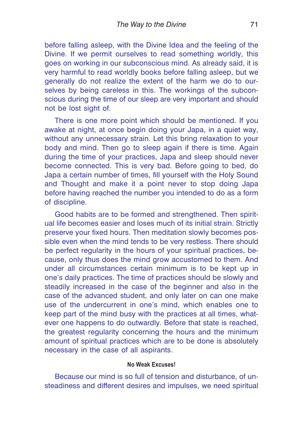before falling asleep, with the Divine Idea and the feeling of the Divine. If we permit ourselves to read something worldly, this goes on working in our subconscious mind. As already said, it is very harmful to read worldly books before falling asleep, but we generally do not realize the extent of the harm we do to ourselves by being careless in this. The workings of the subconscious during the time of our sleep are very important and should not be lost sight of.

There is one more point which should be mentioned. If you awake at night, at once begin doing your Japa, in a quiet way, without any unnecessary strain. Let this bring relaxation to your body and mind. Then go to sleep again if there is time. Again during the time of your practices, Japa and sleep should never become connected. This is very bad. Before going to bed, do Japa a certain number of times, fill yourself with the Holy Sound and Thought and make it a point never to stop doing Japa before having reached the number you intended to do as a form of discipline.

Good habits are to be formed and strengthened. Then spiritual life becomes easier and loses much of its initial strain. Strictly preserve your fixed hours. Then meditation slowly becomes possible even when the mind tends to be very restless. There should be perfect regularity in the hours of your spiritual practices, because, only thus does the mind grow accustomed to them. And under all circumstances certain minimum is to be kept up in one's daily practices. The time of practices should be slowly and steadily increased in the case of the beginner and also in the case of the advanced student, and only later on can one make use of the undercurrent in one's mind, which enables one to keep part of the mind busy with the practices at all times, whatever one happens to do outwardly. Before that state is reached, the greatest regularity concerning the hours and the minimum amount of spiritual practices which are to be done is absolutely necessary in the case of all aspirants.

# **No Weak Excuses!**

Because our mind is so full of tension and disturbance, of unsteadiness and different desires and impulses, we need spiritual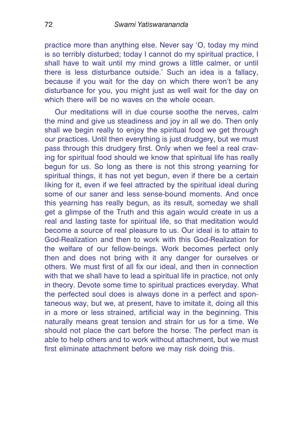practice more than anything else. Never say 'O, today my mind is so terribly disturbed; today I cannot do my spiritual practice, I shall have to wait until my mind grows a little calmer, or until there is less disturbance outside.' Such an idea is a fallacy, because if you wait for the day on which there won't be any disturbance for you, you might just as well wait for the day on which there will be no waves on the whole ocean.

Our meditations will in due course soothe the nerves, calm the mind and give us steadiness and joy in all we do. Then only shall we begin really to enjoy the spiritual food we get through our practices. Until then everything is just drudgery, but we must pass through this drudgery first. Only when we feel a real craving for spiritual food should we know that spiritual life has really begun for us. So long as there is not this strong yearning for spiritual things, it has not yet begun, even if there be a certain liking for it, even if we feel attracted by the spiritual ideal during some of our saner and less sense-bound moments. And once this yearning has really begun, as its result, someday we shall get a glimpse of the Truth and this again would create in us a real and lasting taste for spiritual life, so that meditation would become a source of real pleasure to us. Our ideal is to attain to God-Realization and then to work with this God-Realization for the welfare of our fellow-beings. Work becomes perfect only then and does not bring with it any danger for ourselves or others. We must first of all fix our ideal, and then in connection with that we shall have to lead a spiritual life in practice, not only in theory. Devote some time to spiritual practices everyday. What the perfected soul does is always done in a perfect and spontaneous way, but we, at present, have to imitate it, doing all this in a more or less strained, artificial way in the beginning. This naturally means great tension and strain for us for a time. We should not place the cart before the horse. The perfect man is able to help others and to work without attachment, but we must first eliminate attachment before we may risk doing this.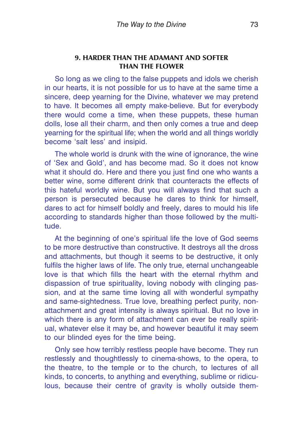# **9. HARDER THAN THE ADAMANT AND SOFTER THAN THE FLOWER**

So long as we cling to the false puppets and idols we cherish in our hearts, it is not possible for us to have at the same time a sincere, deep yearning for the Divine, whatever we may pretend to have. It becomes all empty make-believe. But for everybody there would come a time, when these puppets, these human dolls, lose all their charm, and then only comes a true and deep yearning for the spiritual life; when the world and all things worldly become 'salt less' and insipid.

The whole world is drunk with the wine of ignorance, the wine of 'Sex and Gold', and has become mad. So it does not know what it should do. Here and there you just find one who wants a better wine, some different drink that counteracts the effects of this hateful worldly wine. But you will always find that such a person is persecuted because he dares to think for himself, dares to act for himself boldly and freely, dares to mould his life according to standards higher than those followed by the multitude.

At the beginning of one's spiritual life the love of God seems to be more destructive than constructive. It destroys all the dross and attachments, but though it seems to be destructive, it only fulfils the higher laws of life. The only true, eternal unchangeable love is that which fills the heart with the eternal rhythm and dispassion of true spirituality, loving nobody with clinging passion, and at the same time loving all with wonderful sympathy and same-sightedness. True love, breathing perfect purity, nonattachment and great intensity is always spiritual. But no love in which there is any form of attachment can ever be really spiritual, whatever else it may be, and however beautiful it may seem to our blinded eyes for the time being.

Only see how terribly restless people have become. They run restlessly and thoughtlessly to cinema-shows, to the opera, to the theatre, to the temple or to the church, to lectures of all kinds, to concerts, to anything and everything, sublime or ridiculous, because their centre of gravity is wholly outside them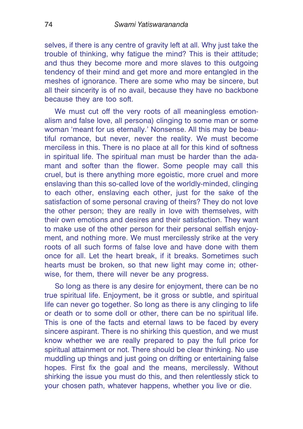selves, if there is any centre of gravity left at all. Why just take the trouble of thinking, why fatigue the mind? This is their attitude; and thus they become more and more slaves to this outgoing tendency of their mind and get more and more entangled in the meshes of ignorance. There are some who may be sincere, but all their sincerity is of no avail, because they have no backbone because they are too soft.

We must cut off the very roots of all meaningless emotionalism and false love, all persona) clinging to some man or some woman 'meant for us eternally.' Nonsense. All this may be beautiful romance, but never, never the reality. We must become merciless in this. There is no place at all for this kind of softness in spiritual life. The spiritual man must be harder than the adamant and softer than the flower. Some people may call this cruel, but is there anything more egoistic, more cruel and more enslaving than this so-called love of the worldly-minded, clinging to each other, enslaving each other, just for the sake of the satisfaction of some personal craving of theirs? They do not love the other person; they are really in love with themselves, with their own emotions and desires and their satisfaction. They want to make use of the other person for their personal selfish enjoyment, and nothing more. We must mercilessly strike at the very roots of all such forms of false love and have done with them once for all. Let the heart break, if it breaks. Sometimes such hearts must be broken, so that new light may come in; otherwise, for them, there will never be any progress.

So long as there is any desire for enjoyment, there can be no true spiritual life. Enjoyment, be it gross or subtle, and spiritual life can never go together. So long as there is any clinging to life or death or to some doll or other, there can be no spiritual life. This is one of the facts and eternal laws to be faced by every sincere aspirant. There is no shirking this question, and we must know whether we are really prepared to pay the full price for spiritual attainment or not. There should be clear thinking. No use muddling up things and just going on drifting or entertaining false hopes. First fix the goal and the means, mercilessly. Without shirking the issue you must do this, and then relentlessly stick to your chosen path, whatever happens, whether you live or die.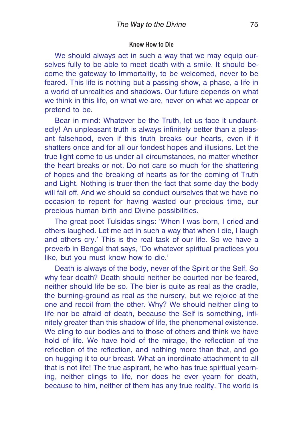#### **Know How to Die**

We should always act in such a way that we may equip ourselves fully to be able to meet death with a smile. It should become the gateway to Immortality, to be welcomed, never to be feared. This life is nothing but a passing show, a phase, a life in a world of unrealities and shadows. Our future depends on what we think in this life, on what we are, never on what we appear or pretend to be.

Bear in mind: Whatever be the Truth, let us face it undauntedly! An unpleasant truth is always infinitely better than a pleasant falsehood, even if this truth breaks our hearts, even if it shatters once and for all our fondest hopes and illusions. Let the true light come to us under all circumstances, no matter whether the heart breaks or not. Do not care so much for the shattering of hopes and the breaking of hearts as for the coming of Truth and Light. Nothing is truer then the fact that some day the body will fall off. And we should so conduct ourselves that we have no occasion to repent for having wasted our precious time, our precious human birth and Divine possibilities.

The great poet Tulsidas sings: 'When I was born, I cried and others laughed. Let me act in such a way that when I die, I laugh and others cry.' This is the real task of our life. So we have a proverb in Bengal that says, 'Do whatever spiritual practices you like, but you must know how to die.'

Death is always of the body, never of the Spirit or the Self. So why fear death? Death should neither be courted nor be feared, neither should life be so. The bier is quite as real as the cradle, the burning-ground as real as the nursery, but we rejoice at the one and recoil from the other. Why? We should neither cling to life nor be afraid of death, because the Self is something, infinitely greater than this shadow of life, the phenomenal existence. We cling to our bodies and to those of others and think we have hold of life. We have hold of the mirage, the reflection of the reflection of the reflection, and nothing more than that, and go on hugging it to our breast. What an inordinate attachment to all that is not life! The true aspirant, he who has true spiritual yearning, neither clings to life, nor does he ever yearn for death, because to him, neither of them has any true reality. The world is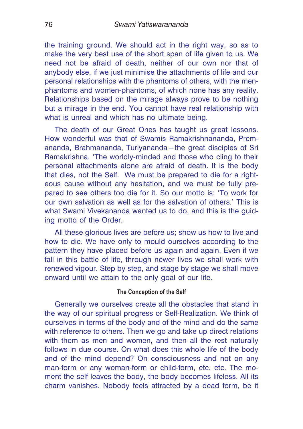the training ground. We should act in the right way, so as to make the very best use of the short span of life given to us. We need not be afraid of death, neither of our own nor that of anybody else, if we just minimise the attachments of life and our personal relationships with the phantoms of others, with the menphantoms and women-phantoms, of which none has any reality. Relationships based on the mirage always prove to be nothing but a mirage in the end. You cannot have real relationship with what is unreal and which has no ultimate being.

The death of our Great Ones has taught us great lessons. How wonderful was that of Swamis Ramakrishnananda, Premananda, Brahmananda, Turiyananda—the great disciples of Sri Ramakrishna. 'The worldly-minded and those who cling to their personal attachments alone are afraid of death. It is the body that dies, not the Self. We must be prepared to die for a righteous cause without any hesitation, and we must be fully prepared to see others too die for it. So our motto is: 'To work for our own salvation as well as for the salvation of others.' This is what Swami Vivekananda wanted us to do, and this is the guiding motto of the Order.

All these glorious lives are before us; show us how to live and how to die. We have only to mould ourselves according to the pattern they have placed before us again and again. Even if we fall in this battle of life, through newer lives we shall work with renewed vigour. Step by step, and stage by stage we shall move onward until we attain to the only goal of our life.

## **The Conception of the Self**

Generally we ourselves create all the obstacles that stand in the way of our spiritual progress or Self-Realization. We think of ourselves in terms of the body and of the mind and do the same with reference to others. Then we go and take up direct relations with them as men and women, and then all the rest naturally follows in due course. On what does this whole life of the body and of the mind depend? On consciousness and not on any man-form or any woman-form or child-form, etc. etc. The moment the self leaves the body, the body becomes lifeless. All its charm vanishes. Nobody feels attracted by a dead form, be it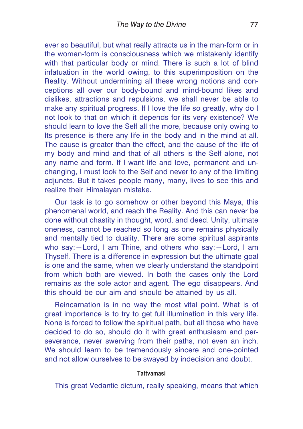ever so beautiful, but what really attracts us in the man-form or in the woman-form is consciousness which we mistakenly identify with that particular body or mind. There is such a lot of blind infatuation in the world owing, to this superimposition on the Reality. Without undermining all these wrong notions and conceptions all over our body-bound and mind-bound likes and dislikes, attractions and repulsions, we shall never be able to make any spiritual progress. If I love the life so greatly, why do I not look to that on which it depends for its very existence? We should learn to love the Self all the more, because only owing to Its presence is there any life in the body and in the mind at all. The cause is greater than the effect, and the cause of the life of my body and mind and that of all others is the Self alone, not any name and form. If I want life and love, permanent and unchanging, I must look to the Self and never to any of the limiting adjuncts. But it takes people many, many, lives to see this and realize their Himalayan mistake.

Our task is to go somehow or other beyond this Maya, this phenomenal world, and reach the Reality. And this can never be done without chastity in thought, word, and deed. Unity, ultimate oneness, cannot be reached so long as one remains physically and mentally tied to duality. There are some spiritual aspirants who say:—Lord, I am Thine, and others who say:—Lord, I am Thyself. There is a difference in expression but the ultimate goal is one and the same, when we clearly understand the standpoint from which both are viewed. In both the cases only the Lord remains as the sole actor and agent. The ego disappears. And this should be our aim and should be attained by us all.

Reincarnation is in no way the most vital point. What is of great importance is to try to get full illumination in this very life. None is forced to follow the spiritual path, but all those who have decided to do so, should do it with great enthusiasm and perseverance, never swerving from their paths, not even an inch. We should learn to be tremendously sincere and one-pointed and not allow ourselves to be swayed by indecision and doubt.

#### **Tattvamasi**

This great Vedantic dictum, really speaking, means that which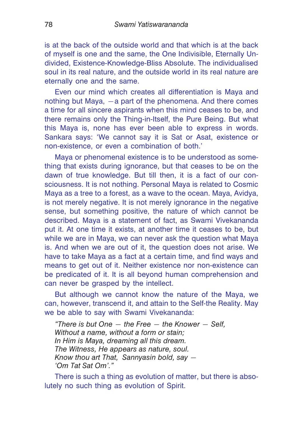is at the back of the outside world and that which is at the back of myself is one and the same, the One Indivisible, Eternally Undivided, Existence-Knowledge-Bliss Absolute. The individualised soul in its real nature, and the outside world in its real nature are eternally one and the same.

Even our mind which creates all differentiation is Maya and nothing but Maya, —a part of the phenomena. And there comes a time for all sincere aspirants when this mind ceases to be, and there remains only the Thing-in-Itself, the Pure Being. But what this Maya is, none has ever been able to express in words. Sankara says: 'We cannot say it is Sat or Asat, existence or non-existence, or even a combination of both.'

Maya or phenomenal existence is to be understood as something that exists during ignorance, but that ceases to be on the dawn of true knowledge. But till then, it is a fact of our consciousness. It is not nothing. Personal Maya is related to Cosmic Maya as a tree to a forest, as a wave to the ocean. Maya, Avidya, is not merely negative. It is not merely ignorance in the negative sense, but something positive, the nature of which cannot be described. Maya is a statement of fact, as Swami Vivekananda put it. At one time it exists, at another time it ceases to be, but while we are in Maya, we can never ask the question what Maya is. And when we are out of it, the question does not arise. We have to take Maya as a fact at a certain time, and find ways and means to get out of it. Neither existence nor non-existence can be predicated of it. It is all beyond human comprehension and can never be grasped by the intellect.

But although we cannot know the nature of the Maya, we can, however, transcend it, and attain to the Self-the Reality. May we be able to say with Swami Vivekananda:

*"There is but One — the Free — the Knower — Self, Without a name, without a form or stain; In Him is Maya, dreaming all this dream. The Witness, He appears as nature, soul. Know thou art That, Sannyasin bold, say — 'Om Tat Sat Om'."*

There is such a thing as evolution of matter, but there is absolutely no such thing as evolution of Spirit.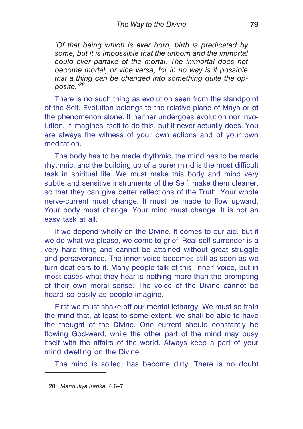*'Of that being which is ever born, birth is predicated by some, but it is impossible that the unborn and the immortal could ever partake of the mortal. The immortal does not become mortal, or vice versa; for in no way is it possible that a thing can be changed into something quite the opposite.'<sup>28</sup>*

There is no such thing as evolution seen from the standpoint of the Self. Evolution belongs to the relative plane of Maya or of the phenomenon alone. It neither undergoes evolution nor involution. It imagines itself to do this, but it never actually does. You are always the witness of your own actions and of your own meditation.

The body has to be made rhythmic, the mind has to be made rhythmic, and the building up of a purer mind is the most difficult task in spiritual life. We must make this body and mind very subtle and sensitive instruments of the Self, make them cleaner, so that they can give better reflections of the Truth. Your whole nerve-current must change. It must be made to flow upward. Your body must change. Your mind must change. It is not an easy task at all.

If we depend wholly on the Divine, It comes to our aid, but if we do what we please, we come to grief. Real self-surrender is a very hard thing and cannot be attained without great struggle and perseverance. The inner voice becomes still as soon as we turn deaf ears to it. Many people talk of this 'inner' voice, but in most cases what they hear is nothing more than the prompting of their own moral sense. The voice of the Divine cannot be heard so easily as people imagine.

First we must shake off our mental lethargy. We must so train the mind that, at least to some extent, we shall be able to have the thought of the Divine. One current should constantly be flowing God-ward, while the other part of the mind may busy itself with the affairs of the world. Always keep a part of your mind dwelling on the Divine.

The mind is soiled, has become dirty. There is no doubt

<sup>28.</sup> *Mandukya Karika*, 4.6–7.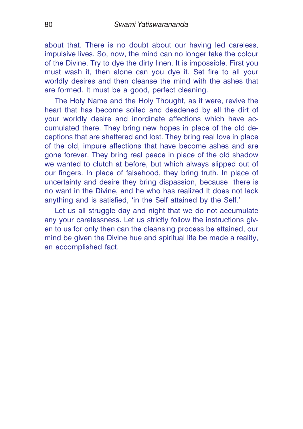about that. There is no doubt about our having led careless, impulsive lives. So, now, the mind can no longer take the colour of the Divine. Try to dye the dirty linen. It is impossible. First you must wash it, then alone can you dye it. Set fire to all your worldly desires and then cleanse the mind with the ashes that are formed. It must be a good, perfect cleaning.

The Holy Name and the Holy Thought, as it were, revive the heart that has become soiled and deadened by all the dirt of your worldly desire and inordinate affections which have accumulated there. They bring new hopes in place of the old deceptions that are shattered and lost. They bring real love in place of the old, impure affections that have become ashes and are gone forever. They bring real peace in place of the old shadow we wanted to clutch at before, but which always slipped out of our fingers. In place of falsehood, they bring truth. In place of uncertainty and desire they bring dispassion, because there is no want in the Divine, and he who has realized It does not lack anything and is satisfied, 'in the Self attained by the Self.'

Let us all struggle day and night that we do not accumulate any your carelessness. Let us strictly follow the instructions given to us for only then can the cleansing process be attained, our mind be given the Divine hue and spiritual life be made a reality, an accomplished fact.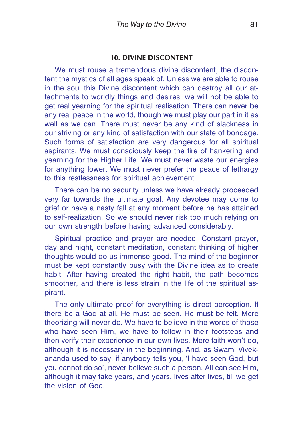## **10. DIVINE DISCONTENT**

We must rouse a tremendous divine discontent, the discontent the mystics of all ages speak of. Unless we are able to rouse in the soul this Divine discontent which can destroy all our attachments to worldly things and desires, we will not be able to get real yearning for the spiritual realisation. There can never be any real peace in the world, though we must play our part in it as well as we can. There must never be any kind of slackness in our striving or any kind of satisfaction with our state of bondage. Such forms of satisfaction are very dangerous for all spiritual aspirants. We must consciously keep the fire of hankering and yearning for the Higher Life. We must never waste our energies for anything lower. We must never prefer the peace of lethargy to this restlessness for spiritual achievement.

There can be no security unless we have already proceeded very far towards the ultimate goal. Any devotee may come to grief or have a nasty fall at any moment before he has attained to self-realization. So we should never risk too much relying on our own strength before having advanced considerably.

Spiritual practice and prayer are needed. Constant prayer, day and night, constant meditation, constant thinking of higher thoughts would do us immense good. The mind of the beginner must be kept constantly busy with the Divine idea as to create habit. After having created the right habit, the path becomes smoother, and there is less strain in the life of the spiritual aspirant.

The only ultimate proof for everything is direct perception. If there be a God at all, He must be seen. He must be felt. Mere theorizing will never do. We have to believe in the words of those who have seen Him, we have to follow in their footsteps and then verify their experience in our own lives. Mere faith won't do, although it is necessary in the beginning. And, as Swami Vivekananda used to say, if anybody tells you, 'I have seen God, but you cannot do so', never believe such a person. All can see Him, although it may take years, and years, lives after lives, till we get the vision of God.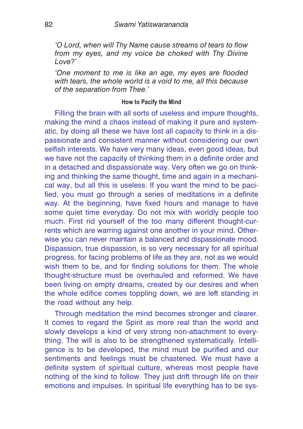*'O Lord, when will Thy Name cause streams of tears to flow from my eyes, and my voice be choked with Thy Divine Love?'*

*'One moment to me is like an age, my eyes are flooded with tears, the whole world is a void to me, all this because of the separation from Thee.'*

## **How to Pacify the Mind**

Filling the brain with all sorts of useless and impure thoughts. making the mind a chaos instead of making it pure and systematic, by doing all these we have lost all capacity to think in a dispassionate and consistent manner without considering our own selfish interests. We have very many ideas, even good ideas, but we have not the capacity of thinking them in a definite order and in a detached and dispassionate way. Very often we go on thinking and thinking the same thought, time and again in a mechanical way, but all this is useless. If you want the mind to be pacified, you must go through a series of meditations in a definite way. At the beginning, have fixed hours and manage to have some quiet time everyday. Do not mix with worldly people too much. First rid yourself of the too many different thought-currents which are warring against one another in your mind. Otherwise you can never maintain a balanced and dispassionate mood. Dispassion, true dispassion, is so very necessary for all spiritual progress, for facing problems of life as they are, not as we would wish them to be, and for finding solutions for them. The whole thought-structure must be overhauled and reformed. We have been living on empty dreams, created by our desires and when the whole edifice comes toppling down, we are left standing in the road without any help.

Through meditation the mind becomes stronger and clearer. It comes to regard the Spirit as more real than the world and slowly develops a kind of very strong non-attachment to everything. The will is also to be strengthened systematically. Intelligence is to be developed, the mind must be purified and our sentiments and feelings must be chastened. We must have a definite system of spiritual culture, whereas most people have nothing of the kind to follow. They just drift through life on their emotions and impulses. In spiritual life everything has to be sys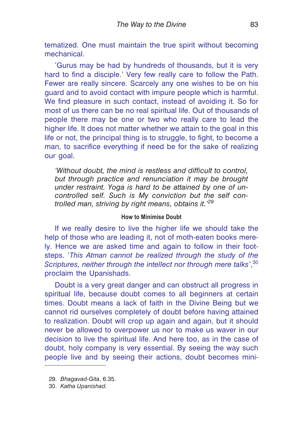tematized. One must maintain the true spirit without becoming mechanical.

'Gurus may be had by hundreds of thousands, but it is very hard to find a disciple.' Very few really care to follow the Path. Fewer are really sincere. Scarcely any one wishes to be on his guard and to avoid contact with impure people which is harmful. We find pleasure in such contact, instead of avoiding it. So for most of us there can be no real spiritual life. Out of thousands of people there may be one or two who really care to lead the higher life. It does not matter whether we attain to the goal in this life or not, the principal thing is to struggle, to fight, to become a man, to sacrifice everything if need be for the sake of realizing our goal.

*'Without doubt, the mind is restless and difficult to control, but through practice and renunciation it may be brought under restraint. Yoga is hard to be attained by one of uncontrolled self. Such is My conviction but the self controlled man, striving by right means, obtains it.'<sup>29</sup>*

# **How to Minimise Doubt**

If we really desire to live the higher life we should take the help of those who are leading it, not of moth-eaten books merely. Hence we are asked time and again to follow in their footsteps. '*This Atman cannot be realized through the study of the Scriptures, neither through the intellect nor through mere talks'*, 30 proclaim the Upanishads.

Doubt is a very great danger and can obstruct all progress in spiritual life, because doubt comes to all beginners at certain times. Doubt means a lack of faith in the Divine Being but we cannot rid ourselves completely of doubt before having attained to realization. Doubt will crop up again and again, but it should never be allowed to overpower us nor to make us waver in our decision to live the spiritual life. And here too, as in the case of doubt, holy company is very essential. By seeing the way such people live and by seeing their actions, doubt becomes mini-

<sup>29.</sup> *Bhagavad-Gita*, 6.35.

<sup>30.</sup> *Katha Upanishad.*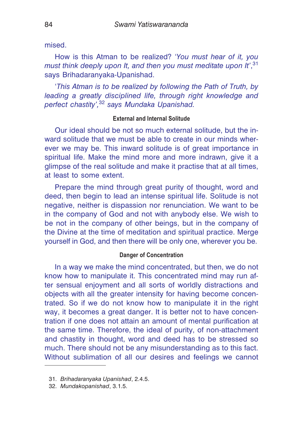mised.

How is this Atman to be realized? '*You must hear of it, you must think deeply upon It, and then you must meditate upon It'*, 31 says Brihadaranyaka-Upanishad.

'*This Atman is to be realized by following the Path of Truth, by leading a greatly disciplined life, through right knowledge and perfect chastity',*<sup>32</sup> *says Mundaka Upanishad.*

## **External and Internal Solitude**

Our ideal should be not so much external solitude, but the inward solitude that we must be able to create in our minds wherever we may be. This inward solitude is of great importance in spiritual life. Make the mind more and more indrawn, give it a glimpse of the real solitude and make it practise that at all times, at least to some extent.

Prepare the mind through great purity of thought, word and deed, then begin to lead an intense spiritual life. Solitude is not negative, neither is dispassion nor renunciation. We want to be in the company of God and not with anybody else. We wish to be not in the company of other beings, but in the company of the Divine at the time of meditation and spiritual practice. Merge yourself in God, and then there will be only one, wherever you be.

#### **Danger of Concentration**

In a way we make the mind concentrated, but then, we do not know how to manipulate it. This concentrated mind may run after sensual enjoyment and all sorts of worldly distractions and objects with all the greater intensity for having become concentrated. So if we do not know how to manipulate it in the right way, it becomes a great danger. It is better not to have concentration if one does not attain an amount of mental purification at the same time. Therefore, the ideal of purity, of non-attachment and chastity in thought, word and deed has to be stressed so much. There should not be any misunderstanding as to this fact. Without sublimation of all our desires and feelings we cannot

<sup>31.</sup> *Brihadaranyaka Upanishad*, 2.4.5.

<sup>32.</sup> *Mundakopanishad*, 3.1.5.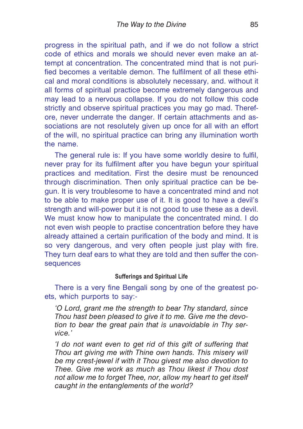progress in the spiritual path, and if we do not follow a strict code of ethics and morals we should never even make an attempt at concentration. The concentrated mind that is not purified becomes a veritable demon. The fulfilment of all these ethical and moral conditions is absolutely necessary, and. without it all forms of spiritual practice become extremely dangerous and may lead to a nervous collapse. If you do not follow this code strictly and observe spiritual practices you may go mad. Therefore, never underrate the danger. If certain attachments and associations are not resolutely given up once for all with an effort of the will, no spiritual practice can bring any illumination worth the name.

The general rule is: If you have some worldly desire to fulfil, never pray for its fulfilment after you have begun your spiritual practices and meditation. First the desire must be renounced through discrimination. Then only spiritual practice can be begun. It is very troublesome to have a concentrated mind and not to be able to make proper use of it. It is good to have a devil's strength and will-power but it is not good to use these as a devil. We must know how to manipulate the concentrated mind. I do not even wish people to practise concentration before they have already attained a certain purification of the body and mind. It is so very dangerous, and very often people just play with fire. They turn deaf ears to what they are told and then suffer the consequences

## **Sufferings and Spiritual Life**

There is a very fine Bengali song by one of the greatest poets, which purports to say:-

*'O Lord, grant me the strength to bear Thy standard, since Thou hast been pleased to give it to me. Give me the devotion to bear the great pain that is unavoidable in Thy service.'*

*'I do not want even to get rid of this gift of suffering that Thou art giving me with Thine own hands. This misery will be my crest-jewel if with it Thou givest me also devotion to Thee. Give me work as much as Thou likest if Thou dost not allow me to forget Thee, nor, allow my heart to get itself caught in the entanglements of the world?*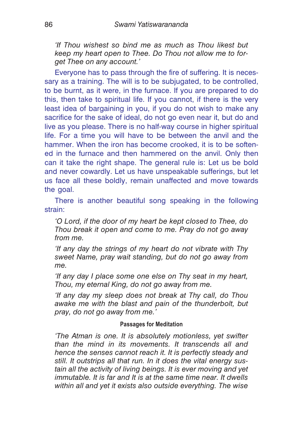*'If Thou wishest so bind me as much as Thou likest but keep my heart open to Thee. Do Thou not allow me to forget Thee on any account.'*

Everyone has to pass through the fire of suffering. It is necessary as a training. The will is to be subjugated, to be controlled, to be burnt, as it were, in the furnace. If you are prepared to do this, then take to spiritual life. If you cannot, if there is the very least idea of bargaining in you, if you do not wish to make any sacrifice for the sake of ideal, do not go even near it, but do and live as you please. There is no half-way course in higher spiritual life. For a time you will have to be between the anvil and the hammer. When the iron has become crooked, it is to be softened in the furnace and then hammered on the anvil. Only then can it take the right shape. The general rule is: Let us be bold and never cowardly. Let us have unspeakable sufferings, but let us face all these boldly, remain unaffected and move towards the goal.

There is another beautiful song speaking in the following strain:

*'O Lord, if the door of my heart be kept closed to Thee, do Thou break it open and come to me. Pray do not go away from me.*

*'If any day the strings of my heart do not vibrate with Thy sweet Name, pray wait standing, but do not go away from me.*

*'If any day I place some one else on Thy seat in my heart, Thou, my eternal King, do not go away from me.*

*'If any day my sleep does not break at Thy call, do Thou awake me with the blast and pain of the thunderbolt, but pray, do not go away from me.'*

# **Passages for Meditation**

*'The Atman is one. It is absolutely motionless, yet swifter than the mind in its movements. It transcends all and hence the senses cannot reach it. It is perfectly steady and still. It outstrips all that run. In it does the vital energy sustain all the activity of living beings. It is ever moving and yet immutable. It is far and It is at the same time near. It dwells within all and yet it exists also outside everything. The wise*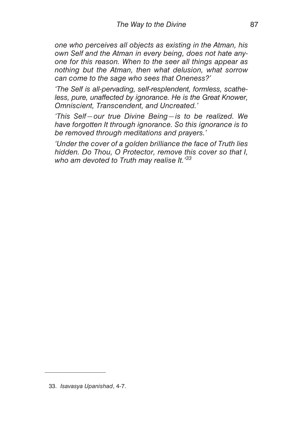*one who perceives all objects as existing in the Atman, his own Self and the Atman in every being, does not hate anyone for this reason. When to the seer all things appear as nothing but the Atman, then what delusion, what sorrow can come to the sage who sees that Oneness?'*

*'The Self is all-pervading, self-resplendent, formless, scatheless, pure, unaffected by ignorance. He is the Great Knower, Omniscient, Transcendent, and Uncreated.'*

*'This Self—our true Divine Being—is to be realized. We have forgotten It through ignorance. So this ignorance is to be removed through meditations and prayers.'*

*'Under the cover of a golden brilliance the face of Truth lies hidden. Do Thou, O Protector, remove this cover so that I, who am devoted to Truth may realise It.'<sup>33</sup>*

33. *Isavasya Upanishad*, 4-7.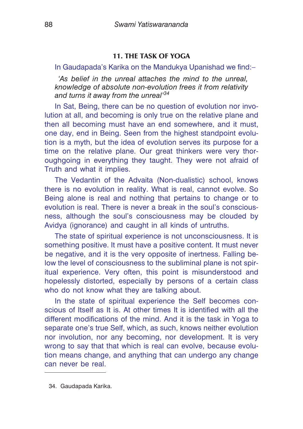# **11. THE TASK OF YOGA**

In Gaudapada's Karika on the Mandukya Upanishad we find:–

*'As belief in the unreal attaches the mind to the unreal, knowledge of absolute non-evolution frees it from relativity and turns it away from the unreal'<sup>34</sup>*

In Sat, Being, there can be no question of evolution nor involution at all, and becoming is only true on the relative plane and then all becoming must have an end somewhere, and it must, one day, end in Being. Seen from the highest standpoint evolution is a myth, but the idea of evolution serves its purpose for a time on the relative plane. Our great thinkers were very thoroughgoing in everything they taught. They were not afraid of Truth and what it implies.

The Vedantin of the Advaita (Non-dualistic) school, knows there is no evolution in reality. What is real, cannot evolve. So Being alone is real and nothing that pertains to change or to evolution is real. There is never a break in the soul's consciousness, although the soul's consciousness may be clouded by Avidya (ignorance) and caught in all kinds of untruths.

The state of spiritual experience is not unconsciousness. It is something positive. It must have a positive content. It must never be negative, and it is the very opposite of inertness. Falling below the level of consciousness to the subliminal plane is not spiritual experience. Very often, this point is misunderstood and hopelessly distorted, especially by persons of a certain class who do not know what they are talking about.

In the state of spiritual experience the Self becomes conscious of Itself as It is. At other times It is identified with all the different modifications of the mind. And it is the task in Yoga to separate one's true Self, which, as such, knows neither evolution nor involution, nor any becoming, nor development. It is very wrong to say that that which is real can evolve, because evolution means change, and anything that can undergo any change can never be real.

34. Gaudapada Karika.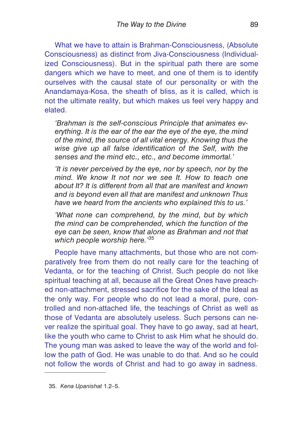What we have to attain is Brahman-Consciousness, (Absolute Consciousness) as distinct from Jiva-Consciousness (Individualized Consciousness). But in the spiritual path there are some dangers which we have to meet, and one of them is to identify ourselves with the causal state of our personality or with the Anandamaya-Kosa, the sheath of bliss, as it is called, which is not the ultimate reality, but which makes us feel very happy and elated.

*'Brahman is the self-conscious Principle that animates everything. It is the ear of the ear the eye of the eye, the mind of the mind, the source of all vital energy. Knowing thus the wise give up all false identification of the Self, with the senses and the mind etc., etc., and become immortal.'*

*'It is never perceived by the eye, nor by speech, nor by the mind. We know It not nor we see It. How to teach one about It? It is different from all that are manifest and known and is beyond even all that are manifest and unknown Thus have we heard from the ancients who explained this to us.'*

*'What none can comprehend, by the mind, but by which the mind can be comprehended, which the function of the eye can be seen, know that alone as Brahman and not that which people worship here.'<sup>35</sup>*

People have many attachments, but those who are not comparatively free from them do not really care for the teaching of Vedanta, or for the teaching of Christ. Such people do not like spiritual teaching at all, because all the Great Ones have preached non-attachment, stressed sacrifice for the sake of the Ideal as the only way. For people who do not lead a moral, pure, controlled and non-attached life, the teachings of Christ as well as those of Vedanta are absolutely useless. Such persons can never realize the spiritual goal. They have to go away, sad at heart, like the youth who came to Christ to ask Him what he should do. The young man was asked to leave the way of the world and follow the path of God. He was unable to do that. And so he could not follow the words of Christ and had to go away in sadness.

<sup>35.</sup> *Kena Upanishat* 1.2–5.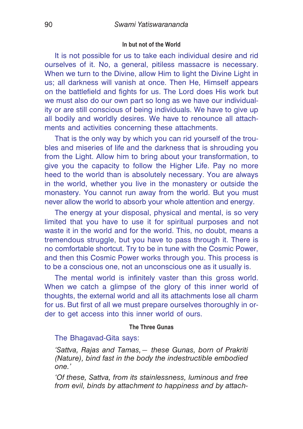#### **In but not of the World**

It is not possible for us to take each individual desire and rid ourselves of it. No, a general, pitiless massacre is necessary. When we turn to the Divine, allow Him to light the Divine Light in us; all darkness will vanish at once. Then He, Himself appears on the battlefield and fights for us. The Lord does His work but we must also do our own part so long as we have our individuality or are still conscious of being individuals. We have to give up all bodily and worldly desires. We have to renounce all attachments and activities concerning these attachments.

That is the only way by which you can rid yourself of the troubles and miseries of life and the darkness that is shrouding you from the Light. Allow him to bring about your transformation, to give you the capacity to follow the Higher Life. Pay no more heed to the world than is absolutely necessary. You are always in the world, whether you live in the monastery or outside the monastery. You cannot run away from the world. But you must never allow the world to absorb your whole attention and energy.

The energy at your disposal, physical and mental, is so very limited that you have to use it for spiritual purposes and not waste it in the world and for the world. This, no doubt, means a tremendous struggle, but you have to pass through it. There is no comfortable shortcut. Try to be in tune with the Cosmic Power, and then this Cosmic Power works through you. This process is to be a conscious one, not an unconscious one as it usually is.

The mental world is infinitely vaster than this gross world. When we catch a glimpse of the glory of this inner world of thoughts, the external world and all its attachments lose all charm for us. But first of all we must prepare ourselves thoroughly in order to get access into this inner world of ours.

## **The Three Gunas**

# The Bhagavad-Gita says:

*'Sattva, Rajas and Tamas,— these Gunas, born of Prakriti (Nature), bind fast in the body the indestructible embodied one.'*

*'Of these, Sattva, from its stainlessness, luminous and free from evil, binds by attachment to happiness and by attach-*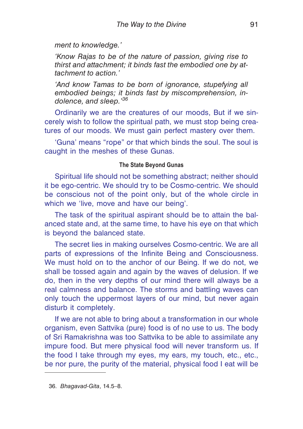*ment to knowledge.'*

*'Know Rajas to be of the nature of passion, giving rise to thirst and attachment; it binds fast the embodied one by attachment to action.'*

*'And know Tamas to be born of ignorance, stupefying all embodied beings; it binds fast by miscomprehension, indolence, and sleep.'<sup>36</sup>*

Ordinarily we are the creatures of our moods, But if we sincerely wish to follow the spiritual path, we must stop being creatures of our moods. We must gain perfect mastery over them.

'Guna' means "rope" or that which binds the soul. The soul is caught in the meshes of these Gunas.

## **The State Beyond Gunas**

Spiritual life should not be something abstract; neither should it be ego-centric. We should try to be Cosmo-centric. We should be conscious not of the point only, but of the whole circle in which we 'live, move and have our being'.

The task of the spiritual aspirant should be to attain the balanced state and, at the same time, to have his eye on that which is beyond the balanced state.

The secret lies in making ourselves Cosmo-centric. We are all parts of expressions of the Infinite Being and Consciousness. We must hold on to the anchor of our Being. If we do not, we shall be tossed again and again by the waves of delusion. If we do, then in the very depths of our mind there will always be a real calmness and balance. The storms and battling waves can only touch the uppermost layers of our mind, but never again disturb it completely.

If we are not able to bring about a transformation in our whole organism, even Sattvika (pure) food is of no use to us. The body of Sri Ramakrishna was too Sattvika to be able to assimilate any impure food. But mere physical food will never transform us. If the food I take through my eyes, my ears, my touch, etc., etc., be nor pure, the purity of the material, physical food I eat will be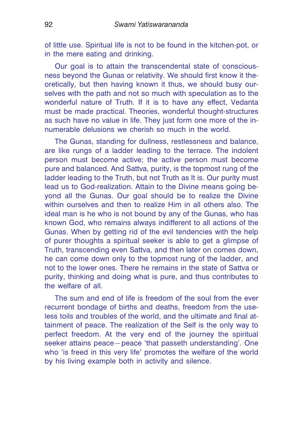of little use. Spiritual life is not to be found in the kitchen-pot, or in the mere eating and drinking.

Our goal is to attain the transcendental state of consciousness beyond the Gunas or relativity. We should first know it theoretically, but then having known it thus, we should busy ourselves with the path and not so much with speculation as to the wonderful nature of Truth. If it is to have any effect, Vedanta must be made practical. Theories, wonderful thought-structures as such have no value in life. They just form one more of the innumerable delusions we cherish so much in the world.

The Gunas, standing for dullness, restlessness and balance, are like rungs of a ladder leading to the terrace. The indolent person must become active; the active person must become pure and balanced. And Sattva, purity, is the topmost rung of the ladder leading to the Truth, but not Truth as It is. Our purity must lead us to God-realization. Attain to the Divine means going beyond all the Gunas. Our goal should be to realize the Divine within ourselves and then to realize Him in all others also. The ideal man is he who is not bound by any of the Gunas, who has known God, who remains always indifferent to all actions of the Gunas. When by getting rid of the evil tendencies with the help of purer thoughts a spiritual seeker is able to get a glimpse of Truth, transcending even Sattva, and then later on comes down, he can come down only to the topmost rung of the ladder, and not to the lower ones. There he remains in the state of Sattva or purity, thinking and doing what is pure, and thus contributes to the welfare of all.

The sum and end of life is freedom of the soul from the ever recurrent bondage of births and deaths, freedom from the useless toils and troubles of the world, and the ultimate and final attainment of peace. The realization of the Self is the only way to perfect freedom. At the very end of the journey the spiritual seeker attains peace—peace 'that passeth understanding'. One who 'is freed in this very life' promotes the welfare of the world by his living example both in activity and silence.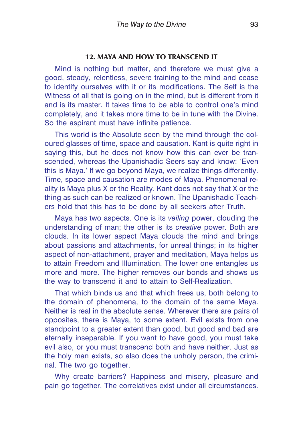# **12. MAYA AND HOW TO TRANSCEND IT**

Mind is nothing but matter, and therefore we must give a good, steady, relentless, severe training to the mind and cease to identify ourselves with it or its modifications. The Self is the Witness of all that is going on in the mind, but is different from it and is its master. It takes time to be able to control one's mind completely, and it takes more time to be in tune with the Divine. So the aspirant must have infinite patience.

This world is the Absolute seen by the mind through the coloured glasses of time, space and causation. Kant is quite right in saying this, but he does not know how this can ever be transcended, whereas the Upanishadic Seers say and know: 'Even this is Maya.' If we go beyond Maya, we realize things differently. Time, space and causation are modes of Maya. Phenomenal reality is Maya plus X or the Reality. Kant does not say that X or the thing as such can be realized or known. The Upanishadic Teachers hold that this has to be done by all seekers after Truth.

Maya has two aspects. One is its *veiling* power, clouding the understanding of man; the other is its *creative* power. Both are clouds. In its lower aspect Maya clouds the mind and brings about passions and attachments, for unreal things; in its higher aspect of non-attachment, prayer and meditation, Maya helps us to attain Freedom and Illumination. The lower one entangles us more and more. The higher removes our bonds and shows us the way to transcend it and to attain to Self-Realization.

That which binds us and that which frees us, both belong to the domain of phenomena, to the domain of the same Maya. Neither is real in the absolute sense. Wherever there are pairs of opposites, there is Maya, to some extent. Evil exists from one standpoint to a greater extent than good, but good and bad are eternally inseparable. If you want to have good, you must take evil also, or you must transcend both and have neither. Just as the holy man exists, so also does the unholy person, the criminal. The two go together.

Why create barriers? Happiness and misery, pleasure and pain go together. The correlatives exist under all circumstances.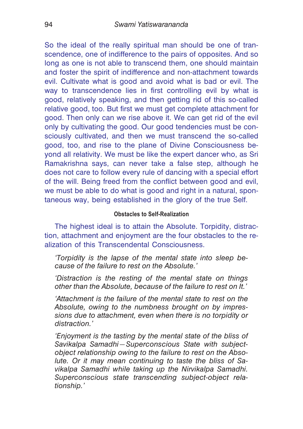So the ideal of the really spiritual man should be one of transcendence, one of indifference to the pairs of opposites. And so long as one is not able to transcend them, one should maintain and foster the spirit of indifference and non-attachment towards evil. Cultivate what is good and avoid what is bad or evil. The way to transcendence lies in first controlling evil by what is good, relatively speaking, and then getting rid of this so-called relative good, too. But first we must get complete attachment for good. Then only can we rise above it. We can get rid of the evil only by cultivating the good. Our good tendencies must be consciously cultivated, and then we must transcend the so-called good, too, and rise to the plane of Divine Consciousness beyond all relativity. We must be like the expert dancer who, as Sri Ramakrishna says, can never take a false step, although he does not care to follow every rule of dancing with a special effort of the will. Being freed from the conflict between good and evil, we must be able to do what is good and right in a natural, spontaneous way, being established in the glory of the true Self.

# **Obstacles to Self-Realization**

The highest ideal is to attain the Absolute. Torpidity, distraction, attachment and enjoyment are the four obstacles to the realization of this Transcendental Consciousness.

*'Torpidity is the lapse of the mental state into sleep because of the failure to rest on the Absolute.'*

*'Distraction is the resting of the mental state on things other than the Absolute, because of the failure to rest on It.'*

*'Attachment is the failure of the mental state to rest on the Absolute, owing to the numbness brought on by impressions due to attachment, even when there is no torpidity or distraction.'*

*'Enjoyment is the tasting by the mental state of the bliss of Savikalpa Samadhi—Superconscious State with subjectobject relationship owing to the failure to rest on the Absolute. Or it may mean continuing to taste the bliss of Savikalpa Samadhi while taking up the Nirvikalpa Samadhi. Superconscious state transcending subject-object relationship.'*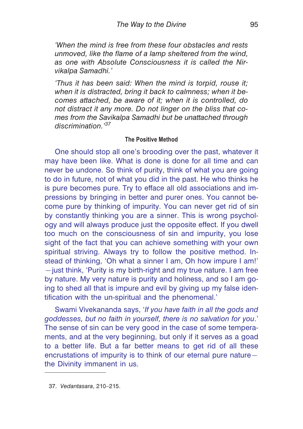*'When the mind is free from these four obstacles and rests unmoved, like the flame of a lamp sheltered from the wind, as one with Absolute Consciousness it is called the Nirvikalpa Samadhi.'*

*'Thus it has been said: When the mind is torpid, rouse it; when it is distracted, bring it back to calmness; when it becomes attached, be aware of it; when it is controlled, do not distract it any more. Do not linger on the bliss that comes from the Savikalpa Samadhi but be unattached through discrimination.'<sup>37</sup>*

## **The Positive Method**

One should stop all one's brooding over the past, whatever it may have been like. What is done is done for all time and can never be undone. So think of purity, think of what you are going to do in future, not of what you did in the past. He who thinks he is pure becomes pure. Try to efface all old associations and impressions by bringing in better and purer ones. You cannot become pure by thinking of impurity. You can never get rid of sin by constantly thinking you are a sinner. This is wrong psychology and will always produce just the opposite effect. If you dwell too much on the consciousness of sin and impurity, you lose sight of the fact that you can achieve something with your own spiritual striving. Always try to follow the positive method. Instead of thinking, 'Oh what a sinner I am, Oh how impure I am!' —just think, 'Purity is my birth-right and my true nature. I am free by nature. My very nature is purity and holiness, and so I am going to shed all that is impure and evil by giving up my false identification with the un-spiritual and the phenomenal.'

Swami Vivekananda says, '*If you have faith in all the gods and goddesses, but no faith in yourself, there is no salvation for you*.' The sense of sin can be very good in the case of some temperaments, and at the very beginning, but only if it serves as a goad to a better life. But a far better means to get rid of all these encrustations of impurity is to think of our eternal pure nature the Divinity immanent in us.

<sup>37.</sup> *Vedantasara*, 210–215.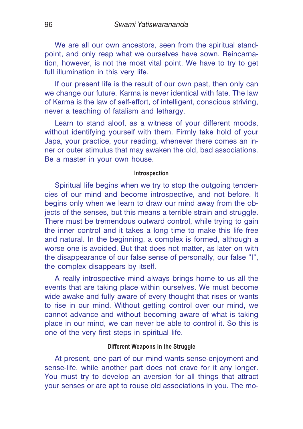We are all our own ancestors, seen from the spiritual standpoint, and only reap what we ourselves have sown. Reincarnation, however, is not the most vital point. We have to try to get full illumination in this very life.

If our present life is the result of our own past, then only can we change our future. Karma is never identical with fate. The law of Karma is the law of self-effort, of intelligent, conscious striving, never a teaching of fatalism and lethargy.

Learn to stand aloof, as a witness of your different moods, without identifying yourself with them. Firmly take hold of your Japa, your practice, your reading, whenever there comes an inner or outer stimulus that may awaken the old, bad associations. Be a master in your own house.

#### **Introspection**

Spiritual life begins when we try to stop the outgoing tendencies of our mind and become introspective, and not before. It begins only when we learn to draw our mind away from the objects of the senses, but this means a terrible strain and struggle. There must be tremendous outward control, while trying to gain the inner control and it takes a long time to make this life free and natural. In the beginning, a complex is formed, although a worse one is avoided. But that does not matter, as later on with the disappearance of our false sense of personally, our false "I", the complex disappears by itself.

A really introspective mind always brings home to us all the events that are taking place within ourselves. We must become wide awake and fully aware of every thought that rises or wants to rise in our mind. Without getting control over our mind, we cannot advance and without becoming aware of what is taking place in our mind, we can never be able to control it. So this is one of the very first steps in spiritual life.

## **Different Weapons in the Struggle**

At present, one part of our mind wants sense-enjoyment and sense-life, while another part does not crave for it any longer. You must try to develop an aversion for all things that attract your senses or are apt to rouse old associations in you. The mo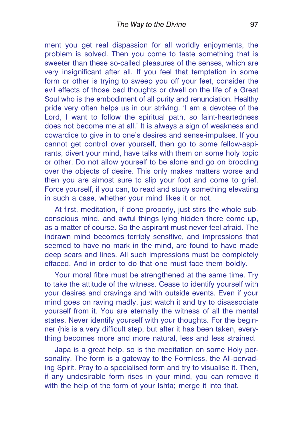ment you get real dispassion for all worldly enjoyments, the problem is solved. Then you come to taste something that is sweeter than these so-called pleasures of the senses, which are very insignificant after all. If you feel that temptation in some form or other is trying to sweep you off your feet, consider the evil effects of those bad thoughts or dwell on the life of a Great Soul who is the embodiment of all purity and renunciation. Healthy pride very often helps us in our striving. 'I am a devotee of the Lord, I want to follow the spiritual path, so faint-heartedness does not become me at all.' It is always a sign of weakness and cowardice to give in to one's desires and sense-impulses. If you cannot get control over yourself, then go to some fellow-aspirants, divert your mind, have talks with them on some holy topic or other. Do not allow yourself to be alone and go on brooding over the objects of desire. This only makes matters worse and then you are almost sure to slip your foot and come to grief. Force yourself, if you can, to read and study something elevating in such a case, whether your mind likes it or not.

At first, meditation, if done properly, just stirs the whole subconscious mind, and awful things lying hidden there come up, as a matter of course. So the aspirant must never feel afraid. The indrawn mind becomes terribly sensitive, and impressions that seemed to have no mark in the mind, are found to have made deep scars and lines. All such impressions must be completely effaced. And in order to do that one must face them boldly.

Your moral fibre must be strengthened at the same time. Try to take the attitude of the witness. Cease to identify yourself with your desires and cravings and with outside events. Even if your mind goes on raving madly, just watch it and try to disassociate yourself from it. You are eternally the witness of all the mental states. Never identify yourself with your thoughts. For the beginner (his is a very difficult step, but after it has been taken, everything becomes more and more natural, less and less strained.

Japa is a great help, so is the meditation on some Holy personality. The form is a gateway to the Formless, the All-pervading Spirit. Pray to a specialised form and try to visualise it. Then, if any undesirable form rises in your mind, you can remove it with the help of the form of your Ishta; merge it into that.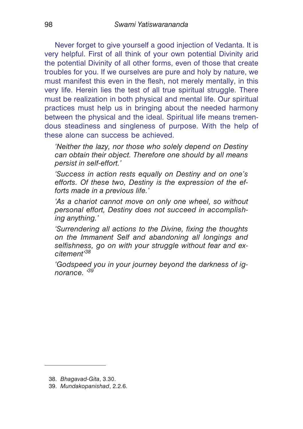Never forget to give yourself a good injection of Vedanta. It is very helpful. First of all think of your own potential Divinity arid the potential Divinity of all other forms, even of those that create troubles for you. If we ourselves are pure and holy by nature, we must manifest this even in the flesh, not merely mentally, in this very life. Herein lies the test of all true spiritual struggle. There must be realization in both physical and mental life. Our spiritual practices must help us in bringing about the needed harmony between the physical and the ideal. Spiritual life means tremendous steadiness and singleness of purpose. With the help of these alone can success be achieved.

*'Neither the lazy, nor those who solely depend on Destiny can obtain their object. Therefore one should by all means persist in self-effort.'*

*'Success in action rests equally on Destiny and on one's efforts. Of these two, Destiny is the expression of the efforts made in a previous life.'*

*'As a chariot cannot move on only one wheel, so without personal effort, Destiny does not succeed in accomplishing anything.'*

*'Surrendering all actions to the Divine, fixing the thoughts on the Immanent Self and abandoning all longings and selfishness, go on with your struggle without fear and excitement'<sup>38</sup>*

*'Godspeed you in your journey beyond the darkness of ignorance. '<sup>39</sup>*

<sup>38.</sup> *Bhagavad-Gita*, 3.30.

<sup>39.</sup> *Mundakopanishad*, 2.2.6.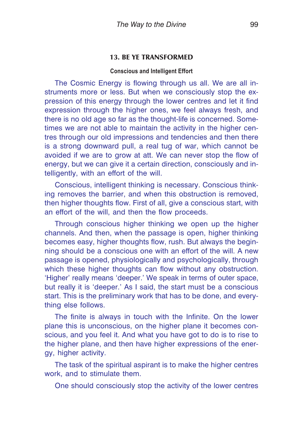## **13. BE YE TRANSFORMED**

#### **Conscious and Intelligent Effort**

The Cosmic Energy is flowing through us all. We are all instruments more or less. But when we consciously stop the expression of this energy through the lower centres and let it find expression through the higher ones, we feel always fresh, and there is no old age so far as the thought-life is concerned. Sometimes we are not able to maintain the activity in the higher centres through our old impressions and tendencies and then there is a strong downward pull, a real tug of war, which cannot be avoided if we are to grow at att. We can never stop the flow of energy, but we can give it a certain direction, consciously and intelligently, with an effort of the will.

Conscious, intelligent thinking is necessary. Conscious thinking removes the barrier, and when this obstruction is removed, then higher thoughts flow. First of all, give a conscious start, with an effort of the will, and then the flow proceeds.

Through conscious higher thinking we open up the higher channels. And then, when the passage is open, higher thinking becomes easy, higher thoughts flow, rush. But always the beginning should be a conscious one with an effort of the will. A new passage is opened, physiologically and psychologically, through which these higher thoughts can flow without any obstruction. 'Higher' really means 'deeper.' We speak in terms of outer space, but really it is 'deeper.' As I said, the start must be a conscious start. This is the preliminary work that has to be done, and everything else follows.

The finite is always in touch with the Infinite. On the lower plane this is unconscious, on the higher plane it becomes conscious, and you feel it. And what you have got to do is to rise to the higher plane, and then have higher expressions of the energy, higher activity.

The task of the spiritual aspirant is to make the higher centres work, and to stimulate them.

One should consciously stop the activity of the lower centres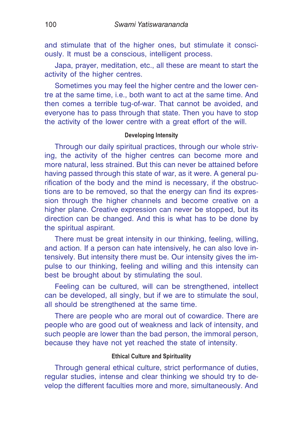and stimulate that of the higher ones, but stimulate it consciously. It must be a conscious, intelligent process.

Japa, prayer, meditation, etc., all these are meant to start the activity of the higher centres.

Sometimes you may feel the higher centre and the lower centre at the same time, i.e., both want to act at the same time. And then comes a terrible tug-of-war. That cannot be avoided, and everyone has to pass through that state. Then you have to stop the activity of the lower centre with a great effort of the will.

## **Developing Intensity**

Through our daily spiritual practices, through our whole striving, the activity of the higher centres can become more and more natural, less strained. But this can never be attained before having passed through this state of war, as it were. A general purification of the body and the mind is necessary, if the obstructions are to be removed, so that the energy can find its expression through the higher channels and become creative on a higher plane. Creative expression can never be stopped, but its direction can be changed. And this is what has to be done by the spiritual aspirant.

There must be great intensity in our thinking, feeling, willing, and action. If a person can hate intensively, he can also love intensively. But intensity there must be. Our intensity gives the impulse to our thinking, feeling and willing and this intensity can best be brought about by stimulating the soul.

Feeling can be cultured, will can be strengthened, intellect can be developed, all singly, but if we are to stimulate the soul, all should be strengthened at the same time.

There are people who are moral out of cowardice. There are people who are good out of weakness and lack of intensity, and such people are lower than the bad person, the immoral person, because they have not yet reached the state of intensity.

## **Ethical Culture and Spirituality**

Through general ethical culture, strict performance of duties, regular studies, intense and clear thinking we should try to develop the different faculties more and more, simultaneously. And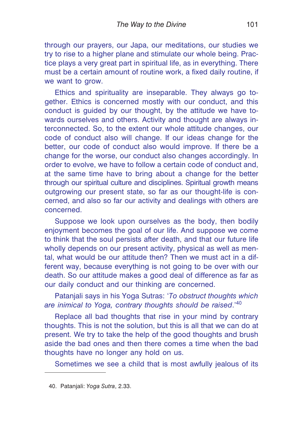through our prayers, our Japa, our meditations, our studies we try to rise to a higher plane and stimulate our whole being. Practice plays a very great part in spiritual life, as in everything. There must be a certain amount of routine work, a fixed daily routine, if we want to grow.

Ethics and spirituality are inseparable. They always go together. Ethics is concerned mostly with our conduct, and this conduct is guided by our thought, by the attitude we have towards ourselves and others. Activity and thought are always interconnected. So, to the extent our whole attitude changes, our code of conduct also will change. If our ideas change for the better, our code of conduct also would improve. If there be a change for the worse, our conduct also changes accordingly. In order to evolve, we have to follow a certain code of conduct and, at the same time have to bring about a change for the better through our spiritual culture and disciplines. Spiritual growth means outgrowing our present state, so far as our thought-life is concerned, and also so far our activity and dealings with others are concerned.

Suppose we look upon ourselves as the body, then bodily enjoyment becomes the goal of our life. And suppose we come to think that the soul persists after death, and that our future life wholly depends on our present activity, physical as well as mental, what would be our attitude then? Then we must act in a different way, because everything is not going to be over with our death. So our attitude makes a good deal of difference as far as our daily conduct and our thinking are concerned.

Patanjali says in his Yoga Sutras: '*To obstruct thoughts which are inimical to Yoga, contrary thoughts should be raised*.'<sup>40</sup>

Replace all bad thoughts that rise in your mind by contrary thoughts. This is not the solution, but this is all that we can do at present. We try to take the help of the good thoughts and brush aside the bad ones and then there comes a time when the bad thoughts have no longer any hold on us.

Sometimes we see a child that is most awfully jealous of its

<sup>40.</sup> Patanjali: *Yoga Sutra*, 2.33.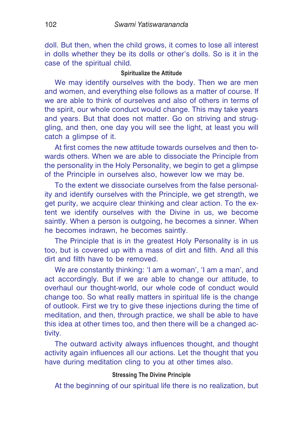doll. But then, when the child grows, it comes to lose all interest in dolls whether they be its dolls or other's dolls. So is it in the case of the spiritual child.

#### **Spiritualize the Attitude**

We may identify ourselves with the body. Then we are men and women, and everything else follows as a matter of course. If we are able to think of ourselves and also of others in terms of the spirit, our whole conduct would change. This may take years and years. But that does not matter. Go on striving and struggling, and then, one day you will see the light, at least you will catch a glimpse of it.

At first comes the new attitude towards ourselves and then towards others. When we are able to dissociate the Principle from the personality in the Holy Personality, we begin to get a glimpse of the Principle in ourselves also, however low we may be.

To the extent we dissociate ourselves from the false personality and identify ourselves with the Principle, we get strength, we get purity, we acquire clear thinking and clear action. To the extent we identify ourselves with the Divine in us, we become saintly. When a person is outgoing, he becomes a sinner. When he becomes indrawn, he becomes saintly.

The Principle that is in the greatest Holy Personality is in us too, but is covered up with a mass of dirt and filth. And all this dirt and filth have to be removed.

We are constantly thinking: 'I am a woman', 'I am a man', and act accordingly. But if we are able to change our attitude, to overhaul our thought-world, our whole code of conduct would change too. So what really matters in spiritual life is the change of outlook. First we try to give these injections during the time of meditation, and then, through practice, we shall be able to have this idea at other times too, and then there will be a changed activity.

The outward activity always influences thought, and thought activity again influences all our actions. Let the thought that you have during meditation cling to you at other times also.

## **Stressing The Divine Principle**

At the beginning of our spiritual life there is no realization, but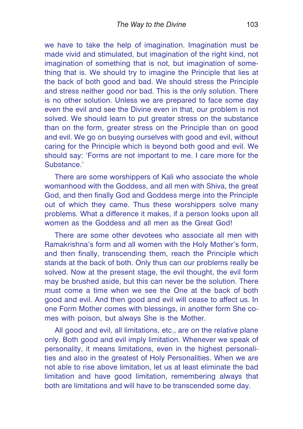we have to take the help of imagination. Imagination must be made vivid and stimulated, but imagination of the right kind, not imagination of something that is not, but imagination of something that is. We should try to imagine the Principle that lies at the back of both good and bad. We should stress the Principle and stress neither good nor bad. This is the only solution. There is no other solution. Unless we are prepared to face some day even the evil and see the Divine even in that, our problem is not solved. We should learn to put greater stress on the substance than on the form, greater stress on the Principle than on good and evil. We go on busying ourselves with good and evil, without caring for the Principle which is beyond both good and evil. We should say: 'Forms are not important to me. I care more for the Substance.'

There are some worshippers of Kali who associate the whole womanhood with the Goddess, and all men with Shiva, the great God, and then finally God and Goddess merge into the Principle out of which they came. Thus these worshippers solve many problems. What a difference it makes, if a person looks upon all women as the Goddess and all men as the Great God!

There are some other devotees who associate all men with Ramakrishna's form and all women with the Holy Mother's form, and then finally, transcending them, reach the Principle which stands at the back of both. Only thus can our problems really be solved. Now at the present stage, the evil thought, the evil form may be brushed aside, but this can never be the solution. There must come a time when we see the One at the back of both good and evil. And then good and evil will cease to affect us. In one Form Mother comes with blessings, in another form She comes with poison, but always She is the Mother.

All good and evil, all limitations, etc., are on the relative plane only. Both good and evil imply limitation. Whenever we speak of personality, it means limitations, even in the highest personalities and also in the greatest of Holy Personalities. When we are not able to rise above limitation, let us at least eliminate the bad limitation and have good limitation, remembering always that both are limitations and will have to be transcended some day.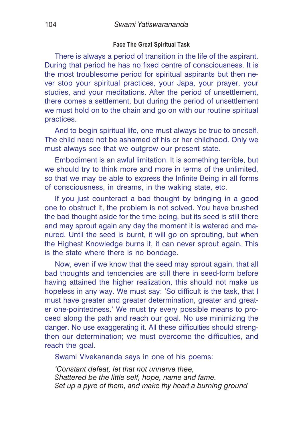#### **Face The Great Spiritual Task**

There is always a period of transition in the life of the aspirant. During that period he has no fixed centre of consciousness. It is the most troublesome period for spiritual aspirants but then never stop your spiritual practices, your Japa, your prayer, your studies, and your meditations. After the period of unsettlement, there comes a settlement, but during the period of unsettlement we must hold on to the chain and go on with our routine spiritual practices.

And to begin spiritual life, one must always be true to oneself. The child need not be ashamed of his or her childhood. Only we must always see that we outgrow our present state.

Embodiment is an awful limitation. It is something terrible, but we should try to think more and more in terms of the unlimited, so that we may be able to express the Infinite Being in all forms of consciousness, in dreams, in the waking state, etc.

If you just counteract a bad thought by bringing in a good one to obstruct it, the problem is not solved. You have brushed the bad thought aside for the time being, but its seed is still there and may sprout again any day the moment it is watered and manured. Until the seed is burnt, it will go on sprouting, but when the Highest Knowledge burns it, it can never sprout again. This is the state where there is no bondage.

Now, even if we know that the seed may sprout again, that all bad thoughts and tendencies are still there in seed-form before having attained the higher realization, this should not make us hopeless in any way. We must say: 'So difficult is the task, that I must have greater and greater determination, greater and greater one-pointedness.' We must try every possible means to proceed along the path and reach our goal. No use minimizing the danger. No use exaggerating it. All these difficulties should strengthen our determination; we must overcome the difficulties, and reach the goal.

Swami Vivekananda says in one of his poems:

*'Constant defeat, let that not unnerve thee, Shattered be the little self, hope, name and fame. Set up a pyre of them, and make thy heart a burning ground*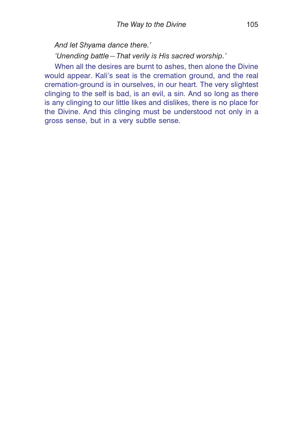*And let Shyama dance there.'*

*'Unending battle—That verily is His sacred worship.'*

When all the desires are burnt to ashes, then alone the Divine would appear. Kali's seat is the cremation ground, and the real cremation-ground is in ourselves, in our heart. The very slightest clinging to the self is bad, is an evil, a sin. And so long as there is any clinging to our little likes and dislikes, there is no place for the Divine. And this clinging must be understood not only in a gross sense, but in a very subtle sense.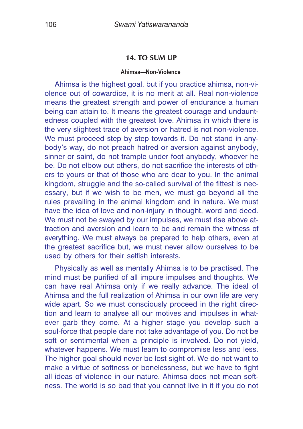## **14. TO SUM UP**

#### **Ahimsa—Non-Violence**

Ahimsa is the highest goal, but if you practice ahimsa, non-violence out of cowardice, it is no merit at all. Real non-violence means the greatest strength and power of endurance a human being can attain to. It means the greatest courage and undauntedness coupled with the greatest love. Ahimsa in which there is the very slightest trace of aversion or hatred is not non-violence. We must proceed step by step towards it. Do not stand in anybody's way, do not preach hatred or aversion against anybody, sinner or saint, do not trample under foot anybody, whoever he be. Do not elbow out others, do not sacrifice the interests of others to yours or that of those who are dear to you. In the animal kingdom, struggle and the so-called survival of the fittest is necessary, but if we wish to be men, we must go beyond all the rules prevailing in the animal kingdom and in nature. We must have the idea of love and non-injury in thought, word and deed. We must not be swayed by our impulses, we must rise above attraction and aversion and learn to be and remain the witness of everything. We must always be prepared to help others, even at the greatest sacrifice but, we must never allow ourselves to be used by others for their selfish interests.

Physically as well as mentally Ahimsa is to be practised. The mind must be purified of all impure impulses and thoughts. We can have real Ahimsa only if we really advance. The ideal of Ahimsa and the full realization of Ahimsa in our own life are very wide apart. So we must consciously proceed in the right direction and learn to analyse all our motives and impulses in whatever garb they come. At a higher stage you develop such a soul-force that people dare not take advantage of you. Do not be soft or sentimental when a principle is involved. Do not yield, whatever happens. We must learn to compromise less and less. The higher goal should never be lost sight of. We do not want to make a virtue of softness or bonelessness, but we have to fight all ideas of violence in our nature. Ahimsa does not mean softness. The world is so bad that you cannot live in it if you do not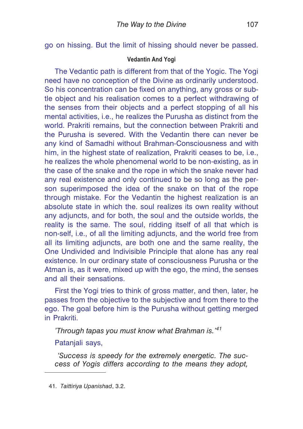go on hissing. But the limit of hissing should never be passed.

# **Vedantin And Yogi**

The Vedantic path is different from that of the Yogic. The Yogi need have no conception of the Divine as ordinarily understood. So his concentration can be fixed on anything, any gross or subtle object and his realisation comes to a perfect withdrawing of the senses from their objects and a perfect stopping of all his mental activities, i.e., he realizes the Purusha as distinct from the world. Prakriti remains, but the connection between Prakriti and the Purusha is severed. With the Vedantin there can never be any kind of Samadhi without Brahman-Consciousness and with him, in the highest state of realization, Prakriti ceases to be, i.e., he realizes the whole phenomenal world to be non-existing, as in the case of the snake and the rope in which the snake never had any real existence and only continued to be so long as the person superimposed the idea of the snake on that of the rope through mistake. For the Vedantin the highest realization is an absolute state in which the. soul realizes its own reality without any adjuncts, and for both, the soul and the outside worlds, the reality is the same. The soul, ridding itself of all that which is non-self, i.e., of all the limiting adjuncts, and the world free from all its limiting adjuncts, are both one and the same reality, the One Undivided and Indivisible Principle that alone has any real existence. In our ordinary state of consciousness Purusha or the Atman is, as it were, mixed up with the ego, the mind, the senses and all their sensations.

First the Yogi tries to think of gross matter, and then, later, he passes from the objective to the subjective and from there to the ego. The goal before him is the Purusha without getting merged in Prakriti.

*'Through tapas you must know what Brahman is.'<sup>41</sup>*

Patanjali says,

*'Success is speedy for the extremely energetic. The success of Yogis differs according to the means they adopt,*

<sup>41.</sup> *Taittiriya Upanishad*, 3.2.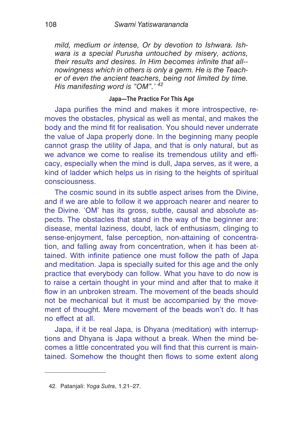*mild, medium or intense, Or by devotion to Ishwara. Ishwara is a special Purusha untouched by misery, actions, their results and desires. In Him becomes infinite that all- nowingness which in others is only a germ. He is the Teacher of even the ancient teachers, being not limited by time. His manifesting word is "OM".' <sup>42</sup>*

# **Japa—The Practice For This Age**

Japa purifies the mind and makes it more introspective, removes the obstacles, physical as well as mental, and makes the body and the mind fit for realisation. You should never underrate the value of Japa properly done. In the beginning many people cannot grasp the utility of Japa, and that is only natural, but as we advance we come to realise its tremendous utility and efficacy, especially when the mind is dull, Japa serves, as it were, a kind of ladder which helps us in rising to the heights of spiritual consciousness.

The cosmic sound in its subtle aspect arises from the Divine, and if we are able to follow it we approach nearer and nearer to the Divine. 'OM' has its gross, subtle, causal and absolute aspects. The obstacles that stand in the way of the beginner are: disease, mental laziness, doubt, lack of enthusiasm, clinging to sense-enjoyment, false perception, non-attaining of concentration, and falling away from concentration, when it has been attained. With infinite patience one must follow the path of Japa and meditation. Japa is specially suited for this age and the only practice that everybody can follow. What you have to do now is to raise a certain thought in your mind and after that to make it flow in an unbroken stream. The movement of the beads should not be mechanical but it must be accompanied by the movement of thought. Mere movement of the beads won't do. It has no effect at all.

Japa, if it be real Japa, is Dhyana (meditation) with interruptions and Dhyana is Japa without a break. When the mind becomes a little concentrated you will find that this current is maintained. Somehow the thought then flows to some extent along

<sup>42.</sup> Patanjali: *Yoga Sutra*, 1.21–27.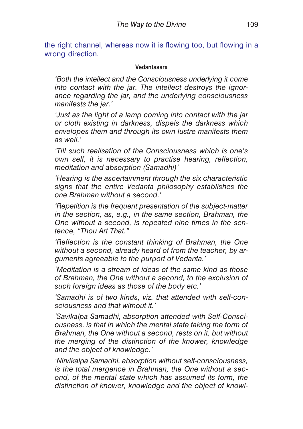the right channel, whereas now it is flowing too, but flowing in a wrong direction.

### **Vedantasara**

*'Both the intellect and the Consciousness underlying it come into contact with the jar. The intellect destroys the ignorance regarding the jar, and the underlying consciousness manifests the jar.'*

*'Just as the light of a lamp coming into contact with the jar or cloth existing in darkness, dispels the darkness which envelopes them and through its own lustre manifests them as well.'*

*'Till such realisation of the Consciousness which is one's own self, it is necessary to practise hearing, reflection, meditation and absorption (Samadhi)'*

*'Hearing is the ascertainment through the six characteristic signs that the entire Vedanta philosophy establishes the one Brahman without a second.'*

*'Repetition is the frequent presentation of the subject-matter in the section, as, e.g., in the same section, Brahman, the One without a second, is repeated nine times in the sentence, "Thou Art That."*

*'Reflection is the constant thinking of Brahman, the One without a second, already heard of from the teacher, by arguments agreeable to the purport of Vedanta.'*

*'Meditation is a stream of ideas of the same kind as those of Brahman, the One without a second, to the exclusion of such foreign ideas as those of the body etc.'*

*'Samadhi is of two kinds, viz. that attended with self-consciousness and that without it.'*

*'Savikalpa Samadhi, absorption attended with Self-Consciousness, is that in which the mental state taking the form of Brahman, the One without a second, rests on it, but without the merging of the distinction of the knower, knowledge and the object of knowledge.'*

*'Nirvikalpa Samadhi, absorption without self-consciousness, is the total mergence in Brahman, the One without a second, of the mental state which has assumed its form, the distinction of knower, knowledge and the object of knowl-*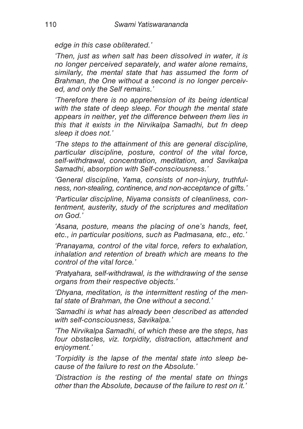*edge in this case obliterated.'*

*'Then, just as when salt has been dissolved in water, it is no longer perceived separately, and water alone remains, similarly, the mental state that has assumed the form of Brahman, the One without a second is no longer perceived, and only the Self remains.'*

*'Therefore there is no apprehension of its being identical with the state of deep sleep. For though the mental state appears in neither, yet the difference between them lies in this that it exists in the Nirvikalpa Samadhi, but fn deep sleep it does not.'*

*'The steps to the attainment of this are general discipline, particular discipline, posture, control of the vital force, self-withdrawal, concentration, meditation, and Savikalpa Samadhi, absorption with Self-consciousness.'*

*'General discipline, Yama, consists of non-injury, truthfulness, non-stealing, continence, and non-acceptance of gifts.'*

*'Particular discipline, Niyama consists of cleanliness, contentment, austerity, study of the scriptures and meditation on God.'*

*'Asana, posture, means the placing of one's hands, feet, etc., in particular positions, such as Padmasana, etc., etc.'*

*'Pranayama, control of the vital force, refers to exhalation, inhalation and retention of breath which are means to the control of the vital force.'*

*'Pratyahara, self-withdrawal, is the withdrawing of the sense organs from their respective objects.'*

*'Dhyana, meditation, is the intermittent resting of the mental state of Brahman, the One without a second.'*

*'Samadhi is what has already been described as attended with self-consciousness, Savikalpa.'*

*'The Nirvikalpa Samadhi, of which these are the steps, has four obstacles, viz. torpidity, distraction, attachment and enjoyment.'*

*'Torpidity is the lapse of the mental state into sleep because of the failure to rest on the Absolute.'*

*'Distraction is the resting of the mental state on things other than the Absolute, because of the failure to rest on it.'*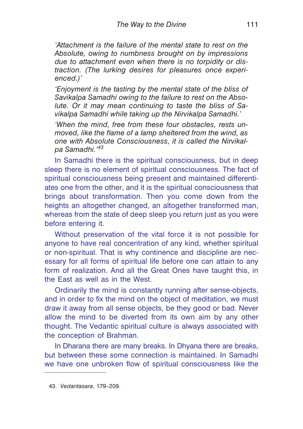*'Attachment is the failure of the mental state to rest on the Absolute, owing to numbness brought on by impressions due to attachment even when there is no torpidity or distraction. (The lurking desires for pleasures once experienced.)'*

*'Enjoyment is the tasting by the mental state of the bliss of Savikalpa Samadhi owing to the failure to rest on the Absolute. Or it may mean continuing to taste the bliss of Savikalpa Samadhi while taking up the Nirvikalpa Samadhi.'*

*'When the mind, free from these four obstacles, rests unmoved, like the flame of a lamp sheltered from the wind, as one with Absolute Consciousness, it is called the Nirvikalpa Samadhi.'<sup>43</sup>*

In Samadhi there is the spiritual consciousness, but in deep sleep there is no element of spiritual consciousness. The fact of spiritual consciousness being present and maintained differentiates one from the other, and it is the spiritual consciousness that brings about transformation. Then you come down from the heights an altogether changed, an altogether transformed man, whereas from the state of deep sleep you return just as you were before entering it.

Without preservation of the vital force it is not possible for anyone to have real concentration of any kind, whether spiritual or non-spiritual. That is why continence and discipline are necessary for all forms of spiritual life before one can attain to any form of realization. And all the Great Ones have taught this, in the East as well as in the West.

Ordinarily the mind is constantly running after sense-objects, and in order to fix the mind on the object of meditation, we must draw it away from all sense objects, be they good or bad. Never allow the mind to be diverted from its own aim by any other thought. The Vedantic spiritual culture is always associated with the conception of Brahman.

In Dharana there are many breaks. In Dhyana there are breaks, but between these some connection is maintained. In Samadhi we have one unbroken flow of spiritual consciousness like the

<sup>43.</sup> *Vedantasara*, 179–209.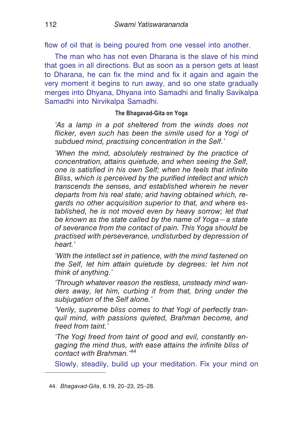flow of oil that is being poured from one vessel into another.

The man who has not even Dharana is the slave of his mind that goes in all directions. But as soon as a person gets at least to Dharana, he can fix the mind and fix it again and again the very moment it begins to run away, and so one state gradually merges into Dhyana, Dhyana into Samadhi and finally Savikalpa Samadhi into Nirvikalpa Samadhi.

## **The Bhagavad-Gita on Yoga**

*'As a lamp in a pot sheltered from the winds does not flicker, even such has been the simile used for a Yogi of subdued mind, practising concentration in the Self.'*

*'When the mind, absolutely restrained by the practice of concentration, attains quietude, and when seeing the Self, one is satisfied in his own Self; when he feels that infinite Bliss, which is perceived by the purified intellect and which transcends the senses, and established wherein he never departs from his real state; arid having obtained which, regards no other acquisition superior to that, and where established, he is not moved even by heavy sorrow; let that be known as the state called by the name of Yoga—a state of severance from the contact of pain. This Yoga should be practised with perseverance, undisturbed by depression of heart.'*

*'With the intellect set in patience, with the mind fastened on the Self, let him attain quietude by degrees: let him not think of anything.'*

*'Through whatever reason the restless, unsteady mind wanders away, let him, curbing it from that, bring under the subjugation of the Self alone.'*

*'Verily, supreme bliss comes to that Yogi of perfectly tranquil mind, with passions quieted, Brahman become, and freed from taint.'*

*'The Yogi freed from taint of good and evil, constantly engaging the mind thus, with ease attains the infinite bliss of contact with Brahman.'<sup>44</sup>*

Slowly, steadily, build up your meditation. Fix your mind on

<sup>44.</sup> *Bhagavad-Gita*, 6.19, 20–23, 25–28.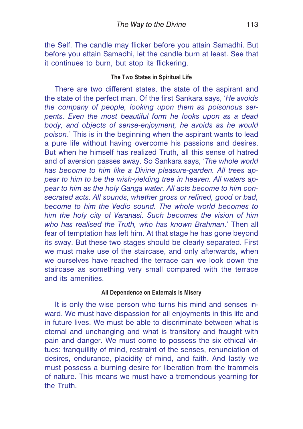the Self. The candle may flicker before you attain Samadhi. But before you attain Samadhi, let the candle burn at least. See that it continues to burn, but stop its flickering.

### **The Two States in Spiritual Life**

There are two different states, the state of the aspirant and the state of the perfect man. Of the first Sankara says, '*He avoids the company of people, looking upon them as poisonous serpents. Even the most beautiful form he looks upon as a dead body, and objects of sense-enjoyment, he avoids as he would poison*.' This is in the beginning when the aspirant wants to lead a pure life without having overcome his passions and desires. But when he himself has realized Truth, all this sense of hatred and of aversion passes away. So Sankara says, '*The whole world has become to him like a Divine pleasure-garden. All trees appear to him to be the wish-yielding tree in heaven. All waters appear to him as the holy Ganga water. All acts become to him consecrated acts. All sounds, whether gross or refined, good or bad, become to him the Vedic sound. The whole world becomes to him the holy city of Varanasi. Such becomes the vision of him who has realised the Truth, who has known Brahman*.' Then all fear of temptation has left him. At that stage he has gone beyond its sway. But these two stages should be clearly separated. First we must make use of the staircase, and only afterwards, when we ourselves have reached the terrace can we look down the staircase as something very small compared with the terrace and its amenities.

### **All Dependence on Externals is Misery**

It is only the wise person who turns his mind and senses inward. We must have dispassion for all enjoyments in this life and in future lives. We must be able to discriminate between what is eternal and unchanging and what is transitory and fraught with pain and danger. We must come to possess the six ethical virtues: tranquillity of mind, restraint of the senses, renunciation of desires, endurance, placidity of mind, and faith. And lastly we must possess a burning desire for liberation from the trammels of nature. This means we must have a tremendous yearning for the Truth.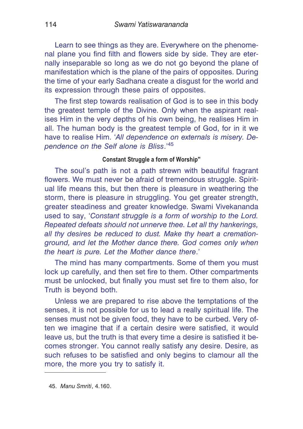Learn to see things as they are. Everywhere on the phenomenal plane you find filth and flowers side by side. They are eternally inseparable so long as we do not go beyond the plane of manifestation which is the plane of the pairs of opposites. During the time of your early Sadhana create a disgust for the world and its expression through these pairs of opposites.

The first step towards realisation of God is to see in this body the greatest temple of the Divine. Only when the aspirant realises Him in the very depths of his own being, he realises Him in all. The human body is the greatest temple of God, for in it we have to realise Him. '*All dependence on externals is misery. Dependence on the Self alone is Bliss*.'<sup>45</sup>

#### **Constant Struggle a form of Worship''**

The soul's path is not a path strewn with beautiful fragrant flowers. We must never be afraid of tremendous struggle. Spiritual life means this, but then there is pleasure in weathering the storm, there is pleasure in struggling. You get greater strength, greater steadiness and greater knowledge. Swami Vivekananda used to say, '*Constant struggle is a form of worship to the Lord. Repeated defeats should not unnerve thee. Let all thy hankerings, all thy desires be reduced to dust. Make thy heart a cremationground, and let the Mother dance there. God comes only when the heart is pure. Let the Mother dance there*.'

The mind has many compartments. Some of them you must lock up carefully, and then set fire to them. Other compartments must be unlocked, but finally you must set fire to them also, for Truth is beyond both.

Unless we are prepared to rise above the temptations of the senses, it is not possible for us to lead a really spiritual life. The senses must not be given food, they have to be curbed. Very often we imagine that if a certain desire were satisfied, it would leave us, but the truth is that every time a desire is satisfied it becomes stronger. You cannot really satisfy any desire. Desire, as such refuses to be satisfied and only begins to clamour all the more, the more you try to satisfy it.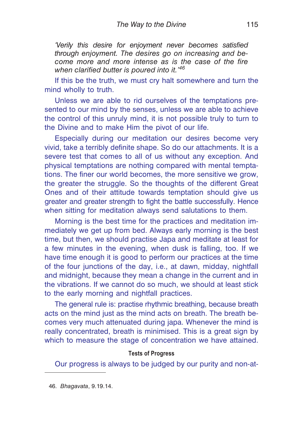*'Verily this desire for enjoyment never becomes satisfied through enjoyment. The desires go on increasing and become more and more intense as is the case of the fire when clarified butter is poured into it.'<sup>46</sup>*

If this be the truth, we must cry halt somewhere and turn the mind wholly to truth.

Unless we are able to rid ourselves of the temptations presented to our mind by the senses, unless we are able to achieve the control of this unruly mind, it is not possible truly to turn to the Divine and to make Him the pivot of our life.

Especially during our meditation our desires become very vivid, take a terribly definite shape. So do our attachments. It is a severe test that comes to all of us without any exception. And physical temptations are nothing compared with mental temptations. The finer our world becomes, the more sensitive we grow, the greater the struggle. So the thoughts of the different Great Ones and of their attitude towards temptation should give us greater and greater strength to fight the battle successfully. Hence when sitting for meditation always send salutations to them.

Morning is the best time for the practices and meditation immediately we get up from bed. Always early morning is the best time, but then, we should practise Japa and meditate at least for a few minutes in the evening, when dusk is falling, too. If we have time enough it is good to perform our practices at the time of the four junctions of the day, i.e., at dawn, midday, nightfall and midnight, because they mean a change in the current and in the vibrations. If we cannot do so much, we should at least stick to the early morning and nightfall practices.

The general rule is: practise rhythmic breathing, because breath acts on the mind just as the mind acts on breath. The breath becomes very much attenuated during japa. Whenever the mind is really concentrated, breath is minimised. This is a great sign by which to measure the stage of concentration we have attained.

#### **Tests of Progress**

Our progress is always to be judged by our purity and non-at-

46. *Bhagavata*, 9.19.14.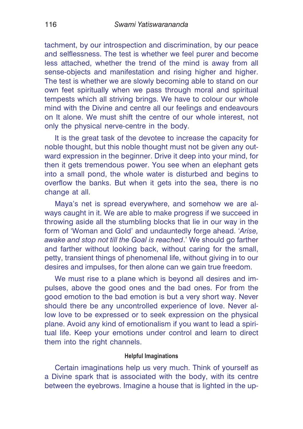tachment, by our introspection and discrimination, by our peace and selflessness. The test is whether we feel purer and become less attached, whether the trend of the mind is away from all sense-objects and manifestation and rising higher and higher. The test is whether we are slowly becoming able to stand on our own feet spiritually when we pass through moral and spiritual tempests which all striving brings. We have to colour our whole mind with the Divine and centre all our feelings and endeavours on It alone. We must shift the centre of our whole interest, not only the physical nerve-centre in the body.

It is the great task of the devotee to increase the capacity for noble thought, but this noble thought must not be given any outward expression in the beginner. Drive it deep into your mind, for then it gets tremendous power. You see when an elephant gets into a small pond, the whole water is disturbed and begins to overflow the banks. But when it gets into the sea, there is no change at all.

Maya's net is spread everywhere, and somehow we are always caught in it. We are able to make progress if we succeed in throwing aside all the stumbling blocks that lie in our way in the form of 'Woman and Gold' and undauntedly forge ahead. '*Arise, awake and stop not till the Goal is reached*.' We should go farther and farther without looking back, without caring for the small, petty, transient things of phenomenal life, without giving in to our desires and impulses, for then alone can we gain true freedom.

We must rise to a plane which is beyond all desires and impulses, above the good ones and the bad ones. For from the good emotion to the bad emotion is but a very short way. Never should there be any uncontrolled experience of love. Never allow love to be expressed or to seek expression on the physical plane. Avoid any kind of emotionalism if you want to lead a spiritual life. Keep your emotions under control and learn to direct them into the right channels.

### **Helpful Imaginations**

Certain imaginations help us very much. Think of yourself as a Divine spark that is associated with the body, with its centre between the eyebrows. Imagine a house that is lighted in the up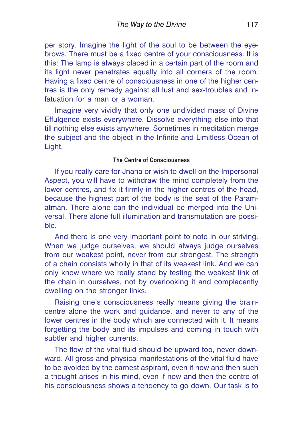per story. Imagine the light of the soul to be between the eyebrows. There must be a fixed centre of your consciousness. It is this: The lamp is always placed in a certain part of the room and its light never penetrates equally into all corners of the room. Having a fixed centre of consciousness in one of the higher centres is the only remedy against all lust and sex-troubles and infatuation for a man or a woman.

Imagine very vividly that only one undivided mass of Divine Effulgence exists everywhere. Dissolve everything else into that till nothing else exists anywhere. Sometimes in meditation merge the subject and the object in the Infinite and Limitless Ocean of Light.

### **The Centre of Consciousness**

If you really care for Jnana or wish to dwell on the Impersonal Aspect, you will have to withdraw the mind completely from the lower centres, and fix it firmly in the higher centres of the head, because the highest part of the body is the seat of the Paramatman. There alone can the individual be merged into the Universal. There alone full illumination and transmutation are possible.

And there is one very important point to note in our striving. When we judge ourselves, we should always judge ourselves from our weakest point, never from our strongest. The strength of a chain consists wholly in that of its weakest link. And we can only know where we really stand by testing the weakest link of the chain in ourselves, not by overlooking it and complacently dwelling on the stronger links.

Raising one's consciousness really means giving the braincentre alone the work and guidance, and never to any of the lower centres in the body which are connected with it. It means forgetting the body and its impulses and coming in touch with subtler and higher currents.

The flow of the vital fluid should be upward too, never downward. All gross and physical manifestations of the vital fluid have to be avoided by the earnest aspirant, even if now and then such a thought arises in his mind, even if now and then the centre of his consciousness shows a tendency to go down. Our task is to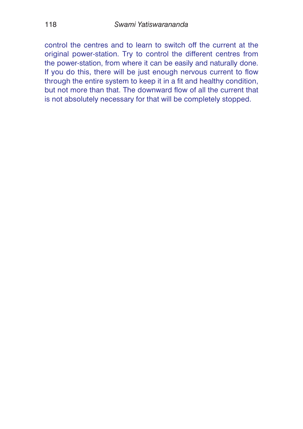control the centres and to learn to switch off the current at the original power-station. Try to control the different centres from the power-station, from where it can be easily and naturally done. If you do this, there will be just enough nervous current to flow through the entire system to keep it in a fit and healthy condition, but not more than that. The downward flow of all the current that is not absolutely necessary for that will be completely stopped.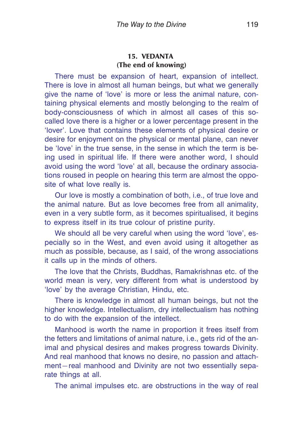### **15. VEDANTA (The end of knowing)**

There must be expansion of heart, expansion of intellect. There is love in almost all human beings, but what we generally give the name of 'love' is more or less the animal nature, containing physical elements and mostly belonging to the realm of body-consciousness of which in almost all cases of this socalled love there is a higher or a lower percentage present in the 'lover'. Love that contains these elements of physical desire or desire for enjoyment on the physical or mental plane, can never be 'love' in the true sense, in the sense in which the term is being used in spiritual life. If there were another word, I should avoid using the word 'love' at all, because the ordinary associations roused in people on hearing this term are almost the opposite of what love really is.

Our love is mostly a combination of both, i.e., of true love and the animal nature. But as love becomes free from all animality, even in a very subtle form, as it becomes spiritualised, it begins to express itself in its true colour of pristine purity.

We should all be very careful when using the word 'love', especially so in the West, and even avoid using it altogether as much as possible, because, as I said, of the wrong associations it calls up in the minds of others.

The love that the Christs, Buddhas, Ramakrishnas etc. of the world mean is very, very different from what is understood by 'love' by the average Christian, Hindu, etc.

There is knowledge in almost all human beings, but not the higher knowledge. Intellectualism, dry intellectualism has nothing to do with the expansion of the intellect.

Manhood is worth the name in proportion it frees itself from the fetters and limitations of animal nature, i.e., gets rid of the animal and physical desires and makes progress towards Divinity. And real manhood that knows no desire, no passion and attachment—real manhood and Divinity are not two essentially separate things at all.

The animal impulses etc. are obstructions in the way of real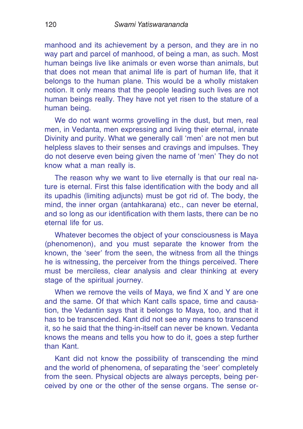manhood and its achievement by a person, and they are in no way part and parcel of manhood, of being a man, as such. Most human beings live like animals or even worse than animals, but that does not mean that animal life is part of human life, that it belongs to the human plane. This would be a wholly mistaken notion. It only means that the people leading such lives are not human beings really. They have not yet risen to the stature of a human being.

We do not want worms grovelling in the dust, but men, real men, in Vedanta, men expressing and living their eternal, innate Divinity and purity. What we generally call 'men' are not men but helpless slaves to their senses and cravings and impulses. They do not deserve even being given the name of 'men' They do not know what a man really is.

The reason why we want to live eternally is that our real nature is eternal. First this false identification with the body and all its upadhis (limiting adjuncts) must be got rid of. The body, the mind, the inner organ (antahkarana) etc., can never be eternal, and so long as our identification with them lasts, there can be no eternal life for us.

Whatever becomes the object of your consciousness is Maya (phenomenon), and you must separate the knower from the known, the 'seer' from the seen, the witness from all the things he is witnessing, the perceiver from the things perceived. There must be merciless, clear analysis and clear thinking at every stage of the spiritual journey.

When we remove the veils of Maya, we find X and Y are one and the same. Of that which Kant calls space, time and causation, the Vedantin says that it belongs to Maya, too, and that it has to be transcended. Kant did not see any means to transcend it, so he said that the thing-in-itself can never be known. Vedanta knows the means and tells you how to do it, goes a step further than Kant.

Kant did not know the possibility of transcending the mind and the world of phenomena, of separating the 'seer' completely from the seen. Physical objects are always percepts, being perceived by one or the other of the sense organs. The sense or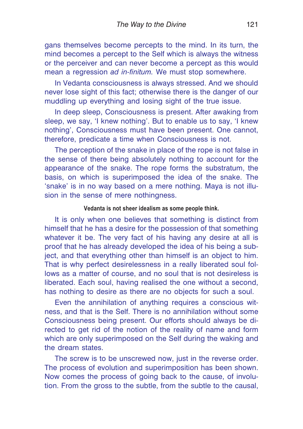gans themselves become percepts to the mind. In its turn, the mind becomes a percept to the Self which is always the witness or the perceiver and can never become a percept as this would mean a regression *ad in-finitum.* We must stop somewhere.

In Vedanta consciousness is always stressed. And we should never lose sight of this fact; otherwise there is the danger of our muddling up everything and losing sight of the true issue.

In deep sleep, Consciousness is present. After awaking from sleep, we say, 'I knew nothing'. But to enable us to say, 'I knew nothing', Consciousness must have been present. One cannot, therefore, predicate a time when Consciousness is not.

The perception of the snake in place of the rope is not false in the sense of there being absolutely nothing to account for the appearance of the snake. The rope forms the substratum, the basis, on which is superimposed the idea of the snake. The 'snake' is in no way based on a mere nothing. Maya is not illusion in the sense of mere nothingness.

#### **Vedanta is not sheer idealism as some people think.**

It is only when one believes that something is distinct from himself that he has a desire for the possession of that something whatever it be. The very fact of his having any desire at all is proof that he has already developed the idea of his being a subject, and that everything other than himself is an object to him. That is why perfect desirelessness in a really liberated soul follows as a matter of course, and no soul that is not desireless is liberated. Each soul, having realised the one without a second, has nothing to desire as there are no objects for such a soul.

Even the annihilation of anything requires a conscious witness, and that is the Self. There is no annihilation without some Consciousness being present. Our efforts should always be directed to get rid of the notion of the reality of name and form which are only superimposed on the Self during the waking and the dream states.

The screw is to be unscrewed now, just in the reverse order. The process of evolution and superimposition has been shown. Now comes the process of going back to the cause, of involution. From the gross to the subtle, from the subtle to the causal,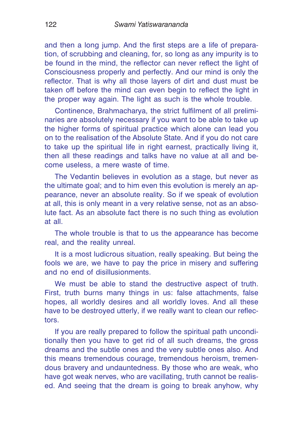and then a long jump. And the first steps are a life of preparation, of scrubbing and cleaning, for, so long as any impurity is to be found in the mind, the reflector can never reflect the light of Consciousness properly and perfectly. And our mind is only the reflector. That is why all those layers of dirt and dust must be taken off before the mind can even begin to reflect the light in the proper way again. The light as such is the whole trouble.

Continence, Brahmacharya, the strict fulfilment of all preliminaries are absolutely necessary if you want to be able to take up the higher forms of spiritual practice which alone can lead you on to the realisation of the Absolute State. And if you do not care to take up the spiritual life in right earnest, practically living it, then all these readings and talks have no value at all and become useless, a mere waste of time.

The Vedantin believes in evolution as a stage, but never as the ultimate goal; and to him even this evolution is merely an appearance, never an absolute reality. So if we speak of evolution at all, this is only meant in a very relative sense, not as an absolute fact. As an absolute fact there is no such thing as evolution at all.

The whole trouble is that to us the appearance has become real, and the reality unreal.

It is a most ludicrous situation, really speaking. But being the fools we are, we have to pay the price in misery and suffering and no end of disillusionments.

We must be able to stand the destructive aspect of truth. First, truth burns many things in us: false attachments, false hopes, all worldly desires and all worldly loves. And all these have to be destroyed utterly, if we really want to clean our reflectors.

If you are really prepared to follow the spiritual path unconditionally then you have to get rid of all such dreams, the gross dreams and the subtle ones and the very subtle ones also. And this means tremendous courage, tremendous heroism, tremendous bravery and undauntedness. By those who are weak, who have got weak nerves, who are vacillating, truth cannot be realised. And seeing that the dream is going to break anyhow, why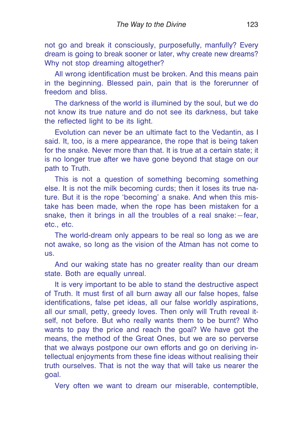not go and break it consciously, purposefully, manfully? Every dream is going to break sooner or later, why create new dreams? Why not stop dreaming altogether?

All wrong identification must be broken. And this means pain in the beginning. Blessed pain, pain that is the forerunner of freedom and bliss.

The darkness of the world is illumined by the soul, but we do not know its true nature and do not see its darkness, but take the reflected light to be its light.

Evolution can never be an ultimate fact to the Vedantin, as I said. It, too, is a mere appearance, the rope that is being taken for the snake. Never more than that. It is true at a certain state; it is no longer true after we have gone beyond that stage on our path to Truth.

This is not a question of something becoming something else. It is not the milk becoming curds; then it loses its true nature. But it is the rope 'becoming' a snake. And when this mistake has been made, when the rope has been mistaken for a snake, then it brings in all the troubles of a real snake:—fear, etc., etc.

The world-dream only appears to be real so long as we are not awake, so long as the vision of the Atman has not come to us.

And our waking state has no greater reality than our dream state. Both are equally unreal.

It is very important to be able to stand the destructive aspect of Truth. It must first of all burn away all our false hopes, false identifications, false pet ideas, all our false worldly aspirations, all our small, petty, greedy loves. Then only will Truth reveal itself, not before. But who really wants them to be burnt? Who wants to pay the price and reach the goal? We have got the means, the method of the Great Ones, but we are so perverse that we always postpone our own efforts and go on deriving intellectual enjoyments from these fine ideas without realising their truth ourselves. That is not the way that will take us nearer the goal.

Very often we want to dream our miserable, contemptible,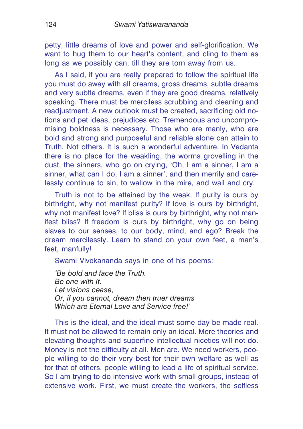petty, little dreams of love and power and self-glorification. We want to hug them to our heart's content, and cling to them as long as we possibly can, till they are torn away from us.

As I said, if you are really prepared to follow the spiritual life you must do away with all dreams, gross dreams, subtle dreams and very subtle dreams, even if they are good dreams, relatively speaking. There must be merciless scrubbing and cleaning and readjustment. A new outlook must be created, sacrificing old notions and pet ideas, prejudices etc. Tremendous and uncompromising boldness is necessary. Those who are manly, who are bold and strong and purposeful and reliable alone can attain to Truth. Not others. It is such a wonderful adventure. In Vedanta there is no place for the weakling, the worms grovelling in the dust, the sinners, who go on crying, 'Oh, I am a sinner, I am a sinner, what can I do, I am a sinner', and then merrily and carelessly continue to sin, to wallow in the mire, and wail and cry.

Truth is not to be attained by the weak. If purity is ours by birthright, why not manifest purity? If love is ours by birthright, why not manifest love? If bliss is ours by birthright, why not manifest bliss? If freedom is ours by birthright, why go on being slaves to our senses, to our body, mind, and ego? Break the dream mercilessly. Learn to stand on your own feet, a man's feet, manfully!

Swami Vivekananda says in one of his poems:

*'Be bold and face the Truth. Be one with It. Let visions cease, Or, if you cannot, dream then truer dreams Which are Eternal Love and Service free!'*

This is the ideal, and the ideal must some day be made real. It must not be allowed to remain only an ideal. Mere theories and elevating thoughts and superfine intellectual niceties will not do. Money is not the difficulty at all. Men are. We need workers, people willing to do their very best for their own welfare as well as for that of others, people willing to lead a life of spiritual service. So I am trying to do intensive work with small groups, instead of extensive work. First, we must create the workers, the selfless